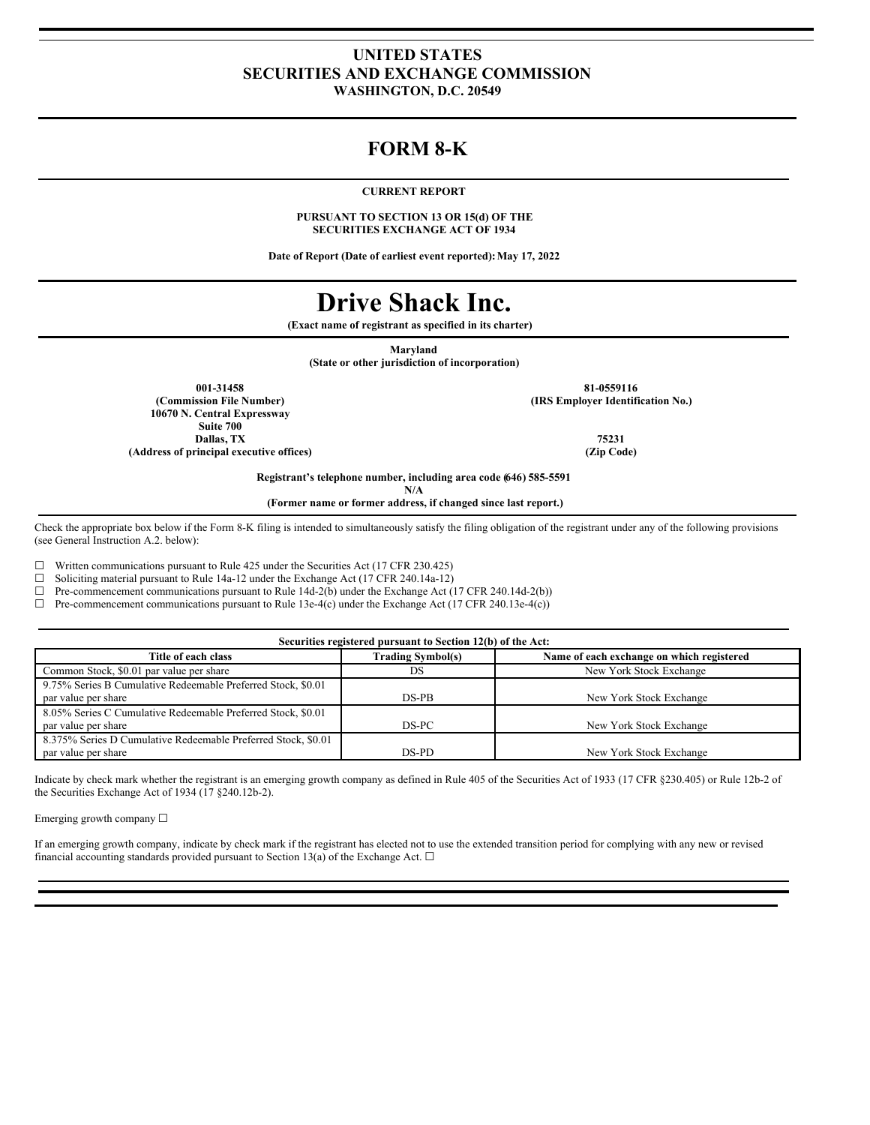### **UNITED STATES SECURITIES AND EXCHANGE COMMISSION WASHINGTON, D.C. 20549**

## **FORM 8-K**

### **CURRENT REPORT**

**PURSUANT TO SECTION 13 OR 15(d) OF THE SECURITIES EXCHANGE ACT OF 1934**

**Date of Report (Date of earliest event reported):May 17, 2022**

# **Drive Shack Inc.**

**(Exact name of registrant as specified in its charter)**

**Maryland**

**(State or other jurisdiction of incorporation)**

**001-31458 81-0559116 10670 N. Central Expressway Suite 700 Dallas, TX 75231 (Address of principal executive offices) (Zip Code)**

**(Commission File Number) (IRS Employer Identification No.)**

**Registrant's telephone number, including area code (646) 585-5591**

**N/A**

**(Former name or former address, if changed since last report.)**

Check the appropriate box below if the Form 8-K filing is intended to simultaneously satisfy the filing obligation of the registrant under any of the following provisions (see General Instruction A.2. below):

 $\Box$  Written communications pursuant to Rule 425 under the Securities Act (17 CFR 230.425)  $\Box$  Soliciting material pursuant to Rule 14a-12 under the Exchange Act (17 CFR 240.14a-12)

Soliciting material pursuant to Rule 14a-12 under the Exchange Act (17 CFR 240.14a-12)

 $\Box$  Pre-commencement communications pursuant to Rule 14d-2(b) under the Exchange Act (17 CFR 240.14d-2(b))

 $\Box$  Pre-commencement communications pursuant to Rule 13e-4(c) under the Exchange Act (17 CFR 240.13e-4(c))

| Securities registered pursuant to Section 12(b) of the Act:                          |                          |                                           |  |  |
|--------------------------------------------------------------------------------------|--------------------------|-------------------------------------------|--|--|
| Title of each class                                                                  | <b>Trading Symbol(s)</b> | Name of each exchange on which registered |  |  |
| Common Stock, \$0.01 par value per share                                             | DS                       | New York Stock Exchange                   |  |  |
| 9.75% Series B Cumulative Redeemable Preferred Stock, \$0.01<br>par value per share  | $DS-PB$                  | New York Stock Exchange                   |  |  |
| 8.05% Series C Cumulative Redeemable Preferred Stock, \$0.01<br>par value per share  | DS-PC                    | New York Stock Exchange                   |  |  |
| 8.375% Series D Cumulative Redeemable Preferred Stock, \$0.01<br>par value per share | DS-PD                    | New York Stock Exchange                   |  |  |

Indicate by check mark whether the registrant is an emerging growth company as defined in Rule 405 of the Securities Act of 1933 (17 CFR §230.405) or Rule 12b-2 of the Securities Exchange Act of 1934 (17 §240.12b-2).

Emerging growth company ☐

If an emerging growth company, indicate by check mark if the registrant has elected not to use the extended transition period for complying with any new or revised financial accounting standards provided pursuant to Section 13(a) of the Exchange Act.  $\Box$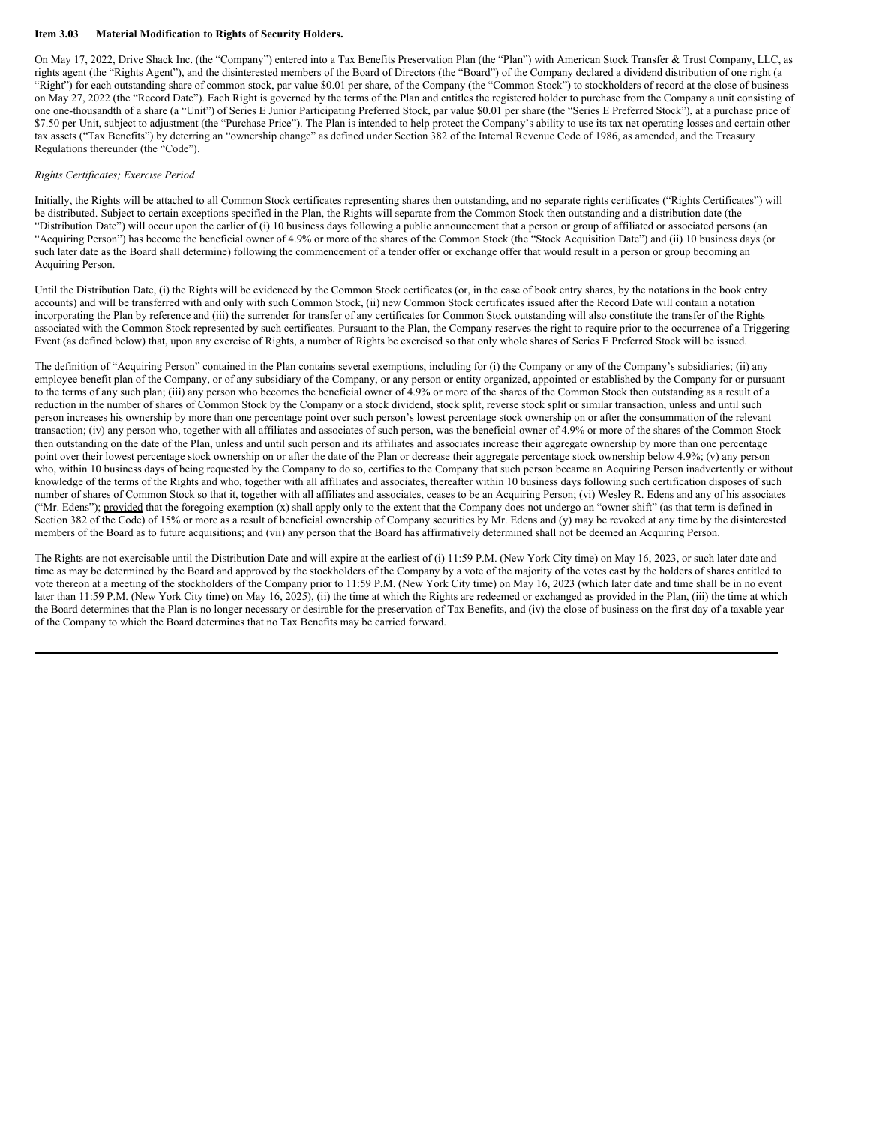### **Item 3.03 Material Modification to Rights of Security Holders.**

On May 17, 2022, Drive Shack Inc. (the "Company") entered into a Tax Benefits Preservation Plan (the "Plan") with American Stock Transfer & Trust Company, LLC, as rights agent (the "Rights Agent"), and the disinterested members of the Board of Directors (the "Board") of the Company declared a dividend distribution of one right (a "Right") for each outstanding share of common stock, par value \$0.01 per share, of the Company (the "Common Stock") to stockholders of record at the close of business on May 27, 2022 (the "Record Date"). Each Right is governed by the terms of the Plan and entitles the registered holder to purchase from the Company a unit consisting of one one-thousandth of a share (a "Unit") of Series E Junior Participating Preferred Stock, par value \$0.01 per share (the "Series E Preferred Stock"), at a purchase price of \$7.50 per Unit, subject to adjustment (the "Purchase Price"). The Plan is intended to help protect the Company's ability to use its tax net operating losses and certain other tax assets ("Tax Benefits") by deterring an "ownership change" as defined under Section 382 of the Internal Revenue Code of 1986, as amended, and the Treasury Regulations thereunder (the "Code").

#### *Rights Certificates; Exercise Period*

Initially, the Rights will be attached to all Common Stock certificates representing shares then outstanding, and no separate rights certificates ("Rights Certificates") will be distributed. Subject to certain exceptions specified in the Plan, the Rights will separate from the Common Stock then outstanding and a distribution date (the "Distribution Date") will occur upon the earlier of (i) 10 business days following a public announcement that a person or group of affiliated or associated persons (an "Acquiring Person") has become the beneficial owner of 4.9% or more of the shares of the Common Stock (the "Stock Acquisition Date") and (ii) 10 business days (or such later date as the Board shall determine) following the commencement of a tender offer or exchange offer that would result in a person or group becoming an Acquiring Person.

Until the Distribution Date, (i) the Rights will be evidenced by the Common Stock certificates (or, in the case of book entry shares, by the notations in the book entry accounts) and will be transferred with and only with such Common Stock, (ii) new Common Stock certificates issued after the Record Date will contain a notation incorporating the Plan by reference and (iii) the surrender for transfer of any certificates for Common Stock outstanding will also constitute the transfer of the Rights associated with the Common Stock represented by such certificates. Pursuant to the Plan, the Company reserves the right to require prior to the occurrence of a Triggering Event (as defined below) that, upon any exercise of Rights, a number of Rights be exercised so that only whole shares of Series E Preferred Stock will be issued.

The definition of "Acquiring Person" contained in the Plan contains several exemptions, including for (i) the Company or any of the Company's subsidiaries; (ii) any employee benefit plan of the Company, or of any subsidiary of the Company, or any person or entity organized, appointed or established by the Company for or pursuant to the terms of any such plan; (iii) any person who becomes the beneficial owner of 4.9% or more of the shares of the Common Stock then outstanding as a result of a reduction in the number of shares of Common Stock by the Company or a stock dividend, stock split, reverse stock split or similar transaction, unless and until such person increases his ownership by more than one percentage point over such person's lowest percentage stock ownership on or after the consummation of the relevant transaction; (iv) any person who, together with all affiliates and associates of such person, was the beneficial owner of 4.9% or more of the shares of the Common Stock then outstanding on the date of the Plan, unless and until such person and its affiliates and associates increase their aggregate ownership by more than one percentage point over their lowest percentage stock ownership on or after the date of the Plan or decrease their aggregate percentage stock ownership below 4.9%; (v) any person who, within 10 business days of being requested by the Company to do so, certifies to the Company that such person became an Acquiring Person inadvertently or without knowledge of the terms of the Rights and who, together with all affiliates and associates, thereafter within 10 business days following such certification disposes of such number of shares of Common Stock so that it, together with all affiliates and associates, ceases to be an Acquiring Person; (vi) Wesley R. Edens and any of his associates ("Mr. Edens"); provided that the foregoing exemption (x) shall apply only to the extent that the Company does not undergo an "owner shift" (as that term is defined in Section 382 of the Code) of 15% or more as a result of beneficial ownership of Company securities by Mr. Edens and (y) may be revoked at any time by the disinterested members of the Board as to future acquisitions; and (vii) any person that the Board has affirmatively determined shall not be deemed an Acquiring Person.

The Rights are not exercisable until the Distribution Date and will expire at the earliest of (i) 11:59 P.M. (New York City time) on May 16, 2023, or such later date and time as may be determined by the Board and approved by the stockholders of the Company by a vote of the majority of the votes cast by the holders of shares entitled to vote thereon at a meeting of the stockholders of the Company prior to 11:59 P.M. (New York City time) on May 16, 2023 (which later date and time shall be in no event later than 11:59 P.M. (New York City time) on May 16, 2025), (ii) the time at which the Rights are redeemed or exchanged as provided in the Plan, (iii) the time at which the Board determines that the Plan is no longer necessary or desirable for the preservation of Tax Benefits, and (iv) the close of business on the first day of a taxable year of the Company to which the Board determines that no Tax Benefits may be carried forward.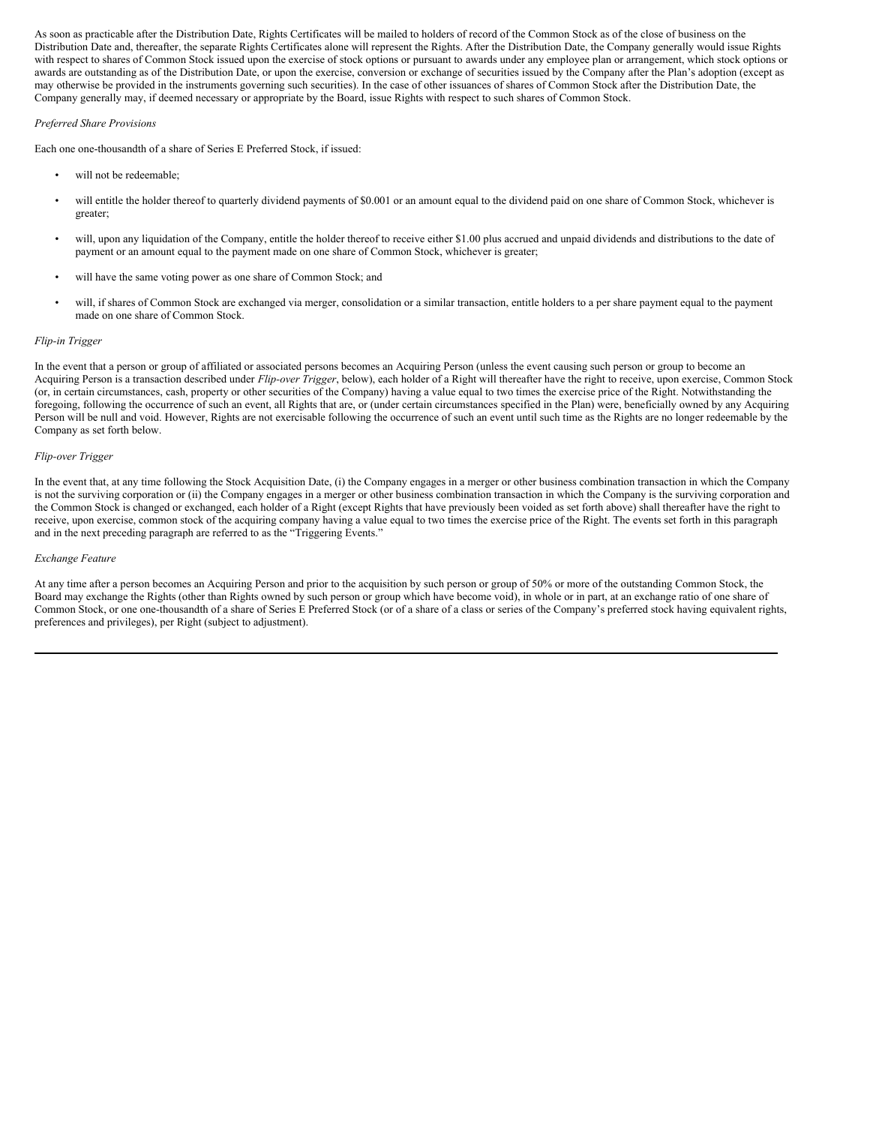As soon as practicable after the Distribution Date, Rights Certificates will be mailed to holders of record of the Common Stock as of the close of business on the Distribution Date and, thereafter, the separate Rights Certificates alone will represent the Rights. After the Distribution Date, the Company generally would issue Rights with respect to shares of Common Stock issued upon the exercise of stock options or pursuant to awards under any employee plan or arrangement, which stock options or awards are outstanding as of the Distribution Date, or upon the exercise, conversion or exchange of securities issued by the Company after the Plan's adoption (except as may otherwise be provided in the instruments governing such securities). In the case of other issuances of shares of Common Stock after the Distribution Date, the Company generally may, if deemed necessary or appropriate by the Board, issue Rights with respect to such shares of Common Stock.

### *Preferred Share Provisions*

Each one one-thousandth of a share of Series E Preferred Stock, if issued:

- will not be redeemable;
- will entitle the holder thereof to quarterly dividend payments of \$0.001 or an amount equal to the dividend paid on one share of Common Stock, whichever is greater;
- will, upon any liquidation of the Company, entitle the holder thereof to receive either \$1.00 plus accrued and unpaid dividends and distributions to the date of payment or an amount equal to the payment made on one share of Common Stock, whichever is greater;
- will have the same voting power as one share of Common Stock; and
- will, if shares of Common Stock are exchanged via merger, consolidation or a similar transaction, entitle holders to a per share payment equal to the payment made on one share of Common Stock.

### *Flip-in Trigger*

In the event that a person or group of affiliated or associated persons becomes an Acquiring Person (unless the event causing such person or group to become an Acquiring Person is a transaction described under *Flip-over Trigger*, below), each holder of a Right will thereafter have the right to receive, upon exercise, Common Stock (or, in certain circumstances, cash, property or other securities of the Company) having a value equal to two times the exercise price of the Right. Notwithstanding the foregoing, following the occurrence of such an event, all Rights that are, or (under certain circumstances specified in the Plan) were, beneficially owned by any Acquiring Person will be null and void. However, Rights are not exercisable following the occurrence of such an event until such time as the Rights are no longer redeemable by the Company as set forth below.

### *Flip-over Trigger*

In the event that, at any time following the Stock Acquisition Date, (i) the Company engages in a merger or other business combination transaction in which the Company is not the surviving corporation or (ii) the Company engages in a merger or other business combination transaction in which the Company is the surviving corporation and the Common Stock is changed or exchanged, each holder of a Right (except Rights that have previously been voided as set forth above) shall thereafter have the right to receive, upon exercise, common stock of the acquiring company having a value equal to two times the exercise price of the Right. The events set forth in this paragraph and in the next preceding paragraph are referred to as the "Triggering Events."

### *Exchange Feature*

At any time after a person becomes an Acquiring Person and prior to the acquisition by such person or group of 50% or more of the outstanding Common Stock, the Board may exchange the Rights (other than Rights owned by such person or group which have become void), in whole or in part, at an exchange ratio of one share of Common Stock, or one one-thousandth of a share of Series E Preferred Stock (or of a share of a class or series of the Company's preferred stock having equivalent rights, preferences and privileges), per Right (subject to adjustment).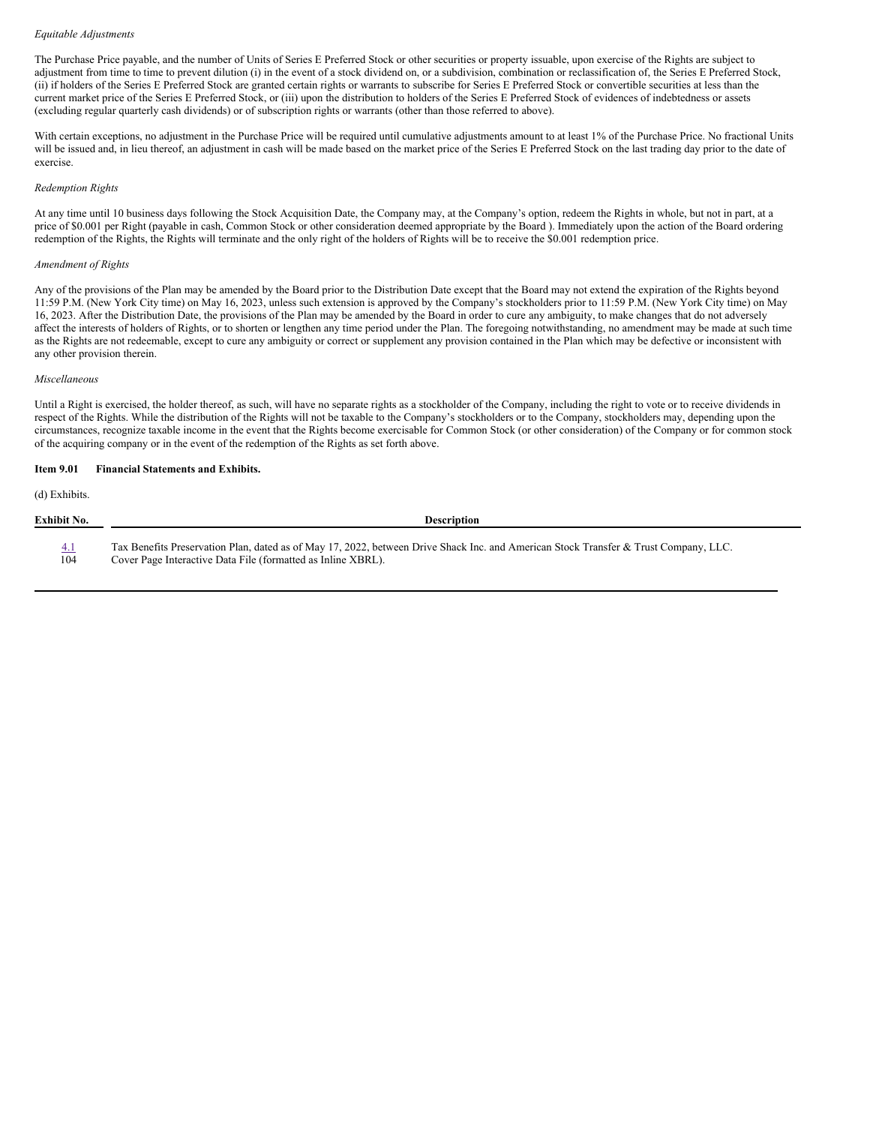### *Equitable Adjustments*

The Purchase Price payable, and the number of Units of Series E Preferred Stock or other securities or property issuable, upon exercise of the Rights are subject to adjustment from time to time to prevent dilution (i) in the event of a stock dividend on, or a subdivision, combination or reclassification of, the Series E Preferred Stock, (ii) if holders of the Series E Preferred Stock are granted certain rights or warrants to subscribe for Series E Preferred Stock or convertible securities at less than the current market price of the Series E Preferred Stock, or (iii) upon the distribution to holders of the Series E Preferred Stock of evidences of indebtedness or assets (excluding regular quarterly cash dividends) or of subscription rights or warrants (other than those referred to above).

With certain exceptions, no adjustment in the Purchase Price will be required until cumulative adjustments amount to at least 1% of the Purchase Price. No fractional Units will be issued and, in lieu thereof, an adjustment in cash will be made based on the market price of the Series E Preferred Stock on the last trading day prior to the date of exercise.

#### *Redemption Rights*

At any time until 10 business days following the Stock Acquisition Date, the Company may, at the Company's option, redeem the Rights in whole, but not in part, at a price of \$0.001 per Right (payable in cash, Common Stock or other consideration deemed appropriate by the Board ). Immediately upon the action of the Board ordering redemption of the Rights, the Rights will terminate and the only right of the holders of Rights will be to receive the \$0.001 redemption price.

#### *Amendment of Rights*

Any of the provisions of the Plan may be amended by the Board prior to the Distribution Date except that the Board may not extend the expiration of the Rights beyond 11:59 P.M. (New York City time) on May 16, 2023, unless such extension is approved by the Company's stockholders prior to 11:59 P.M. (New York City time) on May 16, 2023. After the Distribution Date, the provisions of the Plan may be amended by the Board in order to cure any ambiguity, to make changes that do not adversely affect the interests of holders of Rights, or to shorten or lengthen any time period under the Plan. The foregoing notwithstanding, no amendment may be made at such time as the Rights are not redeemable, except to cure any ambiguity or correct or supplement any provision contained in the Plan which may be defective or inconsistent with any other provision therein.

#### *Miscellaneous*

Until a Right is exercised, the holder thereof, as such, will have no separate rights as a stockholder of the Company, including the right to vote or to receive dividends in respect of the Rights. While the distribution of the Rights will not be taxable to the Company's stockholders or to the Company, stockholders may, depending upon the circumstances, recognize taxable income in the event that the Rights become exercisable for Common Stock (or other consideration) of the Company or for common stock of the acquiring company or in the event of the redemption of the Rights as set forth above.

### **Item 9.01 Financial Statements and Exhibits.**

(d) Exhibits.

| Exhibit No. | <b>Description</b>                                                                                                                   |
|-------------|--------------------------------------------------------------------------------------------------------------------------------------|
| 4.1         | Tax Benefits Preservation Plan, dated as of May 17, 2022, between Drive Shack Inc. and American Stock Transfer & Trust Company, LLC. |
| 104         | Cover Page Interactive Data File (formatted as Inline XBRL).                                                                         |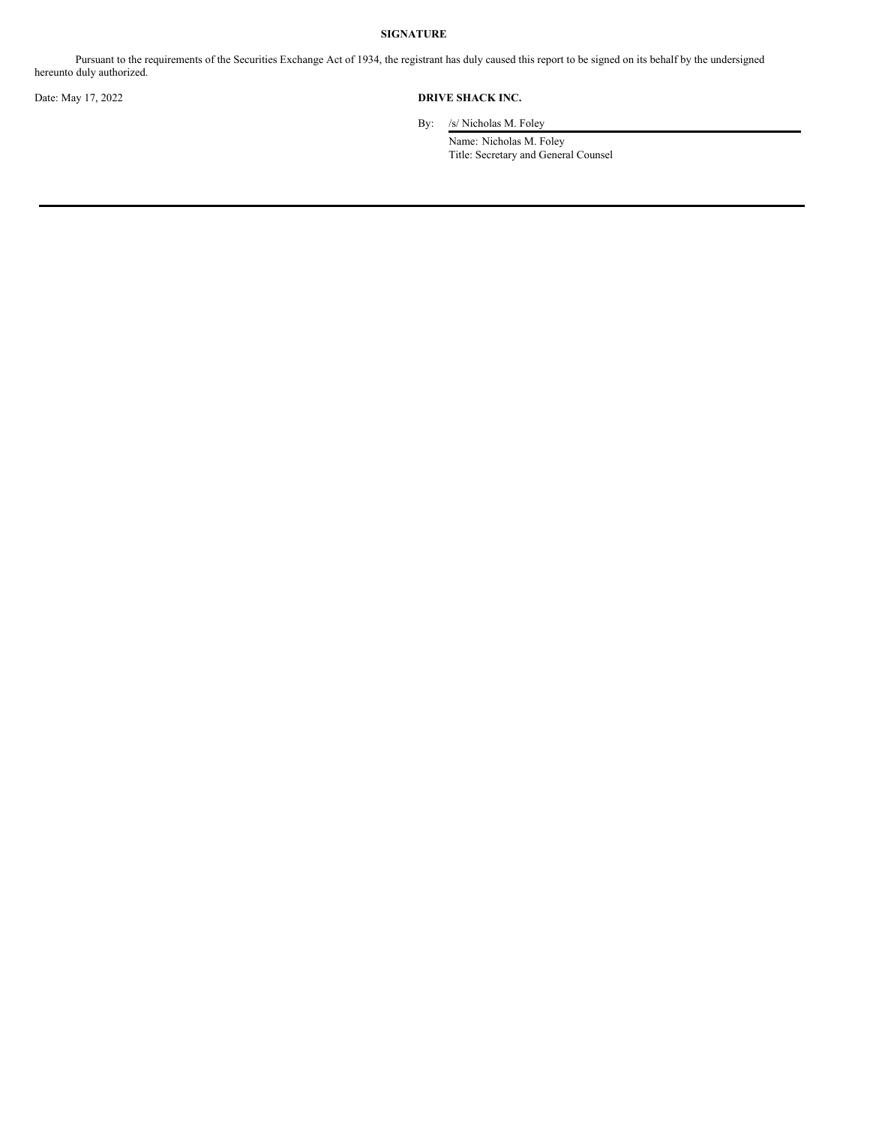### **SIGNATURE**

Pursuant to the requirements of the Securities Exchange Act of 1934, the registrant has duly caused this report to be signed on its behalf by the undersigned hereunto duly authorized.

### Date: May 17, 2022 **DRIVE SHACK INC.**

By: /s/ Nicholas M. Foley

Name: Nicholas M. Foley Title: Secretary and General Counsel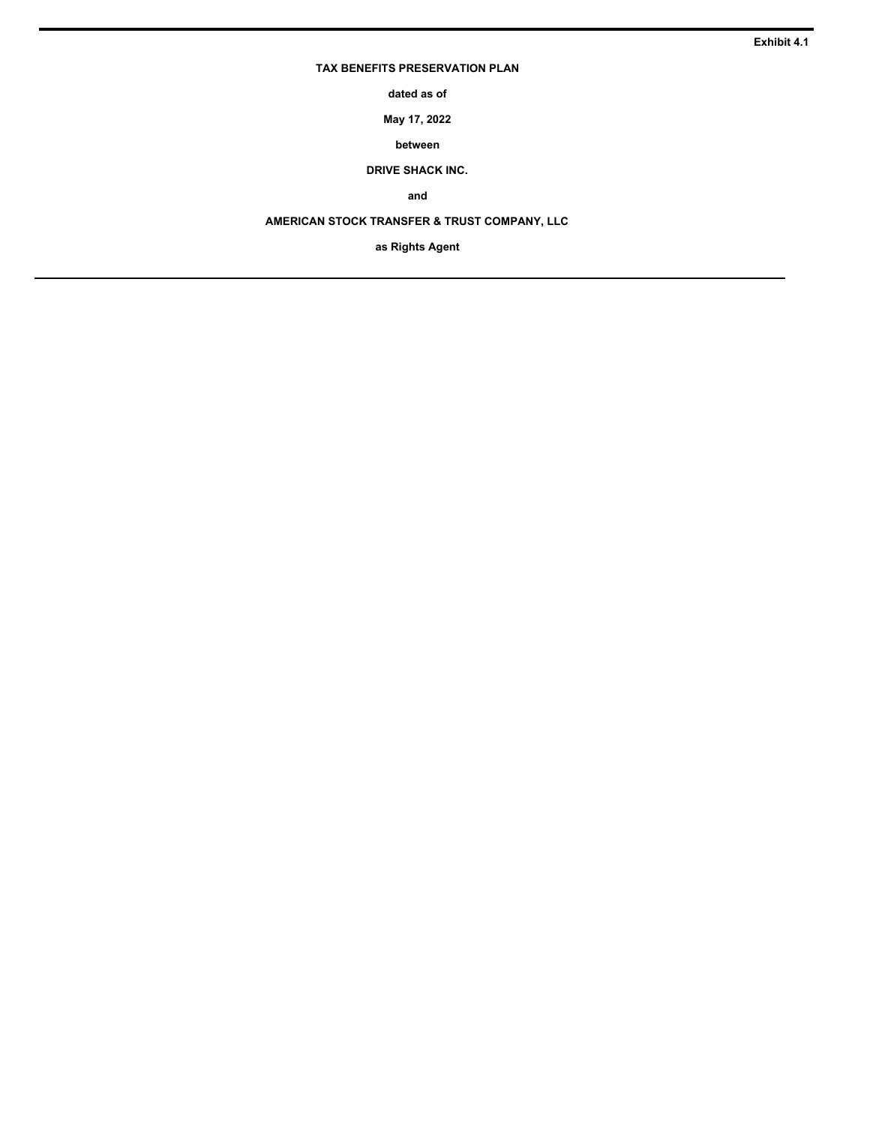### **TAX BENEFITS PRESERVATION PLAN**

**dated as of**

**May 17, 2022**

**between**

**DRIVE SHACK INC.**

**and**

**AMERICAN STOCK TRANSFER & TRUST COMPANY, LLC**

**as Rights Agent**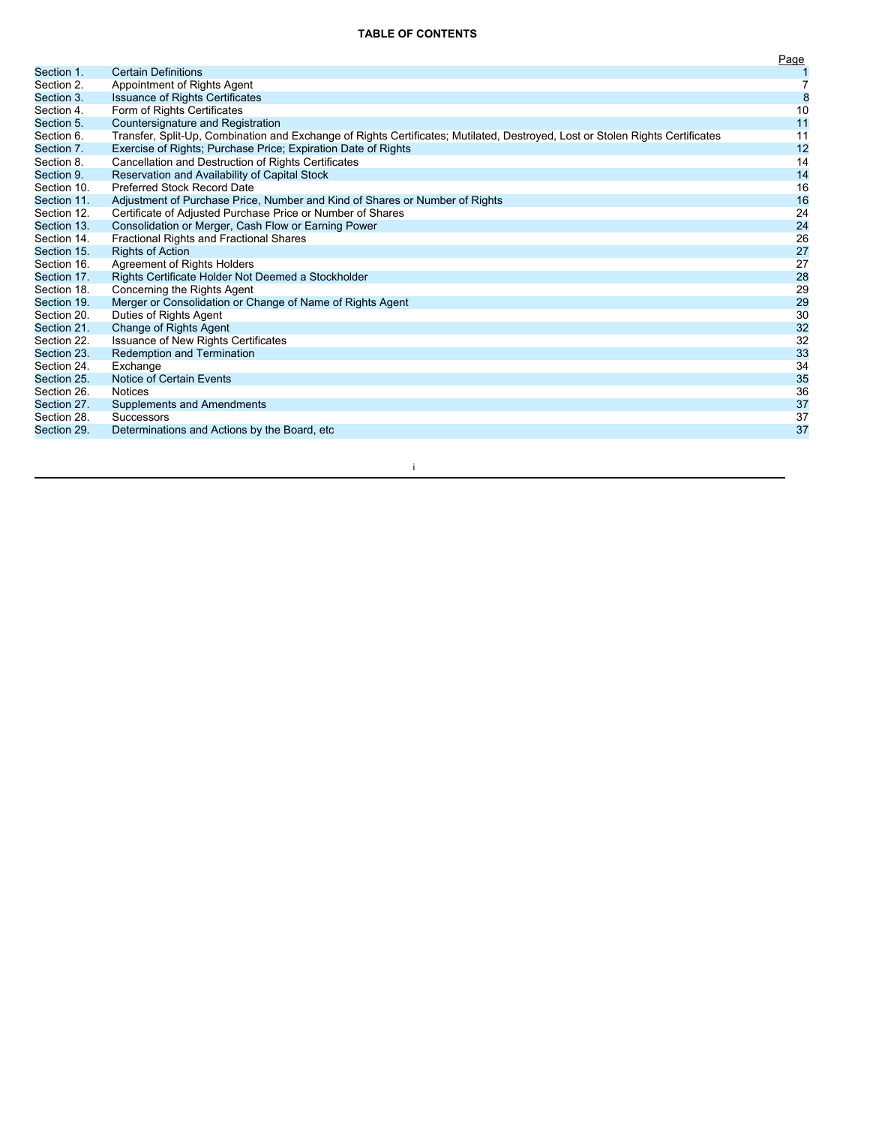### **TABLE OF CONTENTS**

|             |                                                                                                                               | Page             |
|-------------|-------------------------------------------------------------------------------------------------------------------------------|------------------|
| Section 1.  | <b>Certain Definitions</b>                                                                                                    |                  |
| Section 2.  | Appointment of Rights Agent                                                                                                   | $\overline{7}$   |
| Section 3.  | <b>Issuance of Rights Certificates</b>                                                                                        | $\boldsymbol{8}$ |
| Section 4.  | Form of Rights Certificates                                                                                                   | 10               |
| Section 5.  | Countersignature and Registration                                                                                             | 11               |
| Section 6.  | Transfer, Split-Up, Combination and Exchange of Rights Certificates; Mutilated, Destroyed, Lost or Stolen Rights Certificates | 11               |
| Section 7.  | Exercise of Rights; Purchase Price; Expiration Date of Rights                                                                 | 12               |
| Section 8.  | Cancellation and Destruction of Rights Certificates                                                                           | 14               |
| Section 9.  | Reservation and Availability of Capital Stock                                                                                 | 14               |
| Section 10. | Preferred Stock Record Date                                                                                                   | 16               |
| Section 11. | Adjustment of Purchase Price, Number and Kind of Shares or Number of Rights                                                   | 16               |
| Section 12. | Certificate of Adjusted Purchase Price or Number of Shares                                                                    | 24               |
| Section 13. | Consolidation or Merger, Cash Flow or Earning Power                                                                           | 24               |
| Section 14. | Fractional Rights and Fractional Shares                                                                                       | 26               |
| Section 15. | <b>Rights of Action</b>                                                                                                       | 27               |
| Section 16. | Agreement of Rights Holders                                                                                                   | 27               |
| Section 17. | Rights Certificate Holder Not Deemed a Stockholder                                                                            | 28               |
| Section 18. | Concerning the Rights Agent                                                                                                   | 29               |
| Section 19. | Merger or Consolidation or Change of Name of Rights Agent                                                                     | 29               |
| Section 20. | Duties of Rights Agent                                                                                                        | 30               |
| Section 21. | Change of Rights Agent                                                                                                        | 32               |
| Section 22. | <b>Issuance of New Rights Certificates</b>                                                                                    | 32               |
| Section 23. | <b>Redemption and Termination</b>                                                                                             | 33               |
| Section 24. | Exchange                                                                                                                      | 34               |
| Section 25. | Notice of Certain Events                                                                                                      | 35               |
| Section 26. | <b>Notices</b>                                                                                                                | 36               |
| Section 27. | Supplements and Amendments                                                                                                    | 37               |
| Section 28. | <b>Successors</b>                                                                                                             | 37               |
| Section 29. | Determinations and Actions by the Board, etc.                                                                                 | 37               |
|             |                                                                                                                               |                  |

i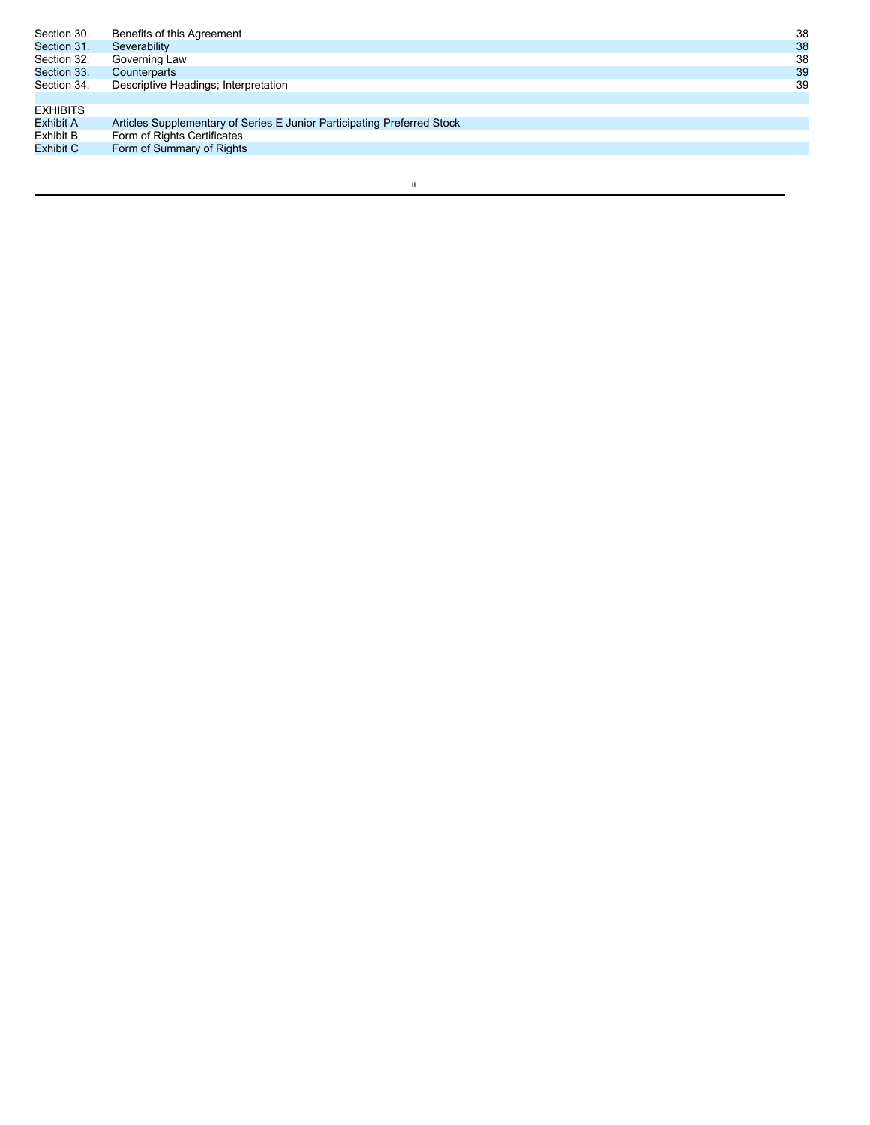| Benefits of this Agreement                                              | 38 |
|-------------------------------------------------------------------------|----|
| Severability                                                            | 38 |
| Governing Law                                                           | 38 |
| Counterparts                                                            | 39 |
| Descriptive Headings; Interpretation                                    | 39 |
|                                                                         |    |
|                                                                         |    |
| Articles Supplementary of Series E Junior Participating Preferred Stock |    |
| Form of Rights Certificates                                             |    |
| Form of Summary of Rights                                               |    |
|                                                                         |    |

ii ali kandida kandida kandida kandida kandida kandida kandida kandida kandida kandida kandida kandida kandida<br>Kandida kandida kandida kandida kandida kandida kandida kandida kandida kandida kandida kandida kandida kandid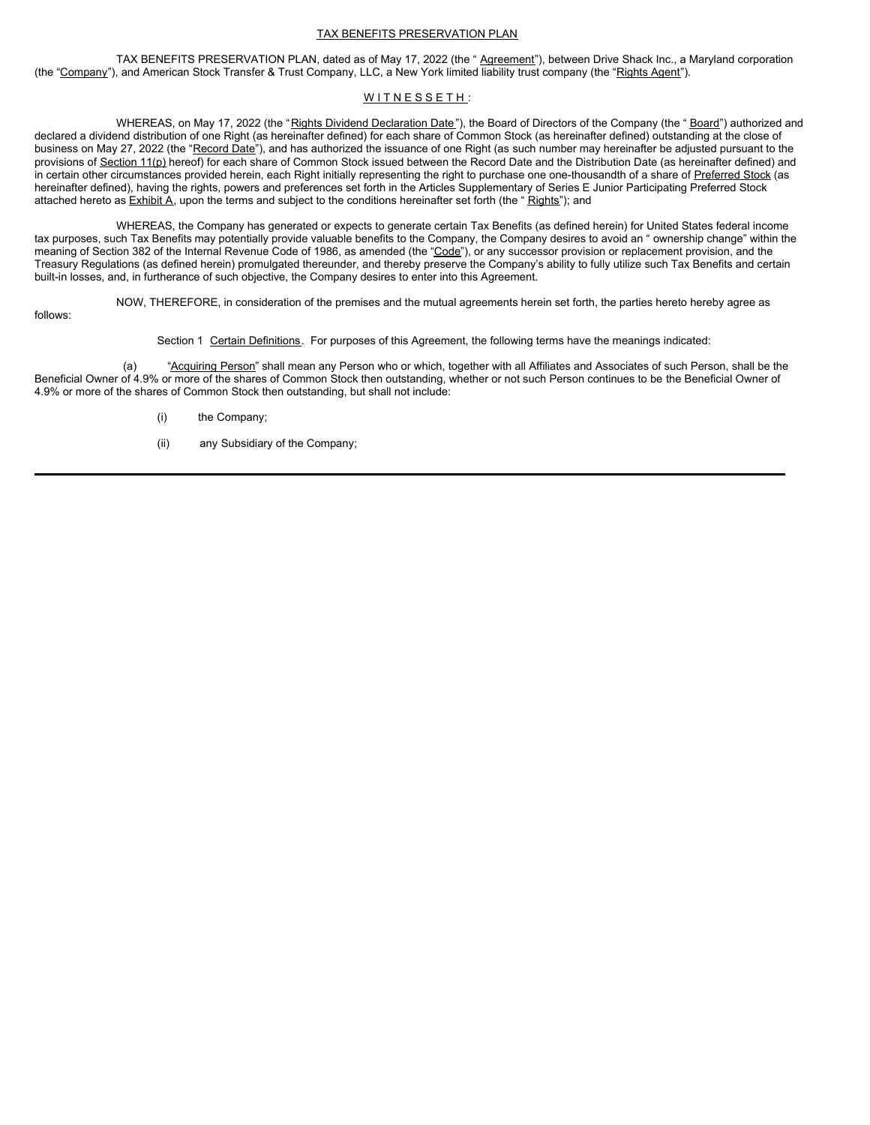### TAX BENEFITS PRESERVATION PLAN

TAX BENEFITS PRESERVATION PLAN, dated as of May 17, 2022 (the " Agreement"), between Drive Shack Inc., a Maryland corporation (the "Company"), and American Stock Transfer & Trust Company, LLC, a New York limited liability trust company (the "Rights Agent").

### WITNESSETH:

WHEREAS, on May 17, 2022 (the "Rights Dividend Declaration Date"), the Board of Directors of the Company (the "Board") authorized and declared a dividend distribution of one Right (as hereinafter defined) for each share of Common Stock (as hereinafter defined) outstanding at the close of business on May 27, 2022 (the "Record Date"), and has authorized the issuance of one Right (as such number may hereinafter be adjusted pursuant to the provisions of Section 11(p) hereof) for each share of Common Stock issued between the Record Date and the Distribution Date (as hereinafter defined) and in certain other circumstances provided herein, each Right initially representing the right to purchase one one-thousandth of a share of Preferred Stock (as hereinafter defined), having the rights, powers and preferences set forth in the Articles Supplementary of Series E Junior Participating Preferred Stock attached hereto as **Exhibit A**, upon the terms and subject to the conditions hereinafter set forth (the "Rights"); and

WHEREAS, the Company has generated or expects to generate certain Tax Benefits (as defined herein) for United States federal income tax purposes, such Tax Benefits may potentially provide valuable benefits to the Company, the Company desires to avoid an " ownership change" within the meaning of Section 382 of the Internal Revenue Code of 1986, as amended (the "Code"), or any successor provision or replacement provision, and the Treasury Regulations (as defined herein) promulgated thereunder, and thereby preserve the Company's ability to fully utilize such Tax Benefits and certain built-in losses, and, in furtherance of such objective, the Company desires to enter into this Agreement.

follows:

NOW, THEREFORE, in consideration of the premises and the mutual agreements herein set forth, the parties hereto hereby agree as

Section 1 Certain Definitions. For purposes of this Agreement, the following terms have the meanings indicated:

(a) "Acquiring Person" shall mean any Person who or which, together with all Affiliates and Associates of such Person, shall be the Beneficial Owner of 4.9% or more of the shares of Common Stock then outstanding, whether or not such Person continues to be the Beneficial Owner of 4.9% or more of the shares of Common Stock then outstanding, but shall not include:

- (i) the Company;
- (ii) any Subsidiary of the Company;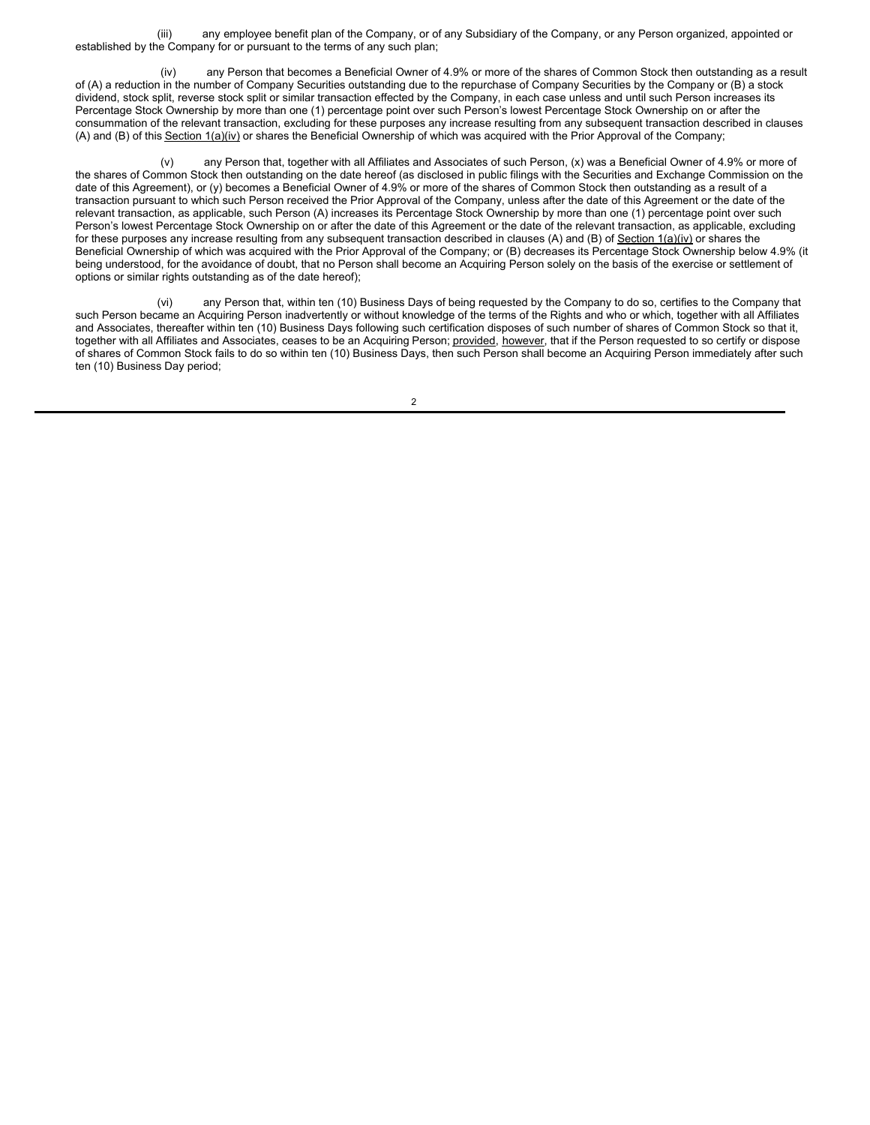(iii) any employee benefit plan of the Company, or of any Subsidiary of the Company, or any Person organized, appointed or established by the Company for or pursuant to the terms of any such plan;

(iv) any Person that becomes a Beneficial Owner of 4.9% or more of the shares of Common Stock then outstanding as a result of (A) a reduction in the number of Company Securities outstanding due to the repurchase of Company Securities by the Company or (B) a stock dividend, stock split, reverse stock split or similar transaction effected by the Company, in each case unless and until such Person increases its Percentage Stock Ownership by more than one (1) percentage point over such Person's lowest Percentage Stock Ownership on or after the consummation of the relevant transaction, excluding for these purposes any increase resulting from any subsequent transaction described in clauses (A) and (B) of this Section 1(a)(iv) or shares the Beneficial Ownership of which was acquired with the Prior Approval of the Company;

(v) any Person that, together with all Affiliates and Associates of such Person, (x) was a Beneficial Owner of 4.9% or more of the shares of Common Stock then outstanding on the date hereof (as disclosed in public filings with the Securities and Exchange Commission on the date of this Agreement), or (y) becomes a Beneficial Owner of 4.9% or more of the shares of Common Stock then outstanding as a result of a transaction pursuant to which such Person received the Prior Approval of the Company, unless after the date of this Agreement or the date of the relevant transaction, as applicable, such Person (A) increases its Percentage Stock Ownership by more than one (1) percentage point over such Person's lowest Percentage Stock Ownership on or after the date of this Agreement or the date of the relevant transaction, as applicable, excluding for these purposes any increase resulting from any subsequent transaction described in clauses (A) and (B) of Section  $1(a)(iv)$  or shares the Beneficial Ownership of which was acquired with the Prior Approval of the Company; or (B) decreases its Percentage Stock Ownership below 4.9% (it being understood, for the avoidance of doubt, that no Person shall become an Acquiring Person solely on the basis of the exercise or settlement of options or similar rights outstanding as of the date hereof);

(vi) any Person that, within ten (10) Business Days of being requested by the Company to do so, certifies to the Company that such Person became an Acquiring Person inadvertently or without knowledge of the terms of the Rights and who or which, together with all Affiliates and Associates, thereafter within ten (10) Business Days following such certification disposes of such number of shares of Common Stock so that it, together with all Affiliates and Associates, ceases to be an Acquiring Person; provided, however, that if the Person requested to so certify or dispose of shares of Common Stock fails to do so within ten (10) Business Days, then such Person shall become an Acquiring Person immediately after such ten (10) Business Day period;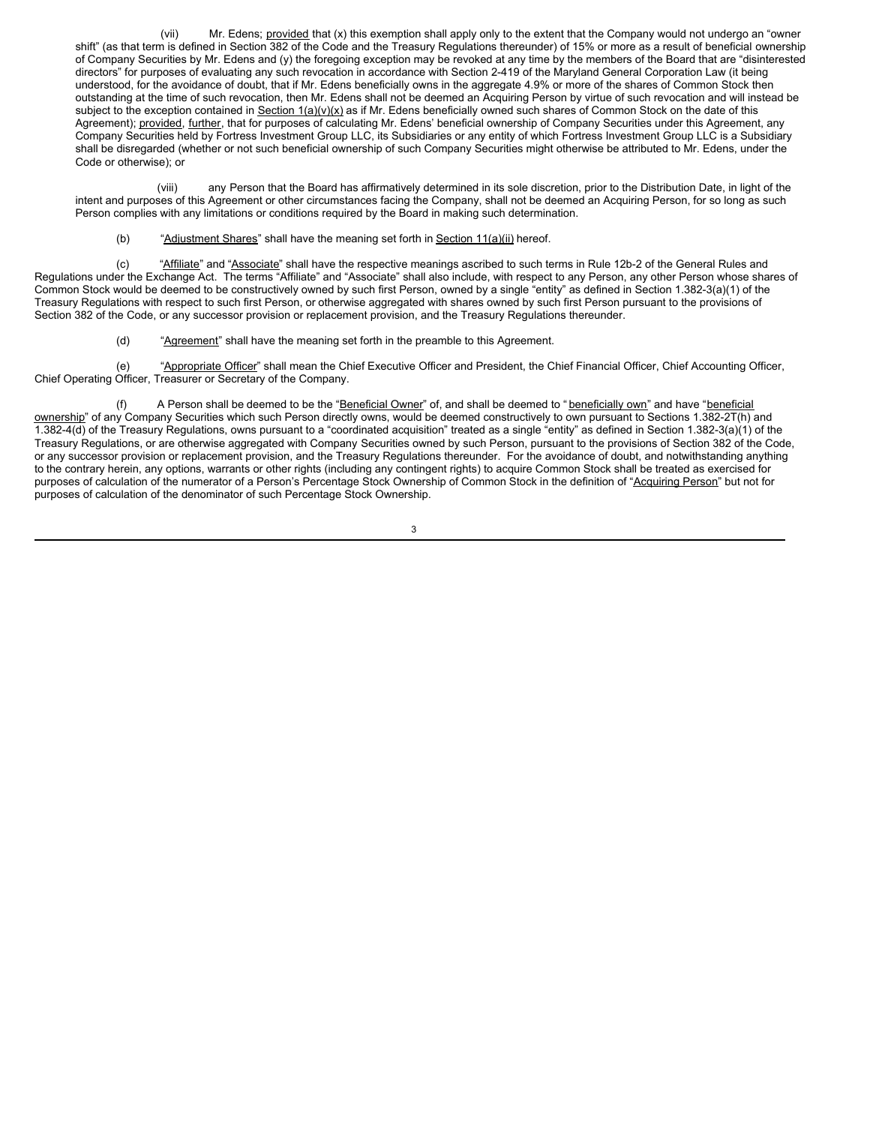(vii) Mr. Edens; provided that (x) this exemption shall apply only to the extent that the Company would not undergo an "owner shift" (as that term is defined in Section 382 of the Code and the Treasury Regulations thereunder) of 15% or more as a result of beneficial ownership of Company Securities by Mr. Edens and (y) the foregoing exception may be revoked at any time by the members of the Board that are "disinterested directors" for purposes of evaluating any such revocation in accordance with Section 2-419 of the Maryland General Corporation Law (it being understood, for the avoidance of doubt, that if Mr. Edens beneficially owns in the aggregate 4.9% or more of the shares of Common Stock then outstanding at the time of such revocation, then Mr. Edens shall not be deemed an Acquiring Person by virtue of such revocation and will instead be subject to the exception contained in Section  $1(a)(v)(x)$  as if Mr. Edens beneficially owned such shares of Common Stock on the date of this Agreement); provided, further, that for purposes of calculating Mr. Edens' beneficial ownership of Company Securities under this Agreement, any Company Securities held by Fortress Investment Group LLC, its Subsidiaries or any entity of which Fortress Investment Group LLC is a Subsidiary shall be disregarded (whether or not such beneficial ownership of such Company Securities might otherwise be attributed to Mr. Edens, under the Code or otherwise); or

(viii) any Person that the Board has affirmatively determined in its sole discretion, prior to the Distribution Date, in light of the intent and purposes of this Agreement or other circumstances facing the Company, shall not be deemed an Acquiring Person, for so long as such Person complies with any limitations or conditions required by the Board in making such determination.

(b) "Adjustment Shares" shall have the meaning set forth in Section  $11(a)(ii)$  hereof.

(c) "Affiliate" and "Associate" shall have the respective meanings ascribed to such terms in Rule 12b-2 of the General Rules and Regulations under the Exchange Act. The terms "Affiliate" and "Associate" shall also include, with respect to any Person, any other Person whose shares of Common Stock would be deemed to be constructively owned by such first Person, owned by a single "entity" as defined in Section 1.382-3(a)(1) of the Treasury Regulations with respect to such first Person, or otherwise aggregated with shares owned by such first Person pursuant to the provisions of Section 382 of the Code, or any successor provision or replacement provision, and the Treasury Regulations thereunder.

(d) ""Agreement" shall have the meaning set forth in the preamble to this Agreement.

(e) "Appropriate Officer" shall mean the Chief Executive Officer and President, the Chief Financial Officer, Chief Accounting Officer, Chief Operating Officer, Treasurer or Secretary of the Company.

A Person shall be deemed to be the "Beneficial Owner" of, and shall be deemed to " beneficially own" and have "beneficial ownership" of any Company Securities which such Person directly owns, would be deemed constructively to own pursuant to Sections 1.382-2T(h) and 1.382-4(d) of the Treasury Regulations, owns pursuant to a "coordinated acquisition" treated as a single "entity" as defined in Section 1.382-3(a)(1) of the Treasury Regulations, or are otherwise aggregated with Company Securities owned by such Person, pursuant to the provisions of Section 382 of the Code, or any successor provision or replacement provision, and the Treasury Regulations thereunder. For the avoidance of doubt, and notwithstanding anything to the contrary herein, any options, warrants or other rights (including any contingent rights) to acquire Common Stock shall be treated as exercised for purposes of calculation of the numerator of a Person's Percentage Stock Ownership of Common Stock in the definition of "Acquiring Person" but not for purposes of calculation of the denominator of such Percentage Stock Ownership.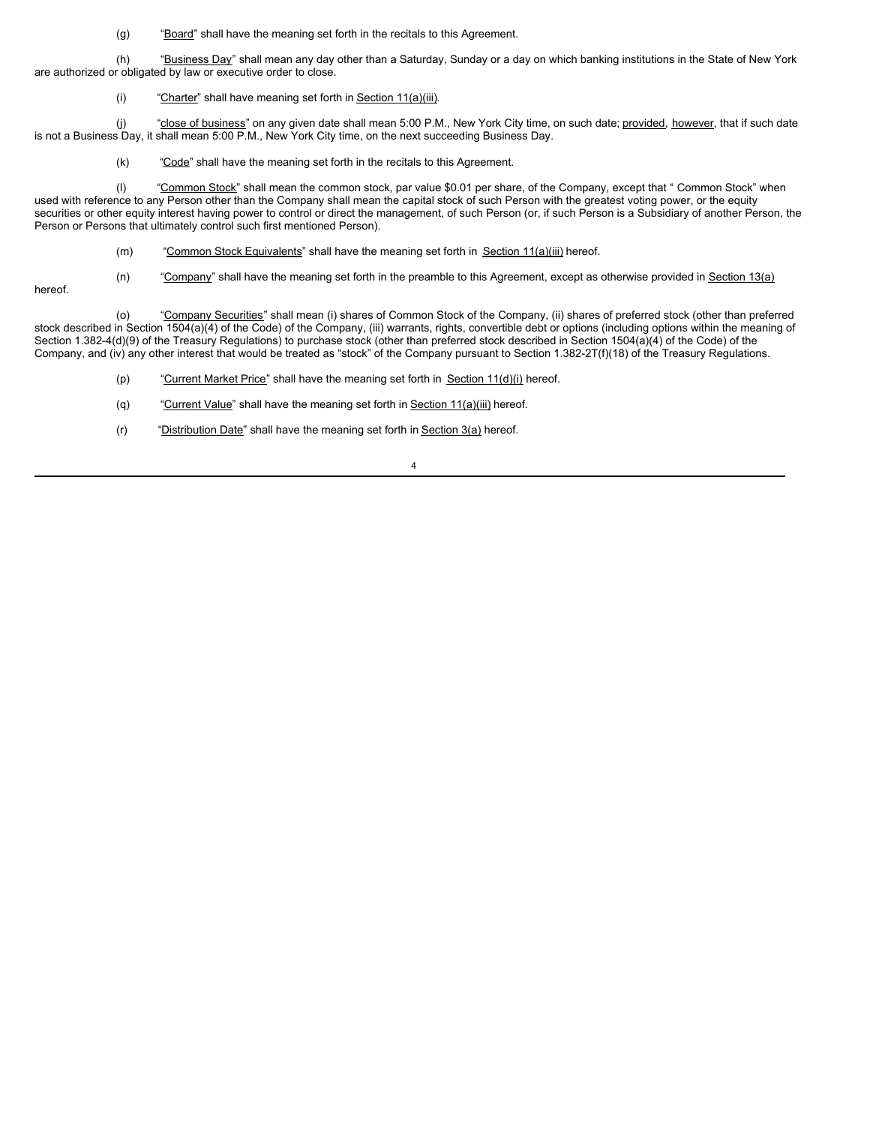(g) "Board" shall have the meaning set forth in the recitals to this Agreement.

(h) "Business Day" shall mean any day other than a Saturday, Sunday or a day on which banking institutions in the State of New York are authorized or obligated by law or executive order to close.

(i) "Charter" shall have meaning set forth in Section  $11(a)(iii)$ .

(j) "close of business" on any given date shall mean 5:00 P.M., New York City time, on such date; provided, however, that if such date is not a Business Day, it shall mean 5:00 P.M., New York City time, on the next succeeding Business Day.

(k) "Code" shall have the meaning set forth in the recitals to this Agreement.

(I) "Common Stock" shall mean the common stock, par value \$0.01 per share, of the Company, except that " Common Stock" when used with reference to any Person other than the Company shall mean the capital stock of such Person with the greatest voting power, or the equity securities or other equity interest having power to control or direct the management, of such Person (or, if such Person is a Subsidiary of another Person, the Person or Persons that ultimately control such first mentioned Person).

(m) "Common Stock Equivalents" shall have the meaning set forth in Section 11(a)(iii) hereof.

 $(n)$  "Company" shall have the meaning set forth in the preamble to this Agreement, except as otherwise provided in Section 13(a)

hereof.

(o) "Company Securities" shall mean (i) shares of Common Stock of the Company, (ii) shares of preferred stock (other than preferred stock described in Section 1504(a)(4) of the Code) of the Company, (iii) warrants, rights, convertible debt or options (including options within the meaning of Section 1.382-4(d)(9) of the Treasury Regulations) to purchase stock (other than preferred stock described in Section 1504(a)(4) of the Code) of the Company, and (iv) any other interest that would be treated as "stock" of the Company pursuant to Section 1.382-2T(f)(18) of the Treasury Regulations.

- (p) "Current Market Price" shall have the meaning set forth in Section  $11(d)(i)$  hereof.
- (q) "Current Value" shall have the meaning set forth in Section  $11(a)(iii)$  hereof.
- (r) "Distribution Date" shall have the meaning set forth in Section  $3(a)$  hereof.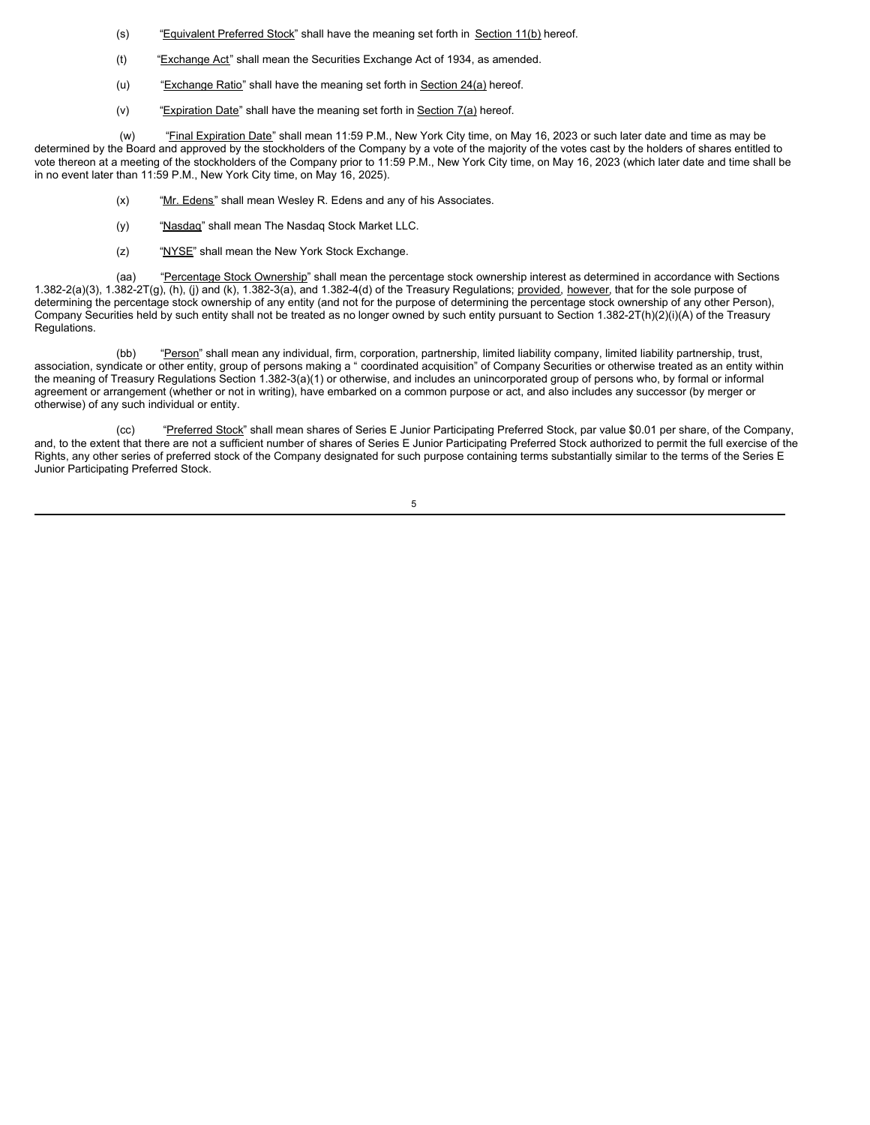- (s) "Equivalent Preferred Stock" shall have the meaning set forth in Section 11(b) hereof.
- (t) "Exchange Act" shall mean the Securities Exchange Act of 1934, as amended.
- (u) "Exchange Ratio" shall have the meaning set forth in Section 24(a) hereof.
- (v) "Expiration Date" shall have the meaning set forth in Section  $7(a)$  hereof.

(w) "Final Expiration Date" shall mean 11:59 P.M., New York City time, on May 16, 2023 or such later date and time as may be determined by the Board and approved by the stockholders of the Company by a vote of the majority of the votes cast by the holders of shares entitled to vote thereon at a meeting of the stockholders of the Company prior to 11:59 P.M., New York City time, on May 16, 2023 (which later date and time shall be in no event later than 11:59 P.M., New York City time, on May 16, 2025).

- (x) "Mr. Edens" shall mean Wesley R. Edens and any of his Associates.
- (y) "Nasdaq" shall mean The Nasdaq Stock Market LLC.
- (z) "NYSE" shall mean the New York Stock Exchange.

(aa) "Percentage Stock Ownership" shall mean the percentage stock ownership interest as determined in accordance with Sections 1.382-2(a)(3), 1.382-2T(g), (h), (j) and (k), 1.382-3(a), and 1.382-4(d) of the Treasury Regulations; provided, however, that for the sole purpose of determining the percentage stock ownership of any entity (and not for the purpose of determining the percentage stock ownership of any other Person), Company Securities held by such entity shall not be treated as no longer owned by such entity pursuant to Section 1.382-2T(h)(2)(i)(A) of the Treasury Regulations.

(bb) "Person" shall mean any individual, firm, corporation, partnership, limited liability company, limited liability partnership, trust, association, syndicate or other entity, group of persons making a " coordinated acquisition" of Company Securities or otherwise treated as an entity within the meaning of Treasury Regulations Section 1.382-3(a)(1) or otherwise, and includes an unincorporated group of persons who, by formal or informal agreement or arrangement (whether or not in writing), have embarked on a common purpose or act, and also includes any successor (by merger or otherwise) of any such individual or entity.

(cc) "Preferred Stock" shall mean shares of Series E Junior Participating Preferred Stock, par value \$0.01 per share, of the Company, and, to the extent that there are not a sufficient number of shares of Series E Junior Participating Preferred Stock authorized to permit the full exercise of the Rights, any other series of preferred stock of the Company designated for such purpose containing terms substantially similar to the terms of the Series E Junior Participating Preferred Stock.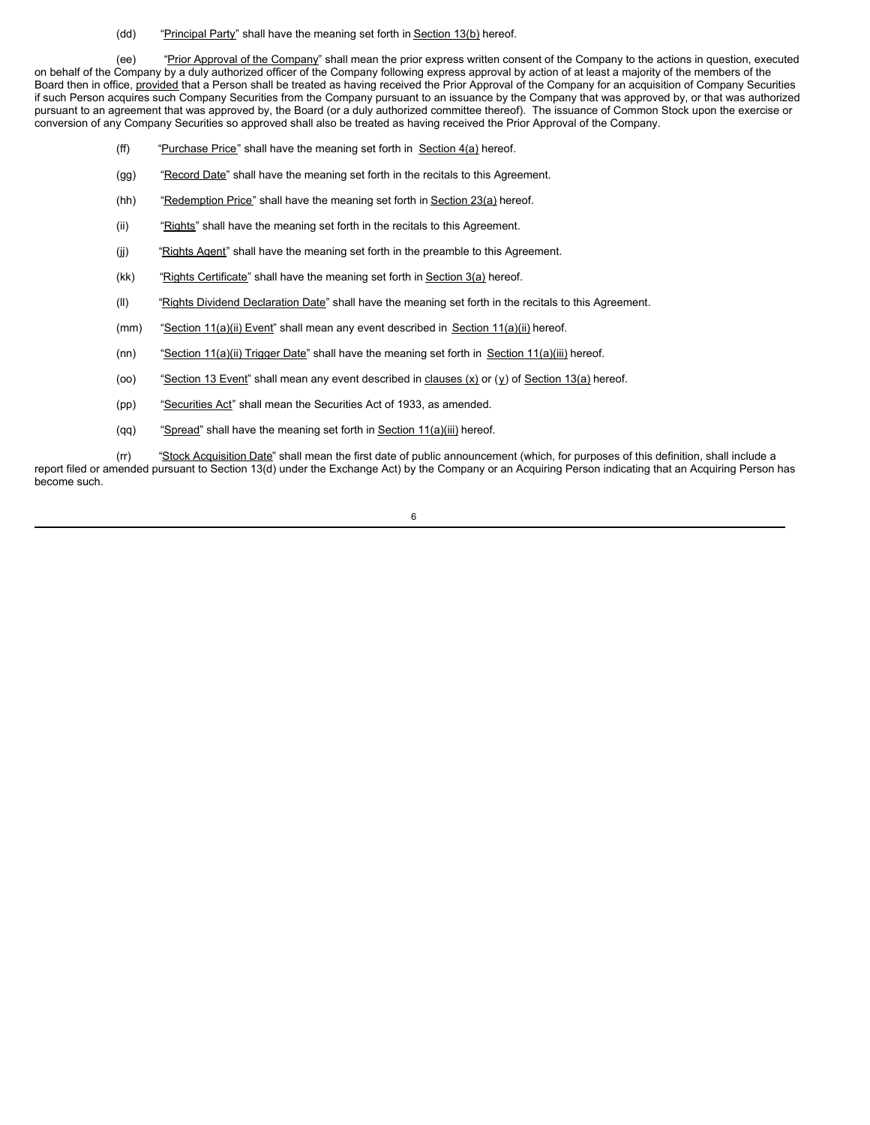(dd) "Principal Party" shall have the meaning set forth in Section 13(b) hereof.

(ee) "Prior Approval of the Company" shall mean the prior express written consent of the Company to the actions in question, executed on behalf of the Company by a duly authorized officer of the Company following express approval by action of at least a majority of the members of the Board then in office, provided that a Person shall be treated as having received the Prior Approval of the Company for an acquisition of Company Securities if such Person acquires such Company Securities from the Company pursuant to an issuance by the Company that was approved by, or that was authorized pursuant to an agreement that was approved by, the Board (or a duly authorized committee thereof). The issuance of Common Stock upon the exercise or conversion of any Company Securities so approved shall also be treated as having received the Prior Approval of the Company.

- (ff) "Purchase Price" shall have the meaning set forth in Section  $4(a)$  hereof.
- (gg) "Record Date" shall have the meaning set forth in the recitals to this Agreement.
- (hh) "Redemption Price" shall have the meaning set forth in Section  $23(a)$  hereof.
- (ii) "Rights" shall have the meaning set forth in the recitals to this Agreement.
- (j) "Rights Agent" shall have the meaning set forth in the preamble to this Agreement.
- (kk) "Rights Certificate" shall have the meaning set forth in Section  $3(a)$  hereof.
- (II) "Rights Dividend Declaration Date" shall have the meaning set forth in the recitals to this Agreement.
- (mm) "Section 11(a)(ii) Event" shall mean any event described in Section 11(a)(ii) hereof.
- (nn) "Section 11(a)(ii) Trigger Date" shall have the meaning set forth in Section 11(a)(iii) hereof.
- (oo) "Section 13 Event" shall mean any event described in clauses  $(x)$  or  $(y)$  of Section 13(a) hereof.
- (pp) "Securities Act" shall mean the Securities Act of 1933, as amended.
- (qq) "Spread" shall have the meaning set forth in Section  $11(a)$ (iii) hereof.

(rr) "Stock Acquisition Date" shall mean the first date of public announcement (which, for purposes of this definition, shall include a report filed or amended pursuant to Section 13(d) under the Exchange Act) by the Company or an Acquiring Person indicating that an Acquiring Person has become such.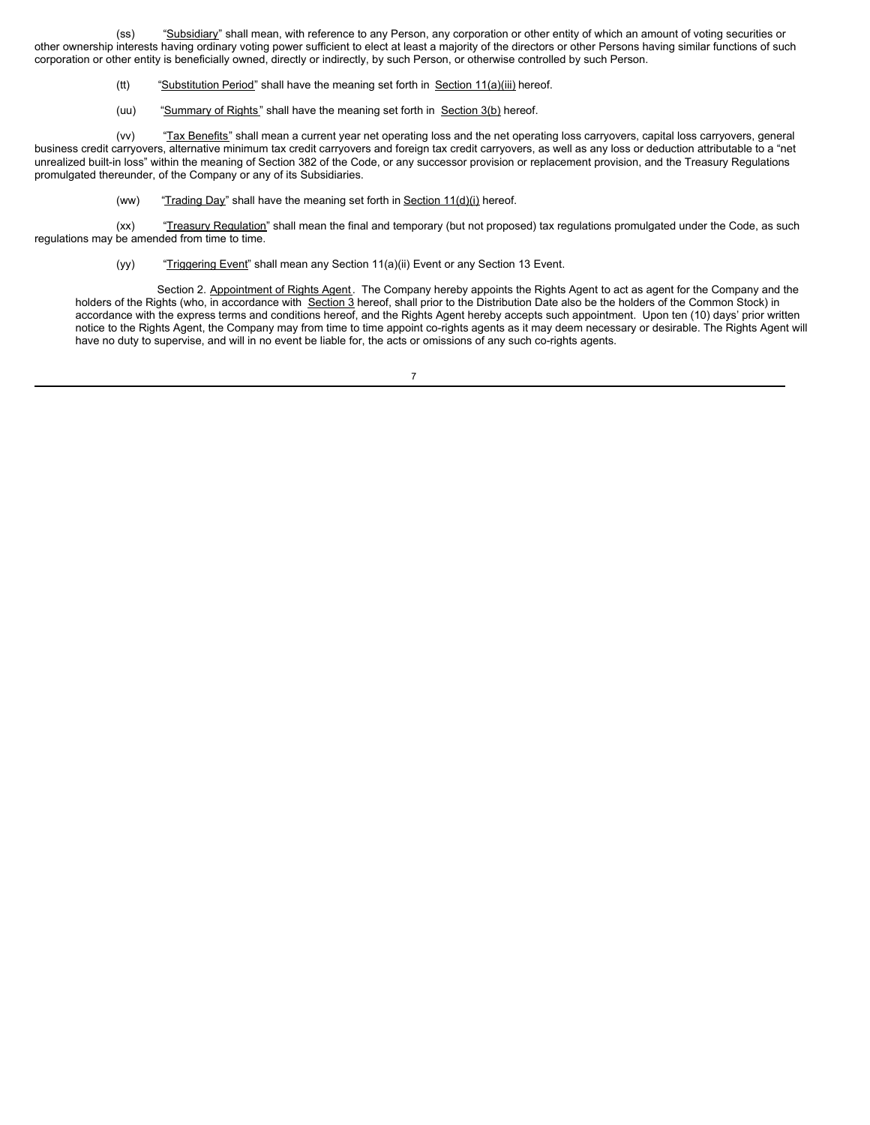(ss) "Subsidiary" shall mean, with reference to any Person, any corporation or other entity of which an amount of voting securities or other ownership interests having ordinary voting power sufficient to elect at least a majority of the directors or other Persons having similar functions of such corporation or other entity is beneficially owned, directly or indirectly, by such Person, or otherwise controlled by such Person.

- (tt) "Substitution Period" shall have the meaning set forth in Section  $11(a)(iii)$  hereof.
- (uu) "Summary of Rights" shall have the meaning set forth in Section 3(b) hereof.

(vv) "Tax Benefits" shall mean a current year net operating loss and the net operating loss carryovers, capital loss carryovers, general business credit carryovers, alternative minimum tax credit carryovers and foreign tax credit carryovers, as well as any loss or deduction attributable to a "net unrealized built-in loss" within the meaning of Section 382 of the Code, or any successor provision or replacement provision, and the Treasury Regulations promulgated thereunder, of the Company or any of its Subsidiaries.

(ww) "Trading Day" shall have the meaning set forth in Section  $11(d)(i)$  hereof.

(xx) "Treasury Regulation" shall mean the final and temporary (but not proposed) tax regulations promulgated under the Code, as such regulations may be amended from time to time.

(yy) "Triggering Event" shall mean any Section 11(a)(ii) Event or any Section 13 Event.

Section 2. Appointment of Rights Agent. The Company hereby appoints the Rights Agent to act as agent for the Company and the holders of the Rights (who, in accordance with Section 3 hereof, shall prior to the Distribution Date also be the holders of the Common Stock) in accordance with the express terms and conditions hereof, and the Rights Agent hereby accepts such appointment. Upon ten (10) days' prior written notice to the Rights Agent, the Company may from time to time appoint co-rights agents as it may deem necessary or desirable. The Rights Agent will have no duty to supervise, and will in no event be liable for, the acts or omissions of any such co-rights agents.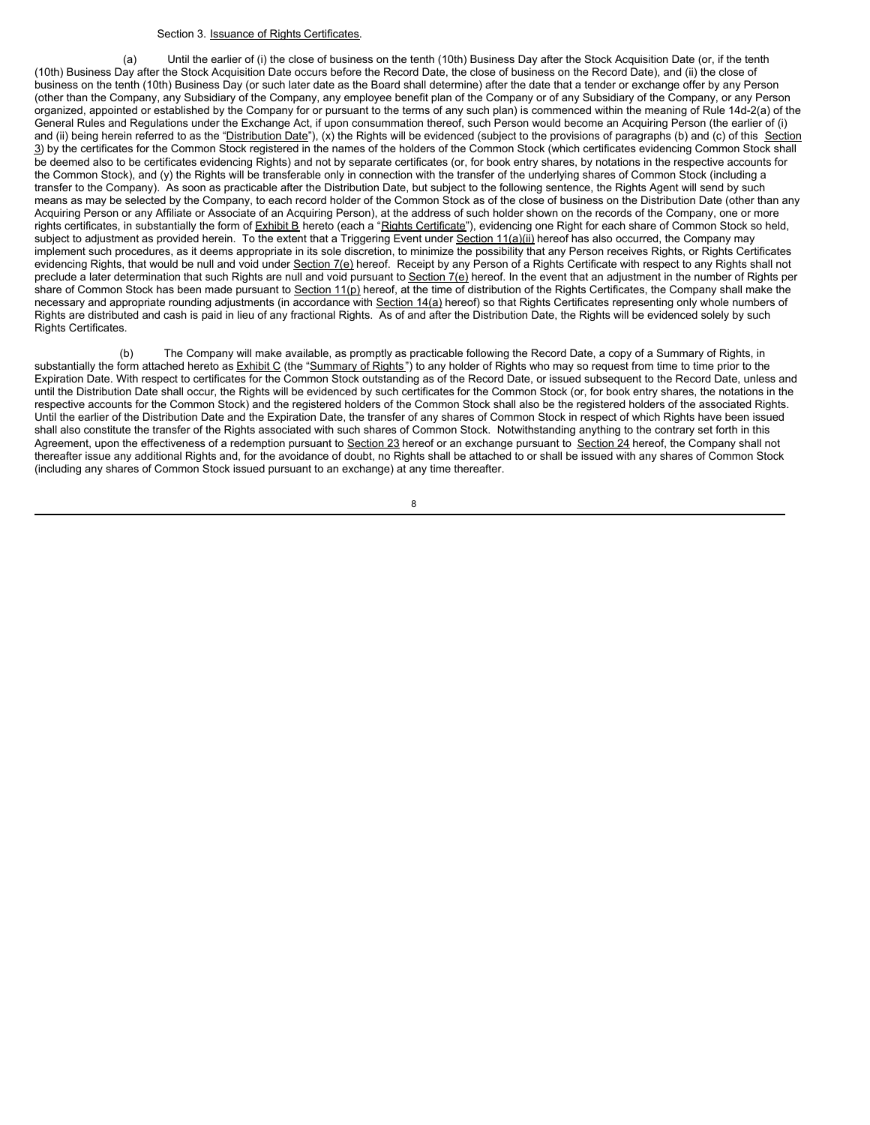### Section 3. Issuance of Rights Certificates.

(a) Until the earlier of (i) the close of business on the tenth (10th) Business Day after the Stock Acquisition Date (or, if the tenth (10th) Business Day after the Stock Acquisition Date occurs before the Record Date, the close of business on the Record Date), and (ii) the close of business on the tenth (10th) Business Day (or such later date as the Board shall determine) after the date that a tender or exchange offer by any Person (other than the Company, any Subsidiary of the Company, any employee benefit plan of the Company or of any Subsidiary of the Company, or any Person organized, appointed or established by the Company for or pursuant to the terms of any such plan) is commenced within the meaning of Rule 14d-2(a) of the General Rules and Regulations under the Exchange Act, if upon consummation thereof, such Person would become an Acquiring Person (the earlier of (i) and (ii) being herein referred to as the "Distribution Date"), (x) the Rights will be evidenced (subject to the provisions of paragraphs (b) and (c) of this Section 3) by the certificates for the Common Stock registered in the names of the holders of the Common Stock (which certificates evidencing Common Stock shall be deemed also to be certificates evidencing Rights) and not by separate certificates (or, for book entry shares, by notations in the respective accounts for the Common Stock), and (y) the Rights will be transferable only in connection with the transfer of the underlying shares of Common Stock (including a transfer to the Company). As soon as practicable after the Distribution Date, but subject to the following sentence, the Rights Agent will send by such means as may be selected by the Company, to each record holder of the Common Stock as of the close of business on the Distribution Date (other than any Acquiring Person or any Affiliate or Associate of an Acquiring Person), at the address of such holder shown on the records of the Company, one or more rights certificates, in substantially the form of Exhibit B hereto (each a "Rights Certificate"), evidencing one Right for each share of Common Stock so held, subject to adjustment as provided herein. To the extent that a Triggering Event under Section 11(a)(ii) hereof has also occurred, the Company may implement such procedures, as it deems appropriate in its sole discretion, to minimize the possibility that any Person receives Rights, or Rights Certificates evidencing Rights, that would be null and void under Section 7(e) hereof. Receipt by any Person of a Rights Certificate with respect to any Rights shall not preclude a later determination that such Rights are null and void pursuant to Section 7(e) hereof. In the event that an adjustment in the number of Rights per share of Common Stock has been made pursuant to Section 11(p) hereof, at the time of distribution of the Rights Certificates, the Company shall make the necessary and appropriate rounding adjustments (in accordance with Section 14(a) hereof) so that Rights Certificates representing only whole numbers of Rights are distributed and cash is paid in lieu of any fractional Rights. As of and after the Distribution Date, the Rights will be evidenced solely by such Rights Certificates.

(b) The Company will make available, as promptly as practicable following the Record Date, a copy of a Summary of Rights, in substantially the form attached hereto as Exhibit C (the "Summary of Rights") to any holder of Rights who may so request from time to time prior to the Expiration Date. With respect to certificates for the Common Stock outstanding as of the Record Date, or issued subsequent to the Record Date, unless and until the Distribution Date shall occur, the Rights will be evidenced by such certificates for the Common Stock (or, for book entry shares, the notations in the respective accounts for the Common Stock) and the registered holders of the Common Stock shall also be the registered holders of the associated Rights. Until the earlier of the Distribution Date and the Expiration Date, the transfer of any shares of Common Stock in respect of which Rights have been issued shall also constitute the transfer of the Rights associated with such shares of Common Stock. Notwithstanding anything to the contrary set forth in this Agreement, upon the effectiveness of a redemption pursuant to Section 23 hereof or an exchange pursuant to Section 24 hereof, the Company shall not thereafter issue any additional Rights and, for the avoidance of doubt, no Rights shall be attached to or shall be issued with any shares of Common Stock (including any shares of Common Stock issued pursuant to an exchange) at any time thereafter.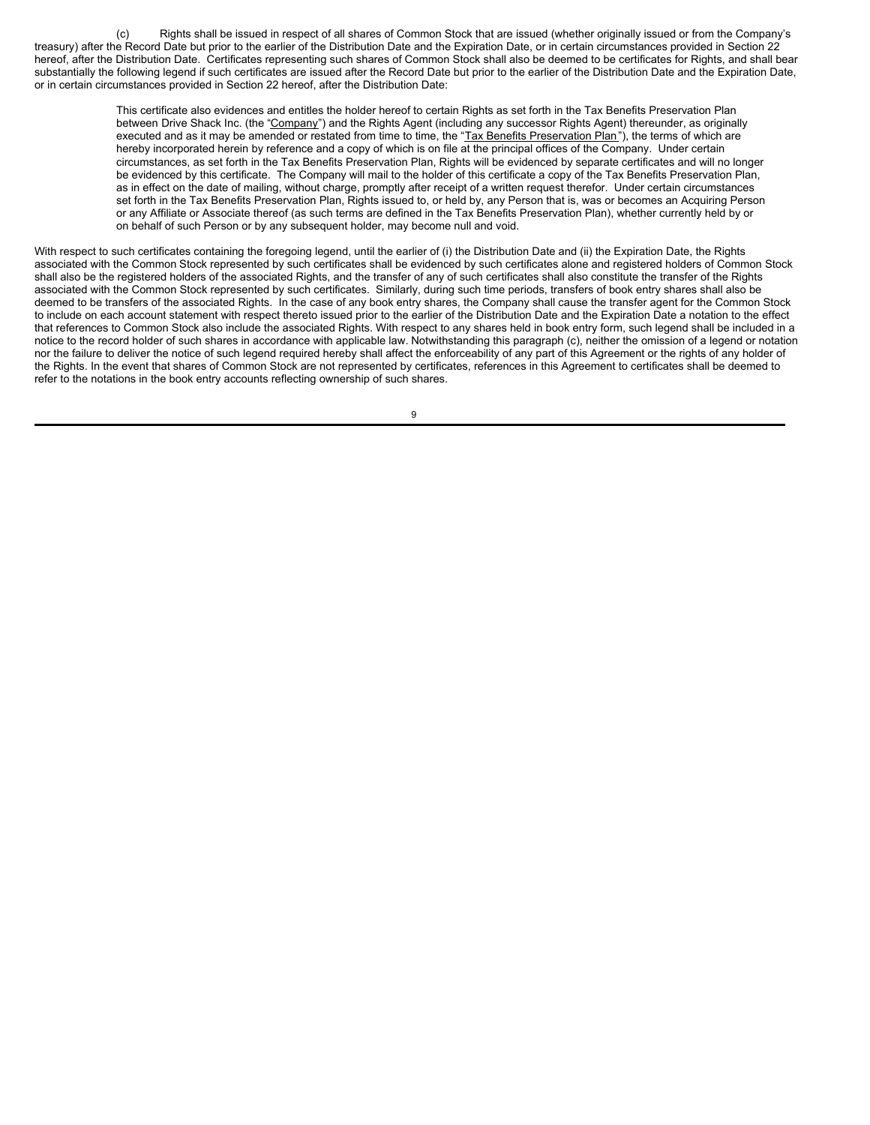(c) Rights shall be issued in respect of all shares of Common Stock that are issued (whether originally issued or from the Company's treasury) after the Record Date but prior to the earlier of the Distribution Date and the Expiration Date, or in certain circumstances provided in Section 22 hereof, after the Distribution Date. Certificates representing such shares of Common Stock shall also be deemed to be certificates for Rights, and shall bear substantially the following legend if such certificates are issued after the Record Date but prior to the earlier of the Distribution Date and the Expiration Date, or in certain circumstances provided in Section 22 hereof, after the Distribution Date:

> This certificate also evidences and entitles the holder hereof to certain Rights as set forth in the Tax Benefits Preservation Plan between Drive Shack Inc. (the "Company") and the Rights Agent (including any successor Rights Agent) thereunder, as originally executed and as it may be amended or restated from time to time, the "Tax Benefits Preservation Plan"), the terms of which are hereby incorporated herein by reference and a copy of which is on file at the principal offices of the Company. Under certain circumstances, as set forth in the Tax Benefits Preservation Plan, Rights will be evidenced by separate certificates and will no longer be evidenced by this certificate. The Company will mail to the holder of this certificate a copy of the Tax Benefits Preservation Plan, as in effect on the date of mailing, without charge, promptly after receipt of a written request therefor. Under certain circumstances set forth in the Tax Benefits Preservation Plan, Rights issued to, or held by, any Person that is, was or becomes an Acquiring Person or any Affiliate or Associate thereof (as such terms are defined in the Tax Benefits Preservation Plan), whether currently held by or on behalf of such Person or by any subsequent holder, may become null and void.

With respect to such certificates containing the foregoing legend, until the earlier of (i) the Distribution Date and (ii) the Expiration Date, the Rights associated with the Common Stock represented by such certificates shall be evidenced by such certificates alone and registered holders of Common Stock shall also be the registered holders of the associated Rights, and the transfer of any of such certificates shall also constitute the transfer of the Rights associated with the Common Stock represented by such certificates. Similarly, during such time periods, transfers of book entry shares shall also be deemed to be transfers of the associated Rights. In the case of any book entry shares, the Company shall cause the transfer agent for the Common Stock to include on each account statement with respect thereto issued prior to the earlier of the Distribution Date and the Expiration Date a notation to the effect that references to Common Stock also include the associated Rights. With respect to any shares held in book entry form, such legend shall be included in a notice to the record holder of such shares in accordance with applicable law. Notwithstanding this paragraph (c), neither the omission of a legend or notation nor the failure to deliver the notice of such legend required hereby shall affect the enforceability of any part of this Agreement or the rights of any holder of the Rights. In the event that shares of Common Stock are not represented by certificates, references in this Agreement to certificates shall be deemed to refer to the notations in the book entry accounts reflecting ownership of such shares.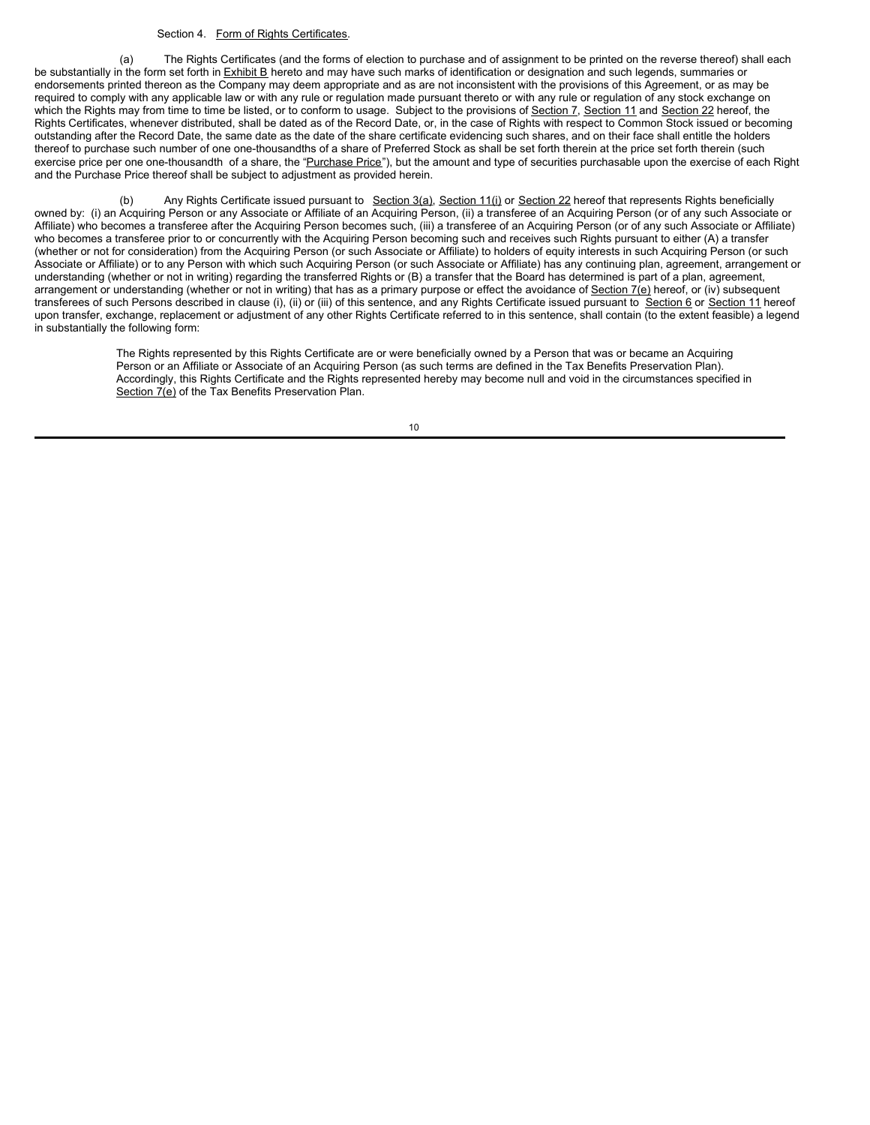### Section 4. Form of Rights Certificates.

(a) The Rights Certificates (and the forms of election to purchase and of assignment to be printed on the reverse thereof) shall each be substantially in the form set forth in Exhibit B hereto and may have such marks of identification or designation and such legends, summaries or endorsements printed thereon as the Company may deem appropriate and as are not inconsistent with the provisions of this Agreement, or as may be required to comply with any applicable law or with any rule or regulation made pursuant thereto or with any rule or regulation of any stock exchange on which the Rights may from time to time be listed, or to conform to usage. Subject to the provisions of Section 7, Section 11 and Section 22 hereof, the Rights Certificates, whenever distributed, shall be dated as of the Record Date, or, in the case of Rights with respect to Common Stock issued or becoming outstanding after the Record Date, the same date as the date of the share certificate evidencing such shares, and on their face shall entitle the holders thereof to purchase such number of one one-thousandths of a share of Preferred Stock as shall be set forth therein at the price set forth therein (such exercise price per one one-thousandth of a share, the "Purchase Price"), but the amount and type of securities purchasable upon the exercise of each Right and the Purchase Price thereof shall be subject to adjustment as provided herein.

Any Rights Certificate issued pursuant to Section 3(a), Section 11(i) or Section 22 hereof that represents Rights beneficially owned by: (i) an Acquiring Person or any Associate or Affiliate of an Acquiring Person, (ii) a transferee of an Acquiring Person (or of any such Associate or Affiliate) who becomes a transferee after the Acquiring Person becomes such, (iii) a transferee of an Acquiring Person (or of any such Associate or Affiliate) who becomes a transferee prior to or concurrently with the Acquiring Person becoming such and receives such Rights pursuant to either (A) a transfer (whether or not for consideration) from the Acquiring Person (or such Associate or Affiliate) to holders of equity interests in such Acquiring Person (or such Associate or Affiliate) or to any Person with which such Acquiring Person (or such Associate or Affiliate) has any continuing plan, agreement, arrangement or understanding (whether or not in writing) regarding the transferred Rights or (B) a transfer that the Board has determined is part of a plan, agreement, arrangement or understanding (whether or not in writing) that has as a primary purpose or effect the avoidance of Section 7(e) hereof, or (iv) subsequent transferees of such Persons described in clause (i), (ii) or (iii) of this sentence, and any Rights Certificate issued pursuant to Section 6 or Section 11 hereof upon transfer, exchange, replacement or adjustment of any other Rights Certificate referred to in this sentence, shall contain (to the extent feasible) a legend in substantially the following form:

> The Rights represented by this Rights Certificate are or were beneficially owned by a Person that was or became an Acquiring Person or an Affiliate or Associate of an Acquiring Person (as such terms are defined in the Tax Benefits Preservation Plan). Accordingly, this Rights Certificate and the Rights represented hereby may become null and void in the circumstances specified in Section 7(e) of the Tax Benefits Preservation Plan.

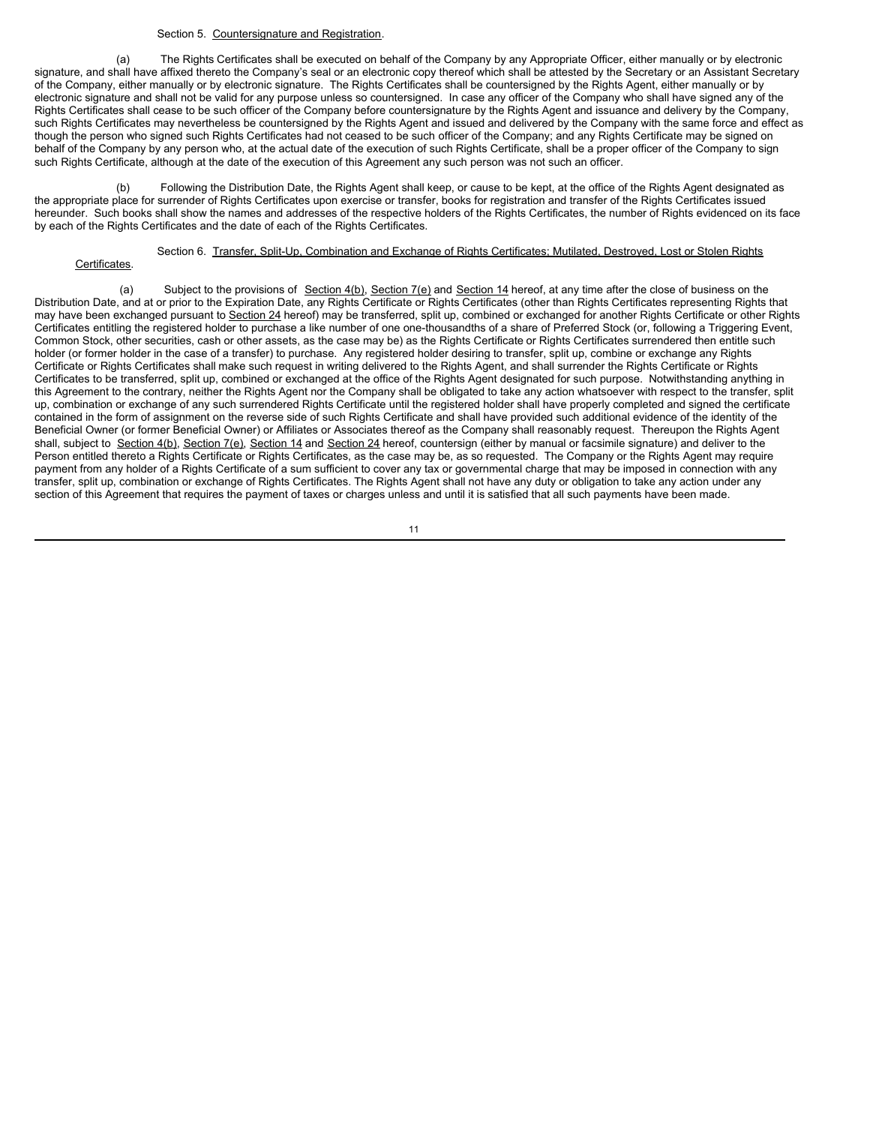### Section 5. Countersignature and Registration.

(a) The Rights Certificates shall be executed on behalf of the Company by any Appropriate Officer, either manually or by electronic signature, and shall have affixed thereto the Company's seal or an electronic copy thereof which shall be attested by the Secretary or an Assistant Secretary of the Company, either manually or by electronic signature. The Rights Certificates shall be countersigned by the Rights Agent, either manually or by electronic signature and shall not be valid for any purpose unless so countersigned. In case any officer of the Company who shall have signed any of the Rights Certificates shall cease to be such officer of the Company before countersignature by the Rights Agent and issuance and delivery by the Company, such Rights Certificates may nevertheless be countersigned by the Rights Agent and issued and delivered by the Company with the same force and effect as though the person who signed such Rights Certificates had not ceased to be such officer of the Company; and any Rights Certificate may be signed on behalf of the Company by any person who, at the actual date of the execution of such Rights Certificate, shall be a proper officer of the Company to sign such Rights Certificate, although at the date of the execution of this Agreement any such person was not such an officer.

(b) Following the Distribution Date, the Rights Agent shall keep, or cause to be kept, at the office of the Rights Agent designated as the appropriate place for surrender of Rights Certificates upon exercise or transfer, books for registration and transfer of the Rights Certificates issued hereunder. Such books shall show the names and addresses of the respective holders of the Rights Certificates, the number of Rights evidenced on its face by each of the Rights Certificates and the date of each of the Rights Certificates.

### Section 6. Transfer, Split-Up, Combination and Exchange of Rights Certificates; Mutilated, Destroyed, Lost or Stolen Rights

### Certificates.

(a) Subject to the provisions of Section  $4(b)$ , Section  $7(e)$  and Section 14 hereof, at any time after the close of business on the Distribution Date, and at or prior to the Expiration Date, any Rights Certificate or Rights Certificates (other than Rights Certificates representing Rights that may have been exchanged pursuant to Section 24 hereof) may be transferred, split up, combined or exchanged for another Rights Certificate or other Rights Certificates entitling the registered holder to purchase a like number of one one-thousandths of a share of Preferred Stock (or, following a Triggering Event, Common Stock, other securities, cash or other assets, as the case may be) as the Rights Certificate or Rights Certificates surrendered then entitle such holder (or former holder in the case of a transfer) to purchase. Any registered holder desiring to transfer, split up, combine or exchange any Rights Certificate or Rights Certificates shall make such request in writing delivered to the Rights Agent, and shall surrender the Rights Certificate or Rights Certificates to be transferred, split up, combined or exchanged at the office of the Rights Agent designated for such purpose. Notwithstanding anything in this Agreement to the contrary, neither the Rights Agent nor the Company shall be obligated to take any action whatsoever with respect to the transfer, split up, combination or exchange of any such surrendered Rights Certificate until the registered holder shall have properly completed and signed the certificate contained in the form of assignment on the reverse side of such Rights Certificate and shall have provided such additional evidence of the identity of the Beneficial Owner (or former Beneficial Owner) or Affiliates or Associates thereof as the Company shall reasonably request. Thereupon the Rights Agent shall, subject to Section 4(b), Section 7(e), Section 14 and Section 24 hereof, countersign (either by manual or facsimile signature) and deliver to the Person entitled thereto a Rights Certificate or Rights Certificates, as the case may be, as so requested. The Company or the Rights Agent may require payment from any holder of a Rights Certificate of a sum sufficient to cover any tax or governmental charge that may be imposed in connection with any transfer, split up, combination or exchange of Rights Certificates. The Rights Agent shall not have any duty or obligation to take any action under any section of this Agreement that requires the payment of taxes or charges unless and until it is satisfied that all such payments have been made.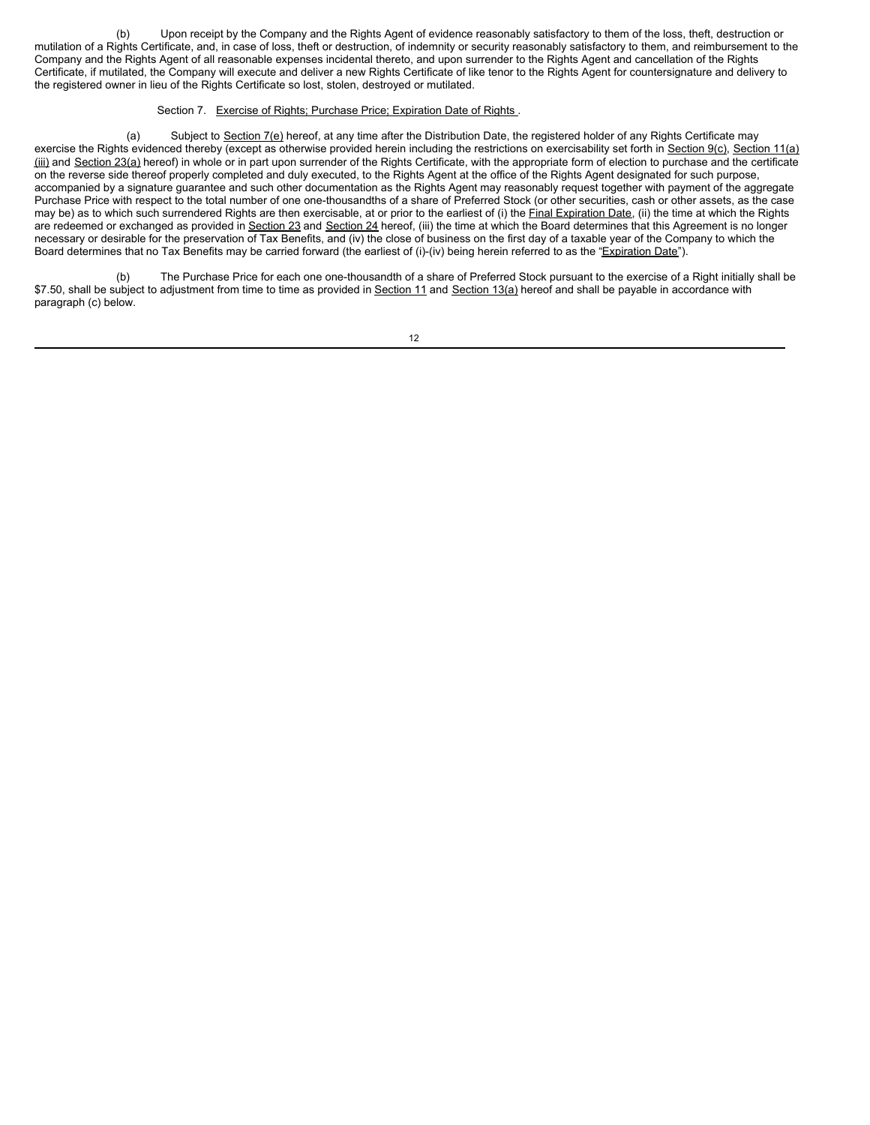(b) Upon receipt by the Company and the Rights Agent of evidence reasonably satisfactory to them of the loss, theft, destruction or mutilation of a Rights Certificate, and, in case of loss, theft or destruction, of indemnity or security reasonably satisfactory to them, and reimbursement to the Company and the Rights Agent of all reasonable expenses incidental thereto, and upon surrender to the Rights Agent and cancellation of the Rights Certificate, if mutilated, the Company will execute and deliver a new Rights Certificate of like tenor to the Rights Agent for countersignature and delivery to the registered owner in lieu of the Rights Certificate so lost, stolen, destroyed or mutilated.

### Section 7. Exercise of Rights; Purchase Price; Expiration Date of Rights.

(a) Subject to Section 7(e) hereof, at any time after the Distribution Date, the registered holder of any Rights Certificate may exercise the Rights evidenced thereby (except as otherwise provided herein including the restrictions on exercisability set forth in Section 9(c), Section 11(a) (iii) and Section 23(a) hereof) in whole or in part upon surrender of the Rights Certificate, with the appropriate form of election to purchase and the certificate on the reverse side thereof properly completed and duly executed, to the Rights Agent at the office of the Rights Agent designated for such purpose, accompanied by a signature guarantee and such other documentation as the Rights Agent may reasonably request together with payment of the aggregate Purchase Price with respect to the total number of one one-thousandths of a share of Preferred Stock (or other securities, cash or other assets, as the case may be) as to which such surrendered Rights are then exercisable, at or prior to the earliest of (i) the Final Expiration Date, (ii) the time at which the Rights are redeemed or exchanged as provided in Section 23 and Section 24 hereof, (iii) the time at which the Board determines that this Agreement is no longer necessary or desirable for the preservation of Tax Benefits, and (iv) the close of business on the first day of a taxable year of the Company to which the Board determines that no Tax Benefits may be carried forward (the earliest of (i)-(iv) being herein referred to as the "Expiration Date").

(b) The Purchase Price for each one one-thousandth of a share of Preferred Stock pursuant to the exercise of a Right initially shall be \$7.50, shall be subject to adjustment from time to time as provided in Section 11 and Section 13(a) hereof and shall be payable in accordance with paragraph (c) below.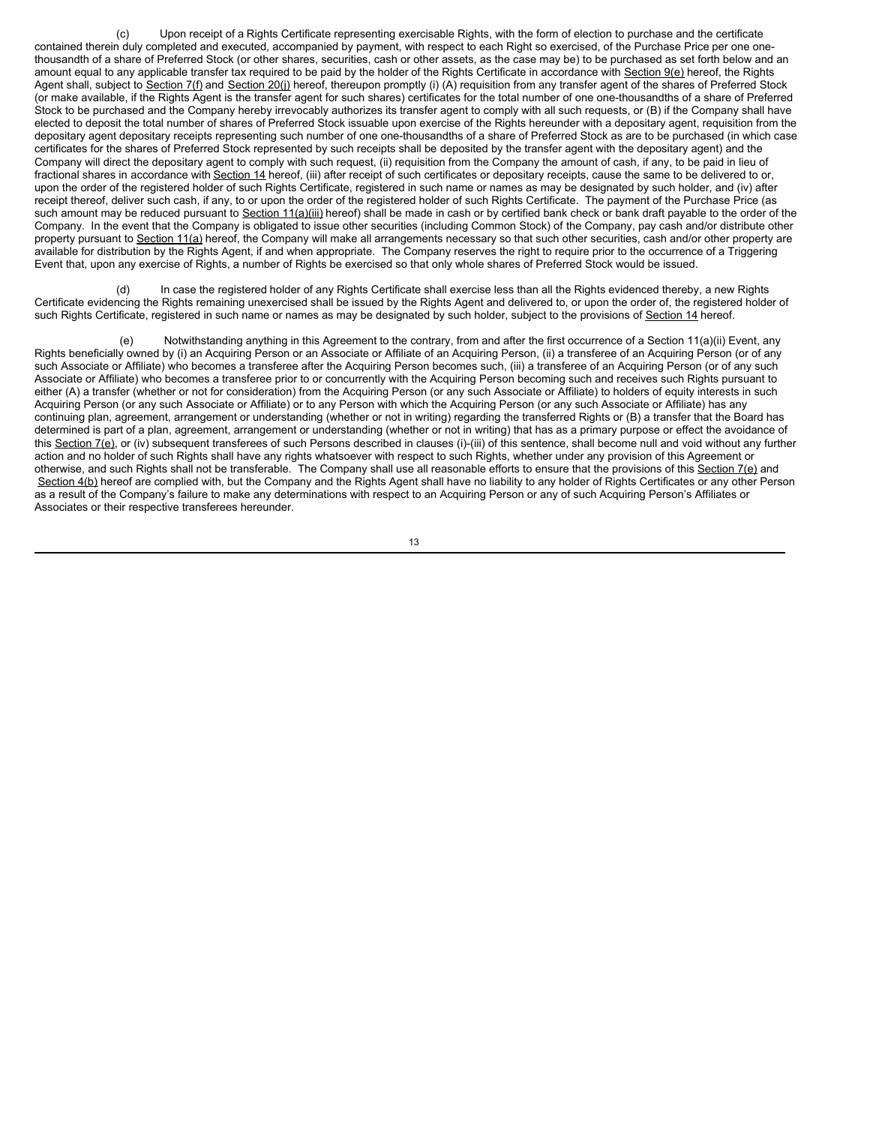(c) Upon receipt of a Rights Certificate representing exercisable Rights, with the form of election to purchase and the certificate contained therein duly completed and executed, accompanied by payment, with respect to each Right so exercised, of the Purchase Price per one onethousandth of a share of Preferred Stock (or other shares, securities, cash or other assets, as the case may be) to be purchased as set forth below and an amount equal to any applicable transfer tax required to be paid by the holder of the Rights Certificate in accordance with Section 9(e) hereof, the Rights Agent shall, subject to Section 7(f) and Section 20(j) hereof, thereupon promptly (i) (A) requisition from any transfer agent of the shares of Preferred Stock (or make available, if the Rights Agent is the transfer agent for such shares) certificates for the total number of one one-thousandths of a share of Preferred Stock to be purchased and the Company hereby irrevocably authorizes its transfer agent to comply with all such requests, or (B) if the Company shall have elected to deposit the total number of shares of Preferred Stock issuable upon exercise of the Rights hereunder with a depositary agent, requisition from the depositary agent depositary receipts representing such number of one one-thousandths of a share of Preferred Stock as are to be purchased (in which case certificates for the shares of Preferred Stock represented by such receipts shall be deposited by the transfer agent with the depositary agent) and the Company will direct the depositary agent to comply with such request, (ii) requisition from the Company the amount of cash, if any, to be paid in lieu of fractional shares in accordance with Section 14 hereof, (iii) after receipt of such certificates or depositary receipts, cause the same to be delivered to or, upon the order of the registered holder of such Rights Certificate, registered in such name or names as may be designated by such holder, and (iv) after receipt thereof, deliver such cash, if any, to or upon the order of the registered holder of such Rights Certificate. The payment of the Purchase Price (as such amount may be reduced pursuant to Section 11(a)(iii) hereof) shall be made in cash or by certified bank check or bank draft payable to the order of the Company. In the event that the Company is obligated to issue other securities (including Common Stock) of the Company, pay cash and/or distribute other property pursuant to Section 11(a) hereof, the Company will make all arrangements necessary so that such other securities, cash and/or other property are available for distribution by the Rights Agent, if and when appropriate. The Company reserves the right to require prior to the occurrence of a Triggering Event that, upon any exercise of Rights, a number of Rights be exercised so that only whole shares of Preferred Stock would be issued.

(d) In case the registered holder of any Rights Certificate shall exercise less than all the Rights evidenced thereby, a new Rights Certificate evidencing the Rights remaining unexercised shall be issued by the Rights Agent and delivered to, or upon the order of, the registered holder of such Rights Certificate, registered in such name or names as may be designated by such holder, subject to the provisions of Section 14 hereof.

(e) Notwithstanding anything in this Agreement to the contrary, from and after the first occurrence of a Section 11(a)(ii) Event, any Rights beneficially owned by (i) an Acquiring Person or an Associate or Affiliate of an Acquiring Person, (ii) a transferee of an Acquiring Person (or of any such Associate or Affiliate) who becomes a transferee after the Acquiring Person becomes such, (iii) a transferee of an Acquiring Person (or of any such Associate or Affiliate) who becomes a transferee prior to or concurrently with the Acquiring Person becoming such and receives such Rights pursuant to either (A) a transfer (whether or not for consideration) from the Acquiring Person (or any such Associate or Affiliate) to holders of equity interests in such Acquiring Person (or any such Associate or Affiliate) or to any Person with which the Acquiring Person (or any such Associate or Affiliate) has any continuing plan, agreement, arrangement or understanding (whether or not in writing) regarding the transferred Rights or (B) a transfer that the Board has determined is part of a plan, agreement, arrangement or understanding (whether or not in writing) that has as a primary purpose or effect the avoidance of this Section 7(e), or (iv) subsequent transferees of such Persons described in clauses (i)-(iii) of this sentence, shall become null and void without any further action and no holder of such Rights shall have any rights whatsoever with respect to such Rights, whether under any provision of this Agreement or otherwise, and such Rights shall not be transferable. The Company shall use all reasonable efforts to ensure that the provisions of this Section 7(e) and Section 4(b) hereof are complied with, but the Company and the Rights Agent shall have no liability to any holder of Rights Certificates or any other Person as a result of the Company's failure to make any determinations with respect to an Acquiring Person or any of such Acquiring Person's Affiliates or Associates or their respective transferees hereunder.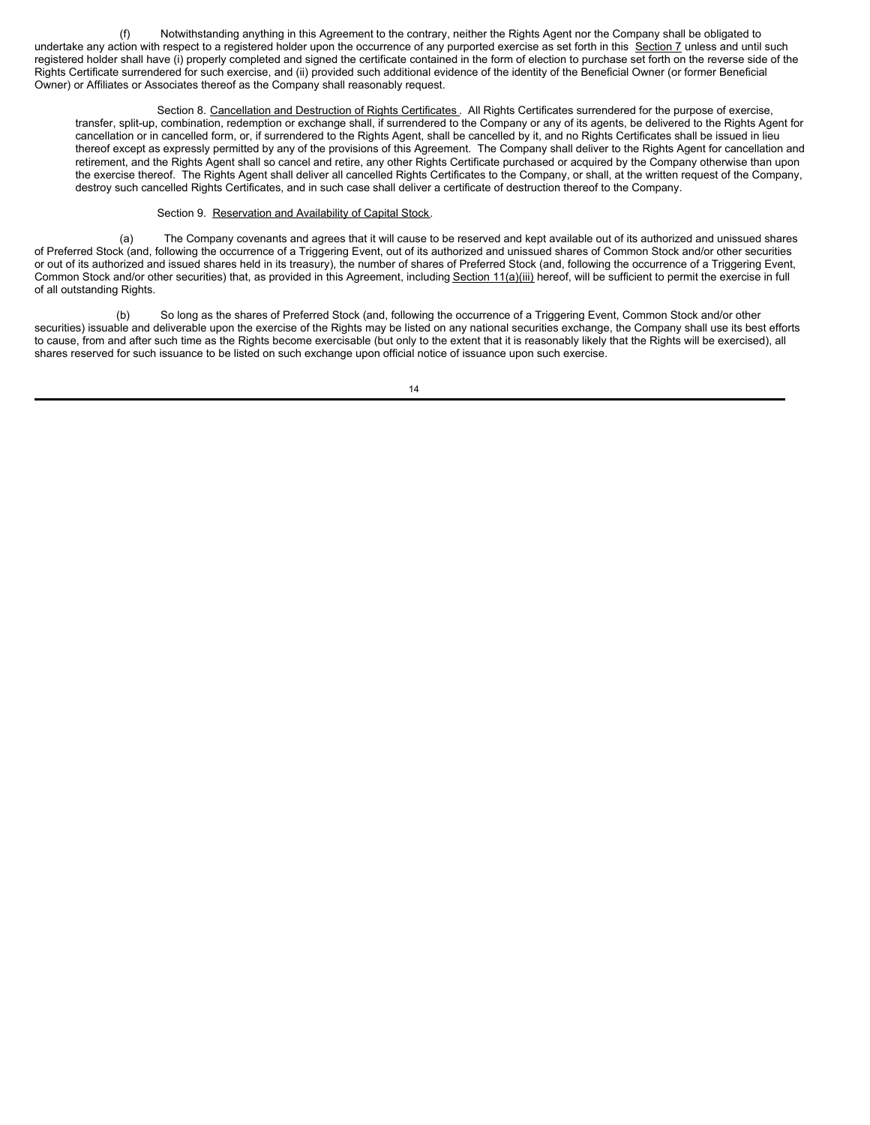(f) Notwithstanding anything in this Agreement to the contrary, neither the Rights Agent nor the Company shall be obligated to undertake any action with respect to a registered holder upon the occurrence of any purported exercise as set forth in this Section 7 unless and until such registered holder shall have (i) properly completed and signed the certificate contained in the form of election to purchase set forth on the reverse side of the Rights Certificate surrendered for such exercise, and (ii) provided such additional evidence of the identity of the Beneficial Owner (or former Beneficial Owner) or Affiliates or Associates thereof as the Company shall reasonably request.

Section 8. Cancellation and Destruction of Rights Certificates . All Rights Certificates surrendered for the purpose of exercise, transfer, split-up, combination, redemption or exchange shall, if surrendered to the Company or any of its agents, be delivered to the Rights Agent for cancellation or in cancelled form, or, if surrendered to the Rights Agent, shall be cancelled by it, and no Rights Certificates shall be issued in lieu thereof except as expressly permitted by any of the provisions of this Agreement. The Company shall deliver to the Rights Agent for cancellation and retirement, and the Rights Agent shall so cancel and retire, any other Rights Certificate purchased or acquired by the Company otherwise than upon the exercise thereof. The Rights Agent shall deliver all cancelled Rights Certificates to the Company, or shall, at the written request of the Company, destroy such cancelled Rights Certificates, and in such case shall deliver a certificate of destruction thereof to the Company.

### Section 9. Reservation and Availability of Capital Stock.

(a) The Company covenants and agrees that it will cause to be reserved and kept available out of its authorized and unissued shares of Preferred Stock (and, following the occurrence of a Triggering Event, out of its authorized and unissued shares of Common Stock and/or other securities or out of its authorized and issued shares held in its treasury), the number of shares of Preferred Stock (and, following the occurrence of a Triggering Event, Common Stock and/or other securities) that, as provided in this Agreement, including Section 11(a)(iii) hereof, will be sufficient to permit the exercise in full of all outstanding Rights.

(b) So long as the shares of Preferred Stock (and, following the occurrence of a Triggering Event, Common Stock and/or other securities) issuable and deliverable upon the exercise of the Rights may be listed on any national securities exchange, the Company shall use its best efforts to cause, from and after such time as the Rights become exercisable (but only to the extent that it is reasonably likely that the Rights will be exercised), all shares reserved for such issuance to be listed on such exchange upon official notice of issuance upon such exercise.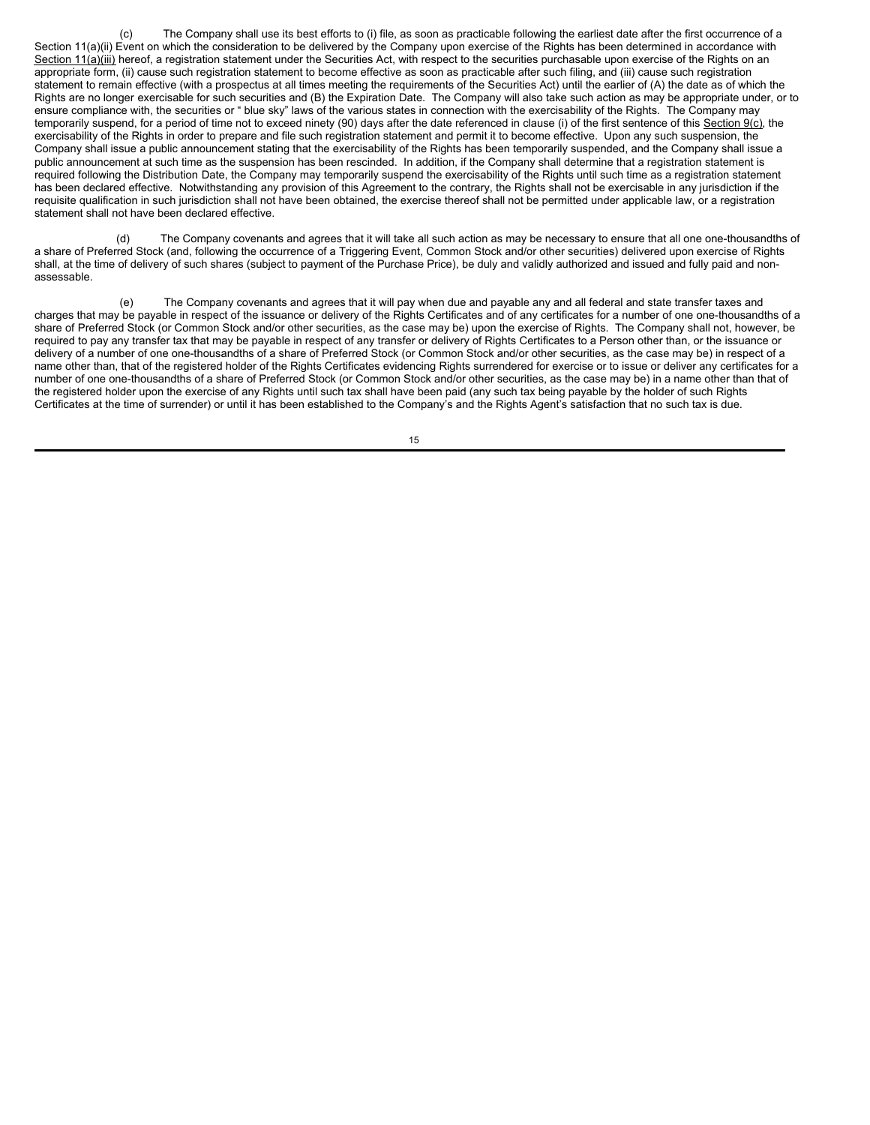(c) The Company shall use its best efforts to (i) file, as soon as practicable following the earliest date after the first occurrence of a Section 11(a)(ii) Event on which the consideration to be delivered by the Company upon exercise of the Rights has been determined in accordance with Section 11(a)(iii) hereof, a registration statement under the Securities Act, with respect to the securities purchasable upon exercise of the Rights on an appropriate form, (ii) cause such registration statement to become effective as soon as practicable after such filing, and (iii) cause such registration statement to remain effective (with a prospectus at all times meeting the requirements of the Securities Act) until the earlier of (A) the date as of which the Rights are no longer exercisable for such securities and (B) the Expiration Date. The Company will also take such action as may be appropriate under, or to ensure compliance with, the securities or " blue sky" laws of the various states in connection with the exercisability of the Rights. The Company may temporarily suspend, for a period of time not to exceed ninety (90) days after the date referenced in clause (i) of the first sentence of this Section 9(c), the exercisability of the Rights in order to prepare and file such registration statement and permit it to become effective. Upon any such suspension, the Company shall issue a public announcement stating that the exercisability of the Rights has been temporarily suspended, and the Company shall issue a public announcement at such time as the suspension has been rescinded. In addition, if the Company shall determine that a registration statement is required following the Distribution Date, the Company may temporarily suspend the exercisability of the Rights until such time as a registration statement has been declared effective. Notwithstanding any provision of this Agreement to the contrary, the Rights shall not be exercisable in any jurisdiction if the requisite qualification in such jurisdiction shall not have been obtained, the exercise thereof shall not be permitted under applicable law, or a registration statement shall not have been declared effective.

The Company covenants and agrees that it will take all such action as may be necessary to ensure that all one one-thousandths of a share of Preferred Stock (and, following the occurrence of a Triggering Event, Common Stock and/or other securities) delivered upon exercise of Rights shall, at the time of delivery of such shares (subject to payment of the Purchase Price), be duly and validly authorized and issued and fully paid and nonassessable.

(e) The Company covenants and agrees that it will pay when due and payable any and all federal and state transfer taxes and charges that may be payable in respect of the issuance or delivery of the Rights Certificates and of any certificates for a number of one one-thousandths of a share of Preferred Stock (or Common Stock and/or other securities, as the case may be) upon the exercise of Rights. The Company shall not, however, be required to pay any transfer tax that may be payable in respect of any transfer or delivery of Rights Certificates to a Person other than, or the issuance or delivery of a number of one one-thousandths of a share of Preferred Stock (or Common Stock and/or other securities, as the case may be) in respect of a name other than, that of the registered holder of the Rights Certificates evidencing Rights surrendered for exercise or to issue or deliver any certificates for a number of one one-thousandths of a share of Preferred Stock (or Common Stock and/or other securities, as the case may be) in a name other than that of the registered holder upon the exercise of any Rights until such tax shall have been paid (any such tax being payable by the holder of such Rights Certificates at the time of surrender) or until it has been established to the Company's and the Rights Agent's satisfaction that no such tax is due.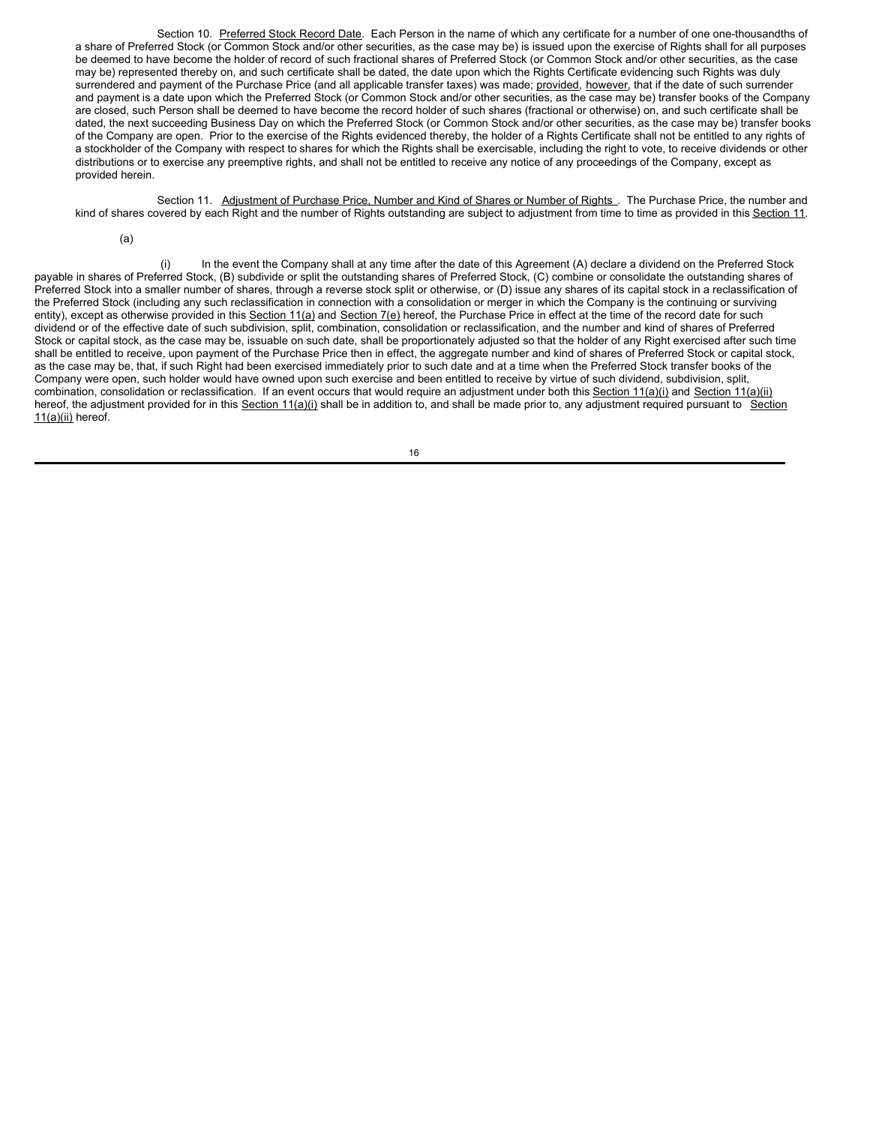Section 10. Preferred Stock Record Date. Each Person in the name of which any certificate for a number of one one-thousandths of a share of Preferred Stock (or Common Stock and/or other securities, as the case may be) is issued upon the exercise of Rights shall for all purposes be deemed to have become the holder of record of such fractional shares of Preferred Stock (or Common Stock and/or other securities, as the case may be) represented thereby on, and such certificate shall be dated, the date upon which the Rights Certificate evidencing such Rights was duly surrendered and payment of the Purchase Price (and all applicable transfer taxes) was made; provided, however, that if the date of such surrender and payment is a date upon which the Preferred Stock (or Common Stock and/or other securities, as the case may be) transfer books of the Company are closed, such Person shall be deemed to have become the record holder of such shares (fractional or otherwise) on, and such certificate shall be dated, the next succeeding Business Day on which the Preferred Stock (or Common Stock and/or other securities, as the case may be) transfer books of the Company are open. Prior to the exercise of the Rights evidenced thereby, the holder of a Rights Certificate shall not be entitled to any rights of a stockholder of the Company with respect to shares for which the Rights shall be exercisable, including the right to vote, to receive dividends or other distributions or to exercise any preemptive rights, and shall not be entitled to receive any notice of any proceedings of the Company, except as provided herein.

Section 11. Adjustment of Purchase Price, Number and Kind of Shares or Number of Rights . The Purchase Price, the number and kind of shares covered by each Right and the number of Rights outstanding are subject to adjustment from time to time as provided in this Section 11.

(a)

(i) In the event the Company shall at any time after the date of this Agreement (A) declare a dividend on the Preferred Stock payable in shares of Preferred Stock, (B) subdivide or split the outstanding shares of Preferred Stock, (C) combine or consolidate the outstanding shares of Preferred Stock into a smaller number of shares, through a reverse stock split or otherwise, or (D) issue any shares of its capital stock in a reclassification of the Preferred Stock (including any such reclassification in connection with a consolidation or merger in which the Company is the continuing or surviving entity), except as otherwise provided in this Section 11(a) and Section 7(e) hereof, the Purchase Price in effect at the time of the record date for such dividend or of the effective date of such subdivision, split, combination, consolidation or reclassification, and the number and kind of shares of Preferred Stock or capital stock, as the case may be, issuable on such date, shall be proportionately adjusted so that the holder of any Right exercised after such time shall be entitled to receive, upon payment of the Purchase Price then in effect, the aggregate number and kind of shares of Preferred Stock or capital stock, as the case may be, that, if such Right had been exercised immediately prior to such date and at a time when the Preferred Stock transfer books of the Company were open, such holder would have owned upon such exercise and been entitled to receive by virtue of such dividend, subdivision, split, combination, consolidation or reclassification. If an event occurs that would require an adjustment under both this Section 11(a)(i) and Section 11(a)(ii) hereof, the adjustment provided for in this Section 11(a)(i) shall be in addition to, and shall be made prior to, any adjustment required pursuant to Section 11(a)(ii) hereof.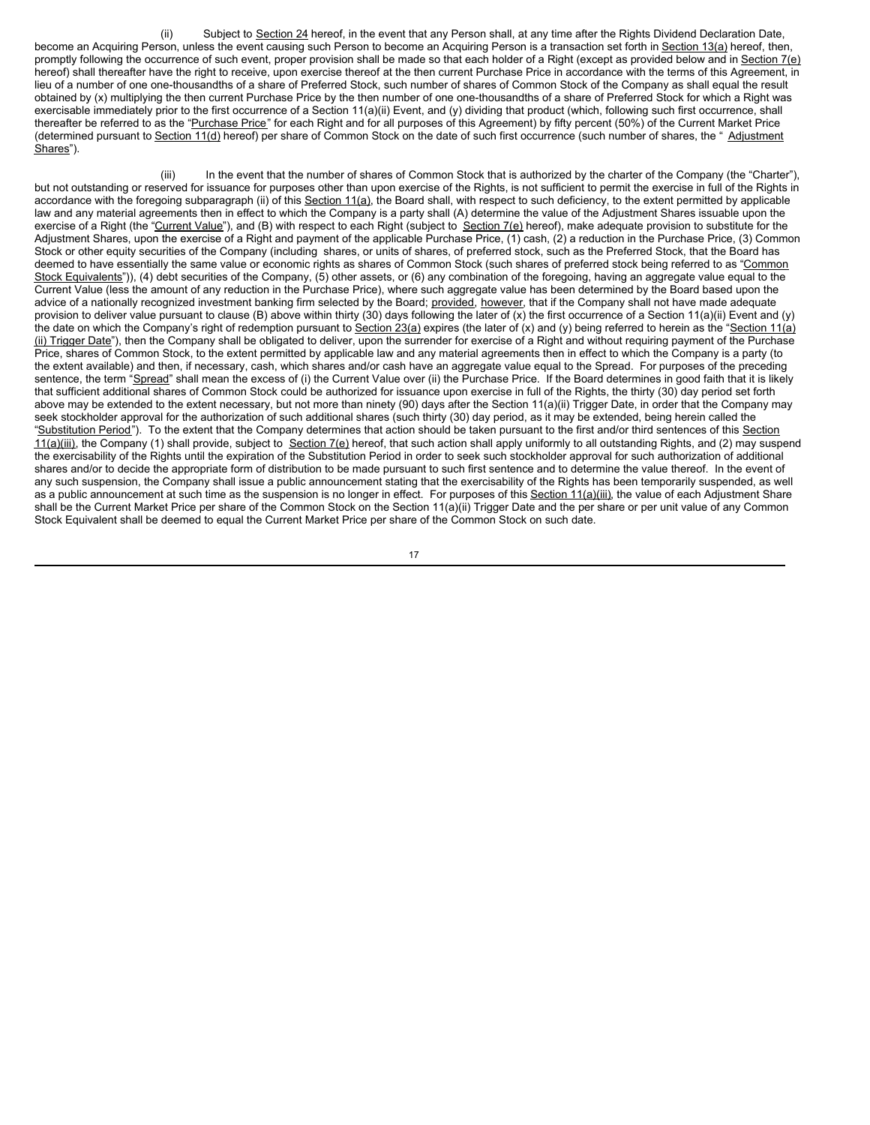(ii) Subject to Section 24 hereof, in the event that any Person shall, at any time after the Rights Dividend Declaration Date, become an Acquiring Person, unless the event causing such Person to become an Acquiring Person is a transaction set forth in Section 13(a) hereof, then, promptly following the occurrence of such event, proper provision shall be made so that each holder of a Right (except as provided below and in Section 7(e) hereof) shall thereafter have the right to receive, upon exercise thereof at the then current Purchase Price in accordance with the terms of this Agreement, in lieu of a number of one one-thousandths of a share of Preferred Stock, such number of shares of Common Stock of the Company as shall equal the result obtained by (x) multiplying the then current Purchase Price by the then number of one one-thousandths of a share of Preferred Stock for which a Right was exercisable immediately prior to the first occurrence of a Section 11(a)(ii) Event, and (y) dividing that product (which, following such first occurrence, shall thereafter be referred to as the "Purchase Price" for each Right and for all purposes of this Agreement) by fifty percent (50%) of the Current Market Price (determined pursuant to Section 11(d) hereof) per share of Common Stock on the date of such first occurrence (such number of shares, the " Adjustment Shares").

(iii) In the event that the number of shares of Common Stock that is authorized by the charter of the Company (the "Charter"), but not outstanding or reserved for issuance for purposes other than upon exercise of the Rights, is not sufficient to permit the exercise in full of the Rights in accordance with the foregoing subparagraph (ii) of this Section 11(a), the Board shall, with respect to such deficiency, to the extent permitted by applicable law and any material agreements then in effect to which the Company is a party shall (A) determine the value of the Adjustment Shares issuable upon the exercise of a Right (the "Current Value"), and (B) with respect to each Right (subject to Section 7(e) hereof), make adequate provision to substitute for the Adjustment Shares, upon the exercise of a Right and payment of the applicable Purchase Price, (1) cash, (2) a reduction in the Purchase Price, (3) Common Stock or other equity securities of the Company (including shares, or units of shares, of preferred stock, such as the Preferred Stock, that the Board has deemed to have essentially the same value or economic rights as shares of Common Stock (such shares of preferred stock being referred to as "Common Stock Equivalents")), (4) debt securities of the Company, (5) other assets, or (6) any combination of the foregoing, having an aggregate value equal to the Current Value (less the amount of any reduction in the Purchase Price), where such aggregate value has been determined by the Board based upon the advice of a nationally recognized investment banking firm selected by the Board; provided, however, that if the Company shall not have made adequate provision to deliver value pursuant to clause (B) above within thirty (30) days following the later of (x) the first occurrence of a Section 11(a)(ii) Event and (y) the date on which the Company's right of redemption pursuant to Section 23(a) expires (the later of (x) and (y) being referred to herein as the "Section 11(a) (ii) Trigger Date"), then the Company shall be obligated to deliver, upon the surrender for exercise of a Right and without requiring payment of the Purchase Price, shares of Common Stock, to the extent permitted by applicable law and any material agreements then in effect to which the Company is a party (to the extent available) and then, if necessary, cash, which shares and/or cash have an aggregate value equal to the Spread. For purposes of the preceding sentence, the term "Spread" shall mean the excess of (i) the Current Value over (ii) the Purchase Price. If the Board determines in good faith that it is likely that sufficient additional shares of Common Stock could be authorized for issuance upon exercise in full of the Rights, the thirty (30) day period set forth above may be extended to the extent necessary, but not more than ninety (90) days after the Section 11(a)(ii) Trigger Date, in order that the Company may seek stockholder approval for the authorization of such additional shares (such thirty (30) day period, as it may be extended, being herein called the "Substitution Period"). To the extent that the Company determines that action should be taken pursuant to the first and/or third sentences of this Section  $11(a)$ (iii), the Company (1) shall provide, subject to Section 7(e) hereof, that such action shall apply uniformly to all outstanding Rights, and (2) may suspend the exercisability of the Rights until the expiration of the Substitution Period in order to seek such stockholder approval for such authorization of additional shares and/or to decide the appropriate form of distribution to be made pursuant to such first sentence and to determine the value thereof. In the event of any such suspension, the Company shall issue a public announcement stating that the exercisability of the Rights has been temporarily suspended, as well as a public announcement at such time as the suspension is no longer in effect. For purposes of this Section 11(a)(iii), the value of each Adjustment Share shall be the Current Market Price per share of the Common Stock on the Section 11(a)(ii) Trigger Date and the per share or per unit value of any Common Stock Equivalent shall be deemed to equal the Current Market Price per share of the Common Stock on such date.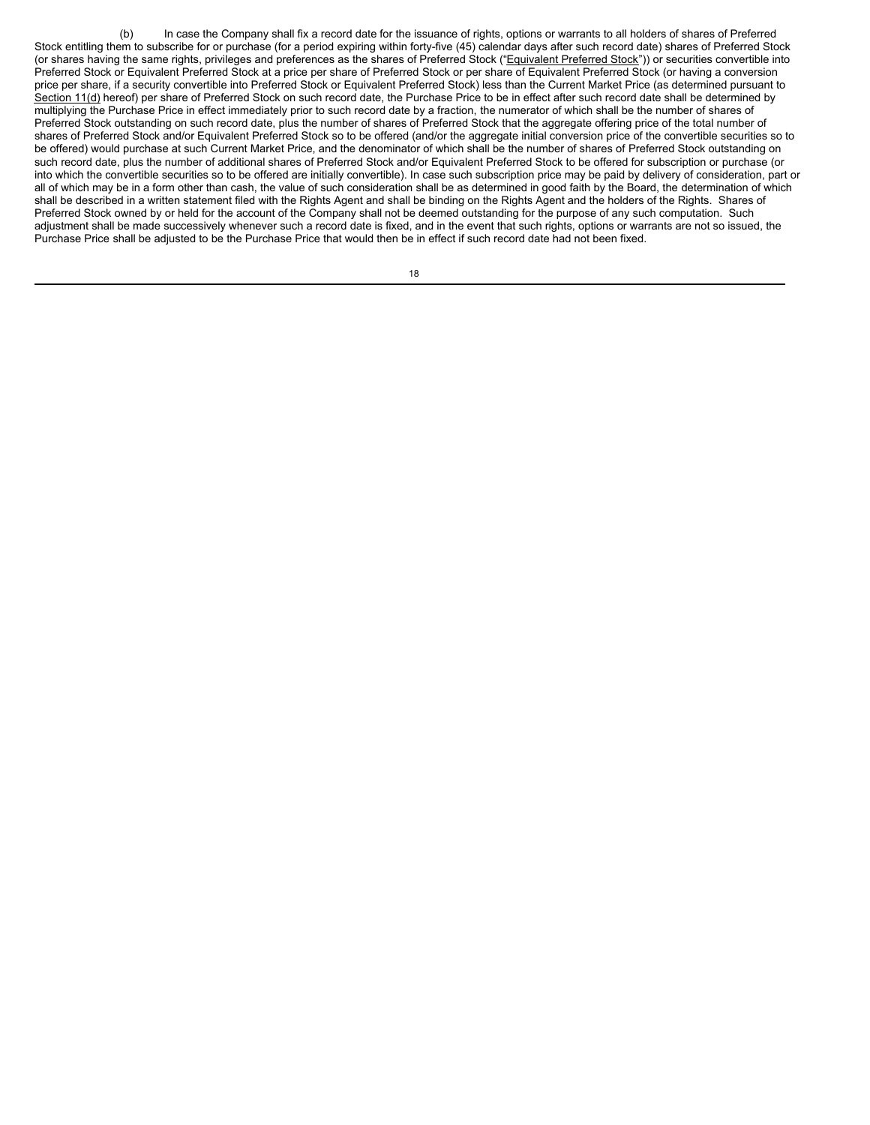(b) In case the Company shall fix a record date for the issuance of rights, options or warrants to all holders of shares of Preferred Stock entitling them to subscribe for or purchase (for a period expiring within forty-five (45) calendar days after such record date) shares of Preferred Stock (or shares having the same rights, privileges and preferences as the shares of Preferred Stock ("Equivalent Preferred Stock")) or securities convertible into Preferred Stock or Equivalent Preferred Stock at a price per share of Preferred Stock or per share of Equivalent Preferred Stock (or having a conversion price per share, if a security convertible into Preferred Stock or Equivalent Preferred Stock) less than the Current Market Price (as determined pursuant to Section 11(d) hereof) per share of Preferred Stock on such record date, the Purchase Price to be in effect after such record date shall be determined by multiplying the Purchase Price in effect immediately prior to such record date by a fraction, the numerator of which shall be the number of shares of Preferred Stock outstanding on such record date, plus the number of shares of Preferred Stock that the aggregate offering price of the total number of shares of Preferred Stock and/or Equivalent Preferred Stock so to be offered (and/or the aggregate initial conversion price of the convertible securities so to be offered) would purchase at such Current Market Price, and the denominator of which shall be the number of shares of Preferred Stock outstanding on such record date, plus the number of additional shares of Preferred Stock and/or Equivalent Preferred Stock to be offered for subscription or purchase (or into which the convertible securities so to be offered are initially convertible). In case such subscription price may be paid by delivery of consideration, part or all of which may be in a form other than cash, the value of such consideration shall be as determined in good faith by the Board, the determination of which shall be described in a written statement filed with the Rights Agent and shall be binding on the Rights Agent and the holders of the Rights. Shares of Preferred Stock owned by or held for the account of the Company shall not be deemed outstanding for the purpose of any such computation. Such adjustment shall be made successively whenever such a record date is fixed, and in the event that such rights, options or warrants are not so issued, the Purchase Price shall be adjusted to be the Purchase Price that would then be in effect if such record date had not been fixed.

| I      |
|--------|
| $\sim$ |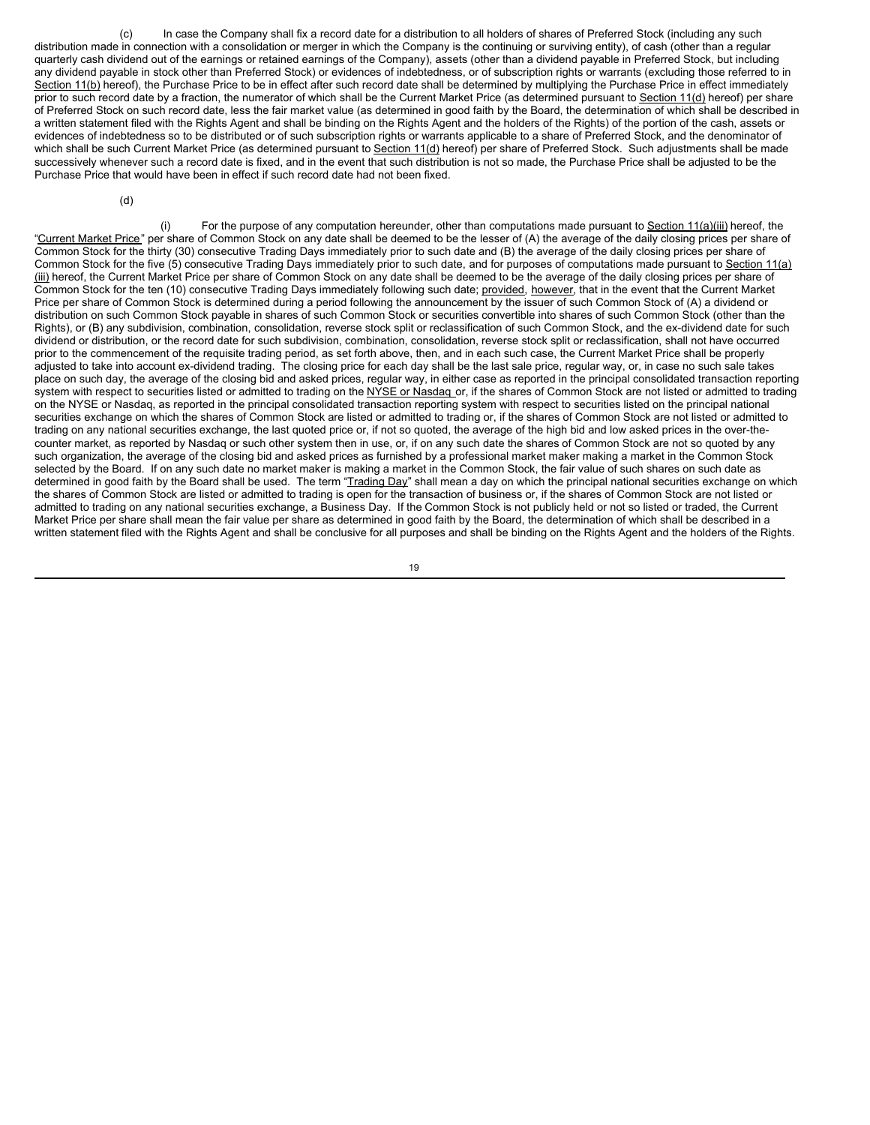(c) In case the Company shall fix a record date for a distribution to all holders of shares of Preferred Stock (including any such distribution made in connection with a consolidation or merger in which the Company is the continuing or surviving entity), of cash (other than a regular quarterly cash dividend out of the earnings or retained earnings of the Company), assets (other than a dividend payable in Preferred Stock, but including any dividend payable in stock other than Preferred Stock) or evidences of indebtedness, or of subscription rights or warrants (excluding those referred to in Section 11(b) hereof), the Purchase Price to be in effect after such record date shall be determined by multiplying the Purchase Price in effect immediately prior to such record date by a fraction, the numerator of which shall be the Current Market Price (as determined pursuant to Section 11(d) hereof) per share of Preferred Stock on such record date, less the fair market value (as determined in good faith by the Board, the determination of which shall be described in a written statement filed with the Rights Agent and shall be binding on the Rights Agent and the holders of the Rights) of the portion of the cash, assets or evidences of indebtedness so to be distributed or of such subscription rights or warrants applicable to a share of Preferred Stock, and the denominator of which shall be such Current Market Price (as determined pursuant to Section 11(d) hereof) per share of Preferred Stock. Such adjustments shall be made successively whenever such a record date is fixed, and in the event that such distribution is not so made, the Purchase Price shall be adjusted to be the Purchase Price that would have been in effect if such record date had not been fixed.

(d)

(i) For the purpose of any computation hereunder, other than computations made pursuant to Section  $11(a)$ (iii) hereof, the "Current Market Price" per share of Common Stock on any date shall be deemed to be the lesser of (A) the average of the daily closing prices per share of Common Stock for the thirty (30) consecutive Trading Days immediately prior to such date and (B) the average of the daily closing prices per share of Common Stock for the five (5) consecutive Trading Days immediately prior to such date, and for purposes of computations made pursuant to Section 11(a) (iii) hereof, the Current Market Price per share of Common Stock on any date shall be deemed to be the average of the daily closing prices per share of Common Stock for the ten (10) consecutive Trading Days immediately following such date; provided, however, that in the event that the Current Market Price per share of Common Stock is determined during a period following the announcement by the issuer of such Common Stock of (A) a dividend or distribution on such Common Stock payable in shares of such Common Stock or securities convertible into shares of such Common Stock (other than the Rights), or (B) any subdivision, combination, consolidation, reverse stock split or reclassification of such Common Stock, and the ex-dividend date for such dividend or distribution, or the record date for such subdivision, combination, consolidation, reverse stock split or reclassification, shall not have occurred prior to the commencement of the requisite trading period, as set forth above, then, and in each such case, the Current Market Price shall be properly adjusted to take into account ex-dividend trading. The closing price for each day shall be the last sale price, regular way, or, in case no such sale takes place on such day, the average of the closing bid and asked prices, regular way, in either case as reported in the principal consolidated transaction reporting system with respect to securities listed or admitted to trading on the NYSE or Nasdaq or, if the shares of Common Stock are not listed or admitted to trading on the NYSE or Nasdaq, as reported in the principal consolidated transaction reporting system with respect to securities listed on the principal national securities exchange on which the shares of Common Stock are listed or admitted to trading or, if the shares of Common Stock are not listed or admitted to trading on any national securities exchange, the last quoted price or, if not so quoted, the average of the high bid and low asked prices in the over-thecounter market, as reported by Nasdaq or such other system then in use, or, if on any such date the shares of Common Stock are not so quoted by any such organization, the average of the closing bid and asked prices as furnished by a professional market maker making a market in the Common Stock selected by the Board. If on any such date no market maker is making a market in the Common Stock, the fair value of such shares on such date as determined in good faith by the Board shall be used. The term "Trading Day" shall mean a day on which the principal national securities exchange on which the shares of Common Stock are listed or admitted to trading is open for the transaction of business or, if the shares of Common Stock are not listed or admitted to trading on any national securities exchange, a Business Day. If the Common Stock is not publicly held or not so listed or traded, the Current Market Price per share shall mean the fair value per share as determined in good faith by the Board, the determination of which shall be described in a written statement filed with the Rights Agent and shall be conclusive for all purposes and shall be binding on the Rights Agent and the holders of the Rights.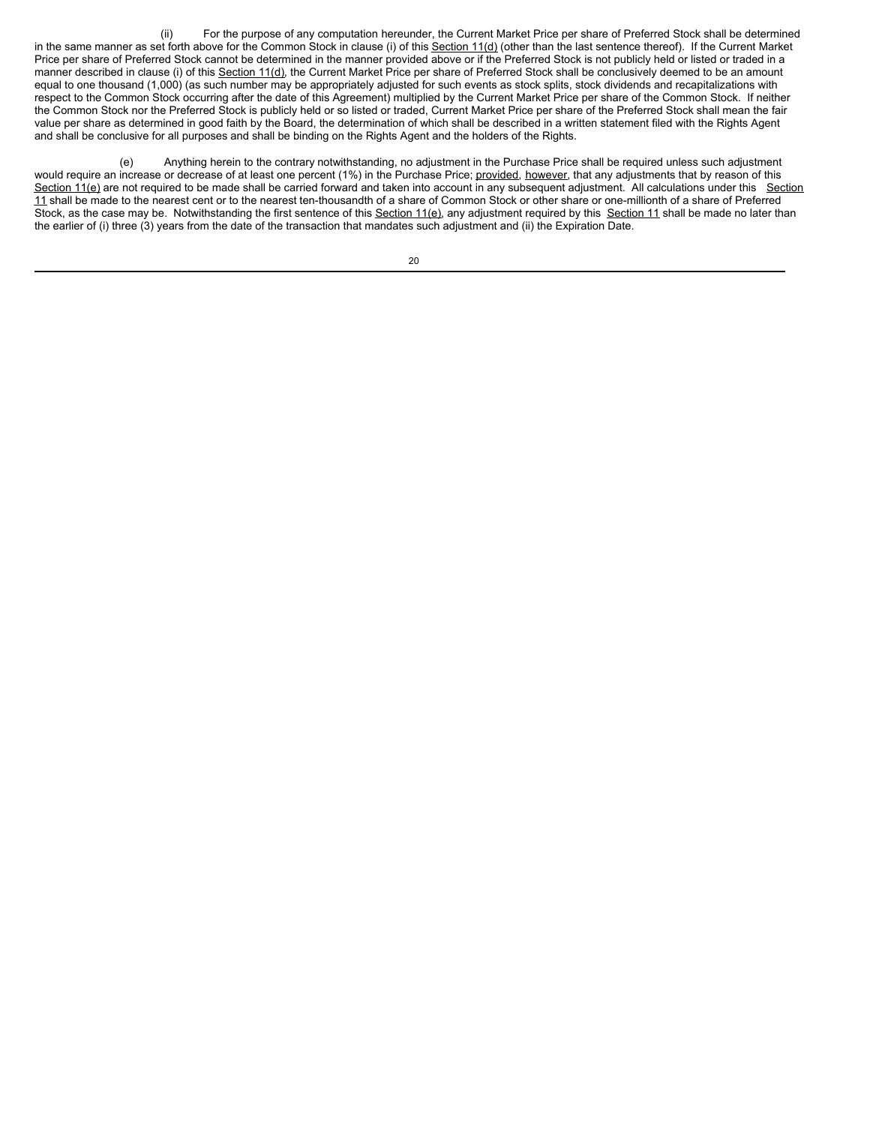(ii) For the purpose of any computation hereunder, the Current Market Price per share of Preferred Stock shall be determined in the same manner as set forth above for the Common Stock in clause (i) of this Section 11(d) (other than the last sentence thereof). If the Current Market Price per share of Preferred Stock cannot be determined in the manner provided above or if the Preferred Stock is not publicly held or listed or traded in a manner described in clause (i) of this Section 11(d), the Current Market Price per share of Preferred Stock shall be conclusively deemed to be an amount equal to one thousand (1,000) (as such number may be appropriately adjusted for such events as stock splits, stock dividends and recapitalizations with respect to the Common Stock occurring after the date of this Agreement) multiplied by the Current Market Price per share of the Common Stock. If neither the Common Stock nor the Preferred Stock is publicly held or so listed or traded, Current Market Price per share of the Preferred Stock shall mean the fair value per share as determined in good faith by the Board, the determination of which shall be described in a written statement filed with the Rights Agent and shall be conclusive for all purposes and shall be binding on the Rights Agent and the holders of the Rights.

(e) Anything herein to the contrary notwithstanding, no adjustment in the Purchase Price shall be required unless such adjustment would require an increase or decrease of at least one percent (1%) in the Purchase Price; provided, however, that any adjustments that by reason of this Section 11(e) are not required to be made shall be carried forward and taken into account in any subsequent adjustment. All calculations under this Section 11 shall be made to the nearest cent or to the nearest ten-thousandth of a share of Common Stock or other share or one-millionth of a share of Preferred Stock, as the case may be. Notwithstanding the first sentence of this Section 11(e), any adjustment required by this Section 11 shall be made no later than the earlier of (i) three (3) years from the date of the transaction that mandates such adjustment and (ii) the Expiration Date.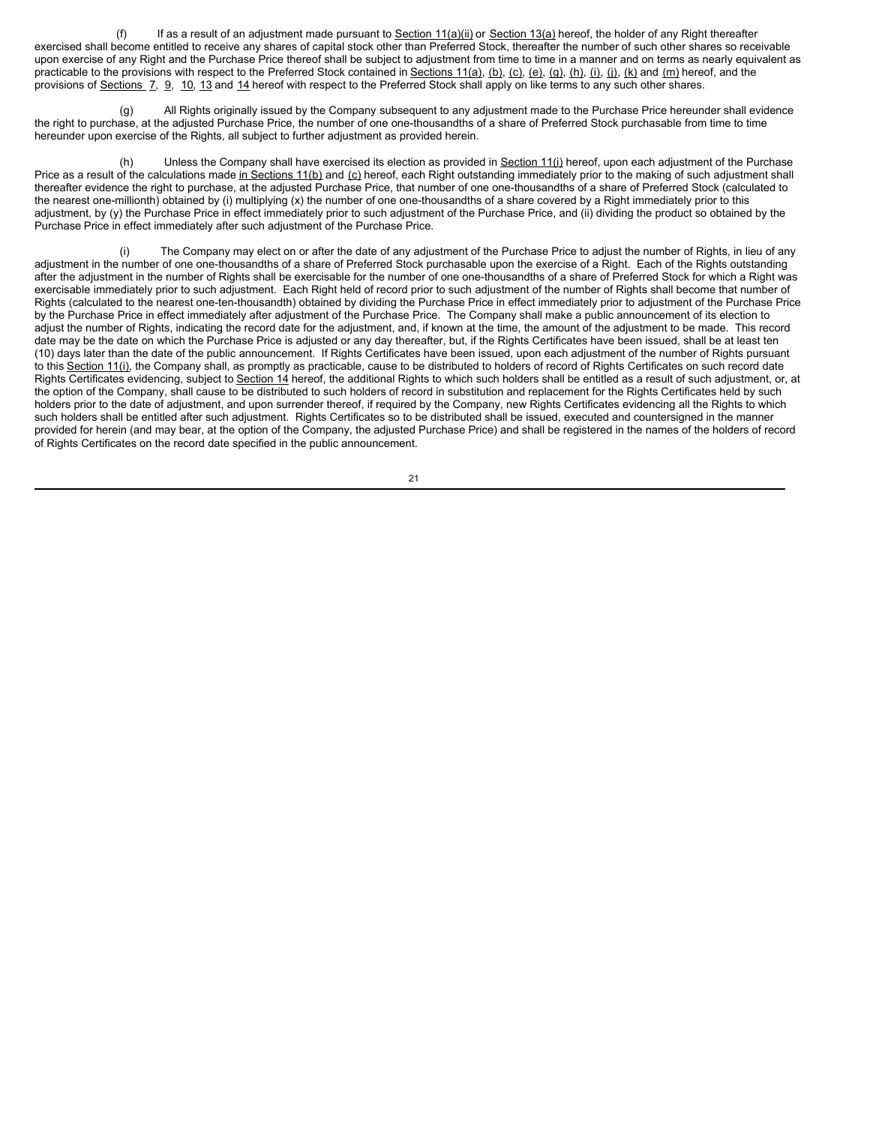(f) If as a result of an adjustment made pursuant to Section  $11(a)(ii)$  or Section  $13(a)$  hereof, the holder of any Right thereafter exercised shall become entitled to receive any shares of capital stock other than Preferred Stock, thereafter the number of such other shares so receivable upon exercise of any Right and the Purchase Price thereof shall be subject to adjustment from time to time in a manner and on terms as nearly equivalent as practicable to the provisions with respect to the Preferred Stock contained in Sections 11(a), (b), (c), (e), (g), (h), (i), (j), (k) and (m) hereof, and the provisions of Sections 7, 9, 10, 13 and 14 hereof with respect to the Preferred Stock shall apply on like terms to any such other shares.

All Rights originally issued by the Company subsequent to any adjustment made to the Purchase Price hereunder shall evidence the right to purchase, at the adjusted Purchase Price, the number of one one-thousandths of a share of Preferred Stock purchasable from time to time hereunder upon exercise of the Rights, all subject to further adjustment as provided herein.

(h) Unless the Company shall have exercised its election as provided in  $Section 11(i)$  hereof, upon each adjustment of the Purchase Price as a result of the calculations made in Sections 11(b) and (c) hereof, each Right outstanding immediately prior to the making of such adjustment shall thereafter evidence the right to purchase, at the adjusted Purchase Price, that number of one one-thousandths of a share of Preferred Stock (calculated to the nearest one-millionth) obtained by (i) multiplying (x) the number of one one-thousandths of a share covered by a Right immediately prior to this adjustment, by (y) the Purchase Price in effect immediately prior to such adjustment of the Purchase Price, and (ii) dividing the product so obtained by the Purchase Price in effect immediately after such adjustment of the Purchase Price.

(i) The Company may elect on or after the date of any adjustment of the Purchase Price to adjust the number of Rights, in lieu of any adjustment in the number of one one-thousandths of a share of Preferred Stock purchasable upon the exercise of a Right. Each of the Rights outstanding after the adjustment in the number of Rights shall be exercisable for the number of one one-thousandths of a share of Preferred Stock for which a Right was exercisable immediately prior to such adjustment. Each Right held of record prior to such adjustment of the number of Rights shall become that number of Rights (calculated to the nearest one-ten-thousandth) obtained by dividing the Purchase Price in effect immediately prior to adjustment of the Purchase Price by the Purchase Price in effect immediately after adjustment of the Purchase Price. The Company shall make a public announcement of its election to adjust the number of Rights, indicating the record date for the adjustment, and, if known at the time, the amount of the adjustment to be made. This record date may be the date on which the Purchase Price is adjusted or any day thereafter, but, if the Rights Certificates have been issued, shall be at least ten (10) days later than the date of the public announcement. If Rights Certificates have been issued, upon each adjustment of the number of Rights pursuant to this Section 11(i), the Company shall, as promptly as practicable, cause to be distributed to holders of record of Rights Certificates on such record date Rights Certificates evidencing, subject to Section 14 hereof, the additional Rights to which such holders shall be entitled as a result of such adjustment, or, at the option of the Company, shall cause to be distributed to such holders of record in substitution and replacement for the Rights Certificates held by such holders prior to the date of adjustment, and upon surrender thereof, if required by the Company, new Rights Certificates evidencing all the Rights to which such holders shall be entitled after such adjustment. Rights Certificates so to be distributed shall be issued, executed and countersigned in the manner provided for herein (and may bear, at the option of the Company, the adjusted Purchase Price) and shall be registered in the names of the holders of record of Rights Certificates on the record date specified in the public announcement.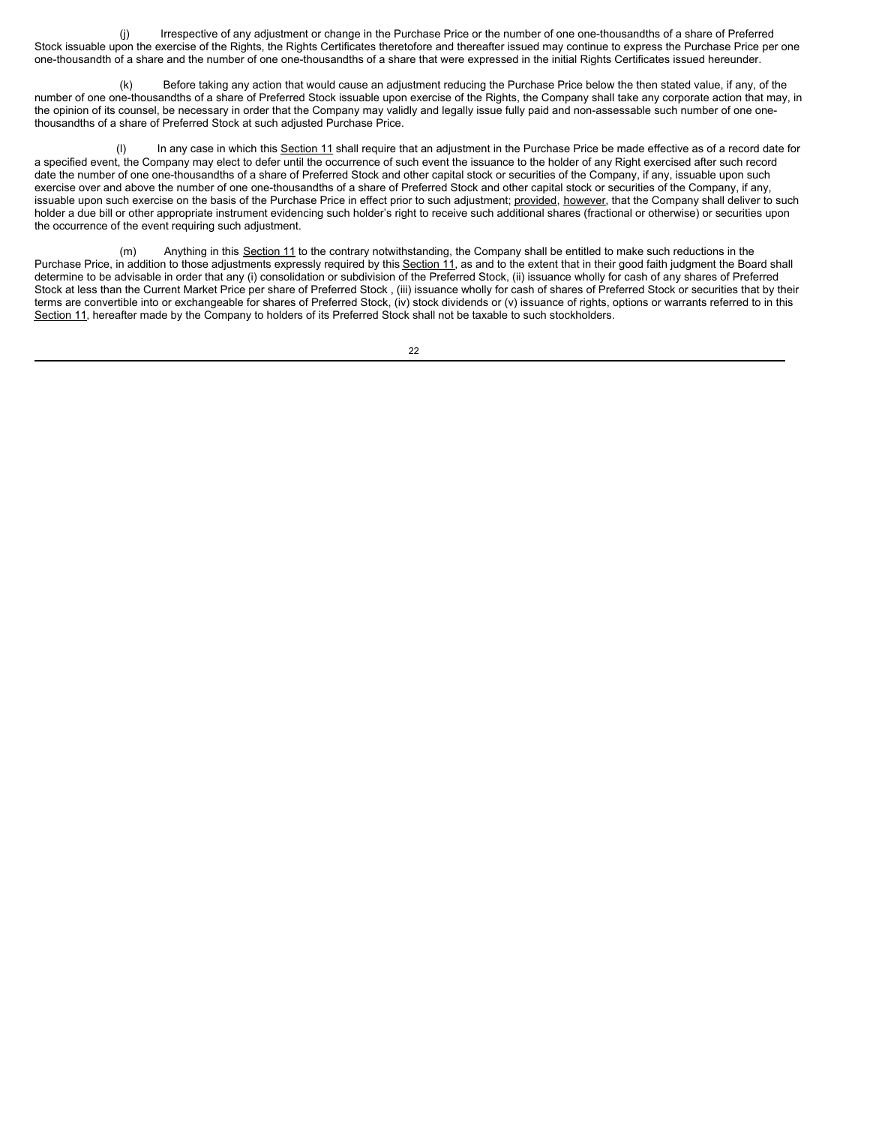(j) Irrespective of any adjustment or change in the Purchase Price or the number of one one-thousandths of a share of Preferred Stock issuable upon the exercise of the Rights, the Rights Certificates theretofore and thereafter issued may continue to express the Purchase Price per one one-thousandth of a share and the number of one one-thousandths of a share that were expressed in the initial Rights Certificates issued hereunder.

Before taking any action that would cause an adjustment reducing the Purchase Price below the then stated value, if any, of the number of one one-thousandths of a share of Preferred Stock issuable upon exercise of the Rights, the Company shall take any corporate action that may, in the opinion of its counsel, be necessary in order that the Company may validly and legally issue fully paid and non-assessable such number of one onethousandths of a share of Preferred Stock at such adjusted Purchase Price.

In any case in which this Section 11 shall require that an adjustment in the Purchase Price be made effective as of a record date for a specified event, the Company may elect to defer until the occurrence of such event the issuance to the holder of any Right exercised after such record date the number of one one-thousandths of a share of Preferred Stock and other capital stock or securities of the Company, if any, issuable upon such exercise over and above the number of one one-thousandths of a share of Preferred Stock and other capital stock or securities of the Company, if any, issuable upon such exercise on the basis of the Purchase Price in effect prior to such adjustment; provided, however, that the Company shall deliver to such holder a due bill or other appropriate instrument evidencing such holder's right to receive such additional shares (fractional or otherwise) or securities upon the occurrence of the event requiring such adjustment.

(m) Anything in this Section 11 to the contrary notwithstanding, the Company shall be entitled to make such reductions in the Purchase Price, in addition to those adjustments expressly required by this Section 11, as and to the extent that in their good faith judgment the Board shall determine to be advisable in order that any (i) consolidation or subdivision of the Preferred Stock, (ii) issuance wholly for cash of any shares of Preferred Stock at less than the Current Market Price per share of Preferred Stock , (iii) issuance wholly for cash of shares of Preferred Stock or securities that by their terms are convertible into or exchangeable for shares of Preferred Stock, (iv) stock dividends or (v) issuance of rights, options or warrants referred to in this Section 11, hereafter made by the Company to holders of its Preferred Stock shall not be taxable to such stockholders.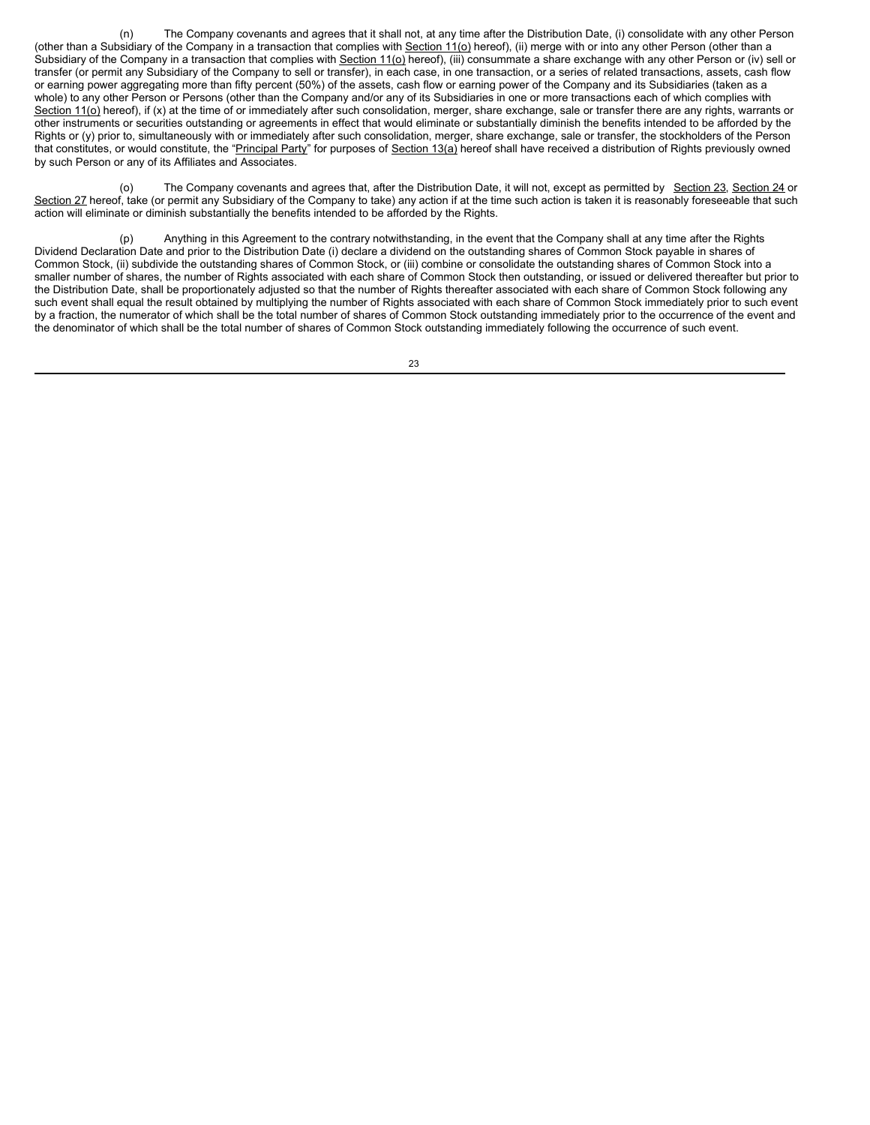(n) The Company covenants and agrees that it shall not, at any time after the Distribution Date, (i) consolidate with any other Person (other than a Subsidiary of the Company in a transaction that complies with Section 11(o) hereof), (ii) merge with or into any other Person (other than a Subsidiary of the Company in a transaction that complies with Section 11(o) hereof), (iii) consummate a share exchange with any other Person or (iv) sell or transfer (or permit any Subsidiary of the Company to sell or transfer), in each case, in one transaction, or a series of related transactions, assets, cash flow or earning power aggregating more than fifty percent (50%) of the assets, cash flow or earning power of the Company and its Subsidiaries (taken as a whole) to any other Person or Persons (other than the Company and/or any of its Subsidiaries in one or more transactions each of which complies with Section  $11$ ( $o$ ) hereof), if (x) at the time of or immediately after such consolidation, merger, share exchange, sale or transfer there are any rights, warrants or other instruments or securities outstanding or agreements in effect that would eliminate or substantially diminish the benefits intended to be afforded by the Rights or (y) prior to, simultaneously with or immediately after such consolidation, merger, share exchange, sale or transfer, the stockholders of the Person that constitutes, or would constitute, the "Principal Party" for purposes of Section 13(a) hereof shall have received a distribution of Rights previously owned by such Person or any of its Affiliates and Associates.

(o) The Company covenants and agrees that, after the Distribution Date, it will not, except as permitted by Section 23, Section 24 or Section 27 hereof, take (or permit any Subsidiary of the Company to take) any action if at the time such action is taken it is reasonably foreseeable that such action will eliminate or diminish substantially the benefits intended to be afforded by the Rights.

Anything in this Agreement to the contrary notwithstanding, in the event that the Company shall at any time after the Rights Dividend Declaration Date and prior to the Distribution Date (i) declare a dividend on the outstanding shares of Common Stock payable in shares of Common Stock, (ii) subdivide the outstanding shares of Common Stock, or (iii) combine or consolidate the outstanding shares of Common Stock into a smaller number of shares, the number of Rights associated with each share of Common Stock then outstanding, or issued or delivered thereafter but prior to the Distribution Date, shall be proportionately adjusted so that the number of Rights thereafter associated with each share of Common Stock following any such event shall equal the result obtained by multiplying the number of Rights associated with each share of Common Stock immediately prior to such event by a fraction, the numerator of which shall be the total number of shares of Common Stock outstanding immediately prior to the occurrence of the event and the denominator of which shall be the total number of shares of Common Stock outstanding immediately following the occurrence of such event.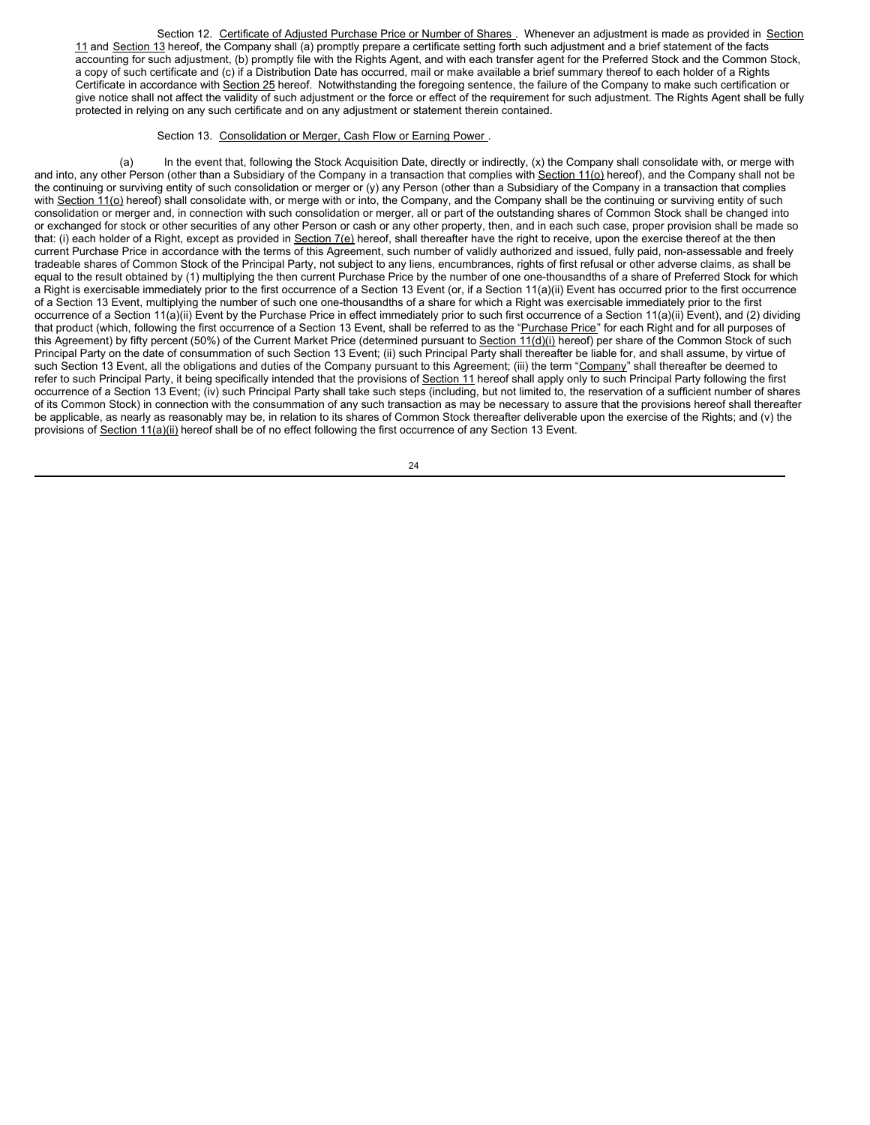Section 12. Certificate of Adjusted Purchase Price or Number of Shares . Whenever an adjustment is made as provided in Section 11 and Section 13 hereof, the Company shall (a) promptly prepare a certificate setting forth such adjustment and a brief statement of the facts accounting for such adjustment, (b) promptly file with the Rights Agent, and with each transfer agent for the Preferred Stock and the Common Stock, a copy of such certificate and (c) if a Distribution Date has occurred, mail or make available a brief summary thereof to each holder of a Rights Certificate in accordance with Section 25 hereof. Notwithstanding the foregoing sentence, the failure of the Company to make such certification or give notice shall not affect the validity of such adjustment or the force or effect of the requirement for such adjustment. The Rights Agent shall be fully protected in relying on any such certificate and on any adjustment or statement therein contained.

### Section 13. Consolidation or Merger, Cash Flow or Earning Power.

(a) In the event that, following the Stock Acquisition Date, directly or indirectly, (x) the Company shall consolidate with, or merge with and into, any other Person (other than a Subsidiary of the Company in a transaction that complies with Section 11(o) hereof), and the Company shall not be the continuing or surviving entity of such consolidation or merger or (y) any Person (other than a Subsidiary of the Company in a transaction that complies with Section 11(o) hereof) shall consolidate with, or merge with or into, the Company, and the Company shall be the continuing or surviving entity of such consolidation or merger and, in connection with such consolidation or merger, all or part of the outstanding shares of Common Stock shall be changed into or exchanged for stock or other securities of any other Person or cash or any other property, then, and in each such case, proper provision shall be made so that: (i) each holder of a Right, except as provided in Section 7(e) hereof, shall thereafter have the right to receive, upon the exercise thereof at the then current Purchase Price in accordance with the terms of this Agreement, such number of validly authorized and issued, fully paid, non-assessable and freely tradeable shares of Common Stock of the Principal Party, not subject to any liens, encumbrances, rights of first refusal or other adverse claims, as shall be equal to the result obtained by (1) multiplying the then current Purchase Price by the number of one one-thousandths of a share of Preferred Stock for which a Right is exercisable immediately prior to the first occurrence of a Section 13 Event (or, if a Section 11(a)(ii) Event has occurred prior to the first occurrence of a Section 13 Event, multiplying the number of such one one-thousandths of a share for which a Right was exercisable immediately prior to the first occurrence of a Section 11(a)(ii) Event by the Purchase Price in effect immediately prior to such first occurrence of a Section 11(a)(ii) Event), and (2) dividing that product (which, following the first occurrence of a Section 13 Event, shall be referred to as the "Purchase Price" for each Right and for all purposes of this Agreement) by fifty percent (50%) of the Current Market Price (determined pursuant to Section 11(d)(i) hereof) per share of the Common Stock of such Principal Party on the date of consummation of such Section 13 Event; (ii) such Principal Party shall thereafter be liable for, and shall assume, by virtue of such Section 13 Event, all the obligations and duties of the Company pursuant to this Agreement; (iii) the term "Company" shall thereafter be deemed to refer to such Principal Party, it being specifically intended that the provisions of Section 11 hereof shall apply only to such Principal Party following the first occurrence of a Section 13 Event; (iv) such Principal Party shall take such steps (including, but not limited to, the reservation of a sufficient number of shares of its Common Stock) in connection with the consummation of any such transaction as may be necessary to assure that the provisions hereof shall thereafter be applicable, as nearly as reasonably may be, in relation to its shares of Common Stock thereafter deliverable upon the exercise of the Rights; and (v) the provisions of Section 11(a)(ii) hereof shall be of no effect following the first occurrence of any Section 13 Event.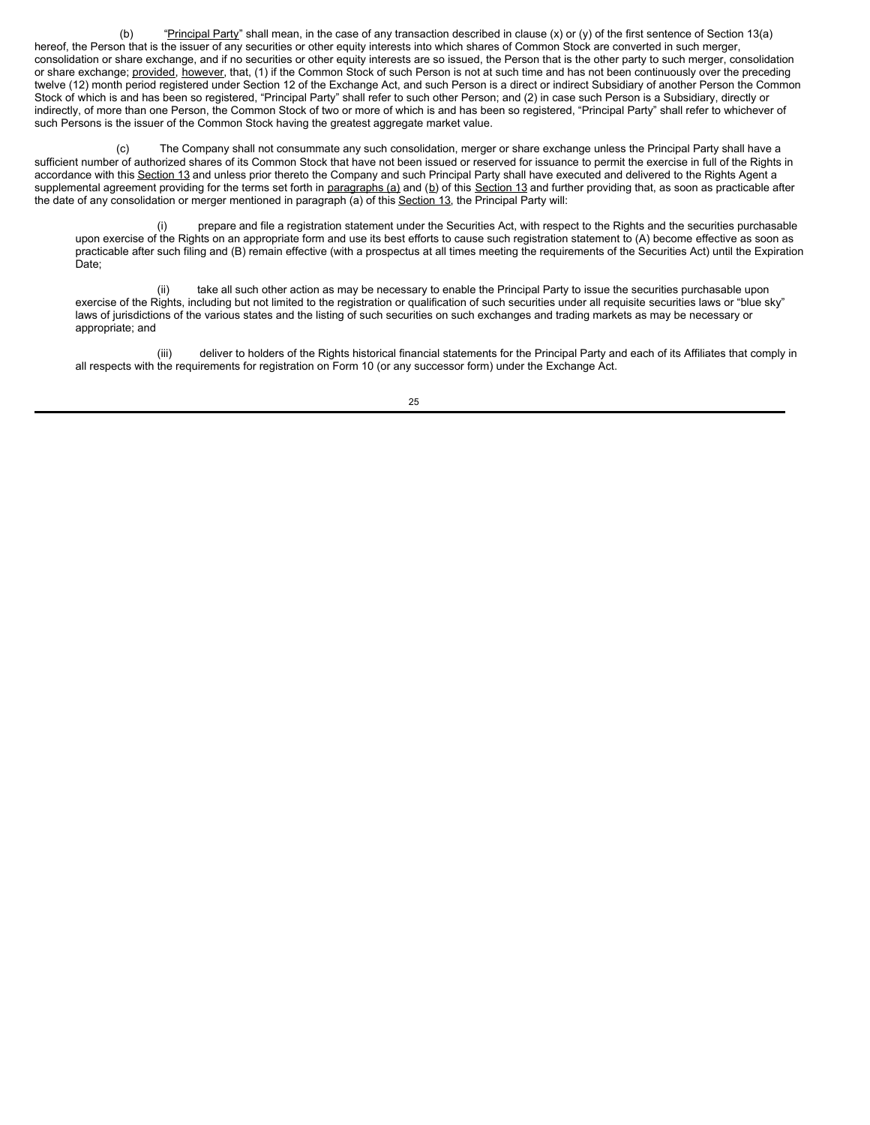(b) "Principal Party" shall mean, in the case of any transaction described in clause  $(x)$  or  $(y)$  of the first sentence of Section 13(a) hereof, the Person that is the issuer of any securities or other equity interests into which shares of Common Stock are converted in such merger, consolidation or share exchange, and if no securities or other equity interests are so issued, the Person that is the other party to such merger, consolidation or share exchange; provided, however, that, (1) if the Common Stock of such Person is not at such time and has not been continuously over the preceding twelve (12) month period registered under Section 12 of the Exchange Act, and such Person is a direct or indirect Subsidiary of another Person the Common Stock of which is and has been so registered, "Principal Party" shall refer to such other Person; and (2) in case such Person is a Subsidiary, directly or indirectly, of more than one Person, the Common Stock of two or more of which is and has been so registered, "Principal Party" shall refer to whichever of such Persons is the issuer of the Common Stock having the greatest aggregate market value.

(c) The Company shall not consummate any such consolidation, merger or share exchange unless the Principal Party shall have a sufficient number of authorized shares of its Common Stock that have not been issued or reserved for issuance to permit the exercise in full of the Rights in accordance with this Section 13 and unless prior thereto the Company and such Principal Party shall have executed and delivered to the Rights Agent a supplemental agreement providing for the terms set forth in paragraphs (a) and (b) of this Section 13 and further providing that, as soon as practicable after the date of any consolidation or merger mentioned in paragraph (a) of this Section 13, the Principal Party will:

(i) prepare and file a registration statement under the Securities Act, with respect to the Rights and the securities purchasable upon exercise of the Rights on an appropriate form and use its best efforts to cause such registration statement to (A) become effective as soon as practicable after such filing and (B) remain effective (with a prospectus at all times meeting the requirements of the Securities Act) until the Expiration Date;

(ii) take all such other action as may be necessary to enable the Principal Party to issue the securities purchasable upon exercise of the Rights, including but not limited to the registration or qualification of such securities under all requisite securities laws or "blue sky" laws of jurisdictions of the various states and the listing of such securities on such exchanges and trading markets as may be necessary or appropriate; and

(iii) deliver to holders of the Rights historical financial statements for the Principal Party and each of its Affiliates that comply in all respects with the requirements for registration on Form 10 (or any successor form) under the Exchange Act.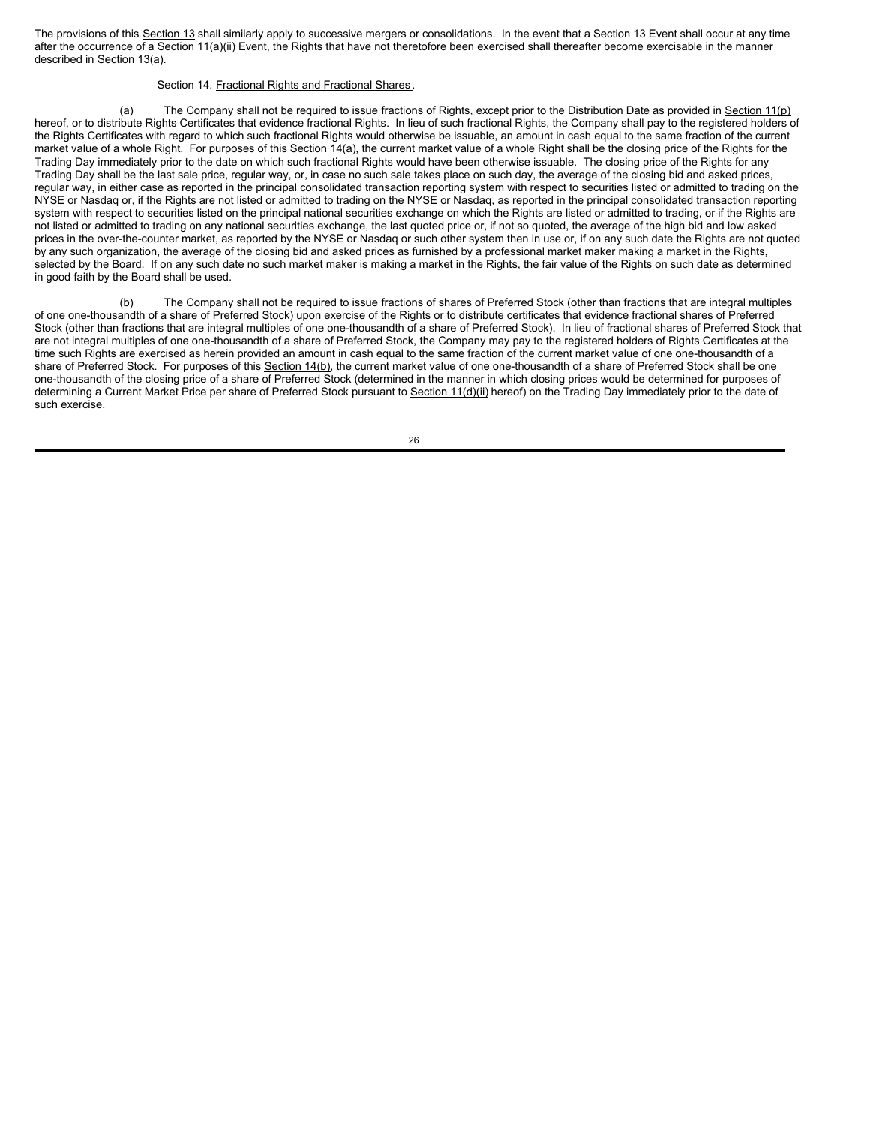The provisions of this Section 13 shall similarly apply to successive mergers or consolidations. In the event that a Section 13 Event shall occur at any time after the occurrence of a Section 11(a)(ii) Event, the Rights that have not theretofore been exercised shall thereafter become exercisable in the manner described in Section 13(a).

### Section 14. Fractional Rights and Fractional Shares.

(a) The Company shall not be required to issue fractions of Rights, except prior to the Distribution Date as provided in Section 11(p) hereof, or to distribute Rights Certificates that evidence fractional Rights. In lieu of such fractional Rights, the Company shall pay to the registered holders of the Rights Certificates with regard to which such fractional Rights would otherwise be issuable, an amount in cash equal to the same fraction of the current market value of a whole Right. For purposes of this Section 14(a), the current market value of a whole Right shall be the closing price of the Rights for the Trading Day immediately prior to the date on which such fractional Rights would have been otherwise issuable. The closing price of the Rights for any Trading Day shall be the last sale price, regular way, or, in case no such sale takes place on such day, the average of the closing bid and asked prices, regular way, in either case as reported in the principal consolidated transaction reporting system with respect to securities listed or admitted to trading on the NYSE or Nasdaq or, if the Rights are not listed or admitted to trading on the NYSE or Nasdaq, as reported in the principal consolidated transaction reporting system with respect to securities listed on the principal national securities exchange on which the Rights are listed or admitted to trading, or if the Rights are not listed or admitted to trading on any national securities exchange, the last quoted price or, if not so quoted, the average of the high bid and low asked prices in the over-the-counter market, as reported by the NYSE or Nasdaq or such other system then in use or, if on any such date the Rights are not quoted by any such organization, the average of the closing bid and asked prices as furnished by a professional market maker making a market in the Rights, selected by the Board. If on any such date no such market maker is making a market in the Rights, the fair value of the Rights on such date as determined in good faith by the Board shall be used.

(b) The Company shall not be required to issue fractions of shares of Preferred Stock (other than fractions that are integral multiples of one one-thousandth of a share of Preferred Stock) upon exercise of the Rights or to distribute certificates that evidence fractional shares of Preferred Stock (other than fractions that are integral multiples of one one-thousandth of a share of Preferred Stock). In lieu of fractional shares of Preferred Stock that are not integral multiples of one one-thousandth of a share of Preferred Stock, the Company may pay to the registered holders of Rights Certificates at the time such Rights are exercised as herein provided an amount in cash equal to the same fraction of the current market value of one one-thousandth of a share of Preferred Stock. For purposes of this Section 14(b), the current market value of one one-thousandth of a share of Preferred Stock shall be one one-thousandth of the closing price of a share of Preferred Stock (determined in the manner in which closing prices would be determined for purposes of determining a Current Market Price per share of Preferred Stock pursuant to Section 11(d)(ii) hereof) on the Trading Day immediately prior to the date of such exercise.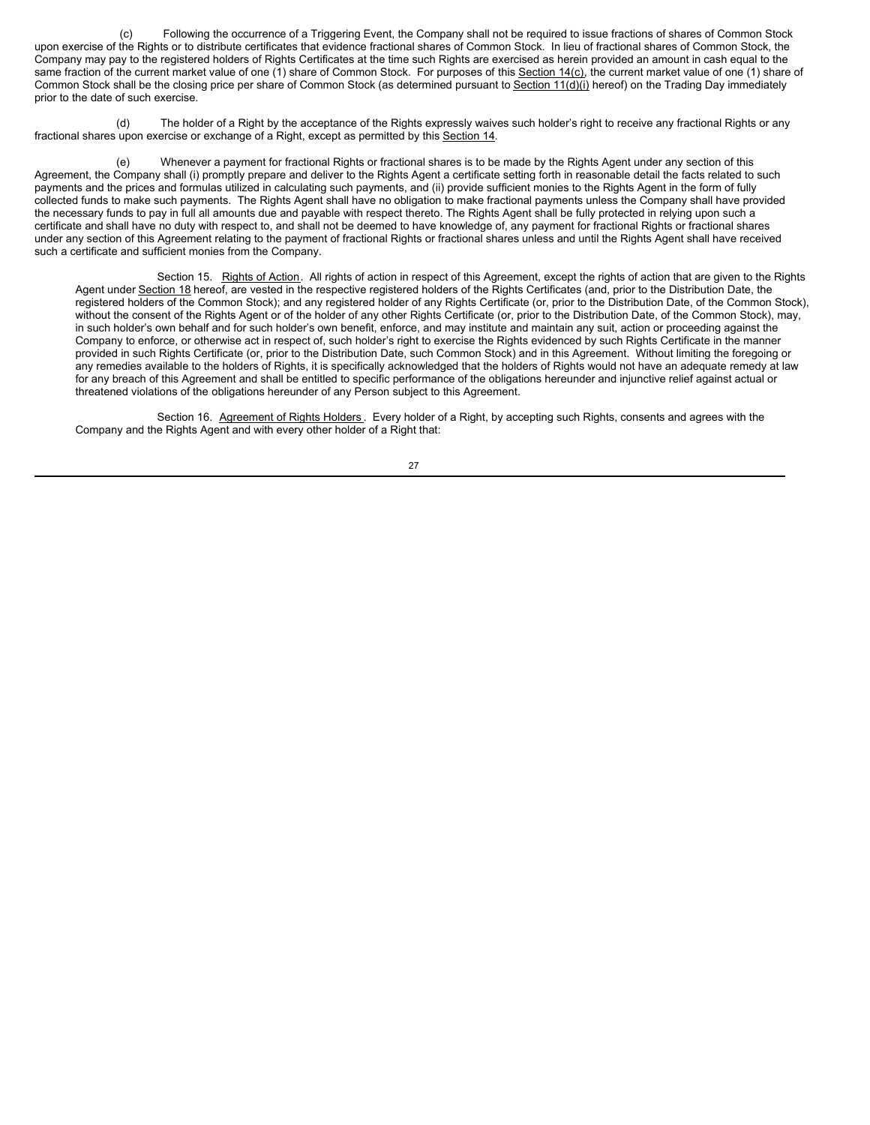(c) Following the occurrence of a Triggering Event, the Company shall not be required to issue fractions of shares of Common Stock upon exercise of the Rights or to distribute certificates that evidence fractional shares of Common Stock. In lieu of fractional shares of Common Stock, the Company may pay to the registered holders of Rights Certificates at the time such Rights are exercised as herein provided an amount in cash equal to the same fraction of the current market value of one (1) share of Common Stock. For purposes of this Section 14(c), the current market value of one (1) share of Common Stock shall be the closing price per share of Common Stock (as determined pursuant to Section 11(d)(i) hereof) on the Trading Day immediately prior to the date of such exercise.

(d) The holder of a Right by the acceptance of the Rights expressly waives such holder's right to receive any fractional Rights or any fractional shares upon exercise or exchange of a Right, except as permitted by this Section 14.

(e) Whenever a payment for fractional Rights or fractional shares is to be made by the Rights Agent under any section of this Agreement, the Company shall (i) promptly prepare and deliver to the Rights Agent a certificate setting forth in reasonable detail the facts related to such payments and the prices and formulas utilized in calculating such payments, and (ii) provide sufficient monies to the Rights Agent in the form of fully collected funds to make such payments. The Rights Agent shall have no obligation to make fractional payments unless the Company shall have provided the necessary funds to pay in full all amounts due and payable with respect thereto. The Rights Agent shall be fully protected in relying upon such a certificate and shall have no duty with respect to, and shall not be deemed to have knowledge of, any payment for fractional Rights or fractional shares under any section of this Agreement relating to the payment of fractional Rights or fractional shares unless and until the Rights Agent shall have received such a certificate and sufficient monies from the Company.

Section 15. Rights of Action. All rights of action in respect of this Agreement, except the rights of action that are given to the Rights Agent under Section 18 hereof, are vested in the respective registered holders of the Rights Certificates (and, prior to the Distribution Date, the registered holders of the Common Stock); and any registered holder of any Rights Certificate (or, prior to the Distribution Date, of the Common Stock), without the consent of the Rights Agent or of the holder of any other Rights Certificate (or, prior to the Distribution Date, of the Common Stock), may, in such holder's own behalf and for such holder's own benefit, enforce, and may institute and maintain any suit, action or proceeding against the Company to enforce, or otherwise act in respect of, such holder's right to exercise the Rights evidenced by such Rights Certificate in the manner provided in such Rights Certificate (or, prior to the Distribution Date, such Common Stock) and in this Agreement. Without limiting the foregoing or any remedies available to the holders of Rights, it is specifically acknowledged that the holders of Rights would not have an adequate remedy at law for any breach of this Agreement and shall be entitled to specific performance of the obligations hereunder and injunctive relief against actual or threatened violations of the obligations hereunder of any Person subject to this Agreement.

Section 16. Agreement of Rights Holders . Every holder of a Right, by accepting such Rights, consents and agrees with the Company and the Rights Agent and with every other holder of a Right that: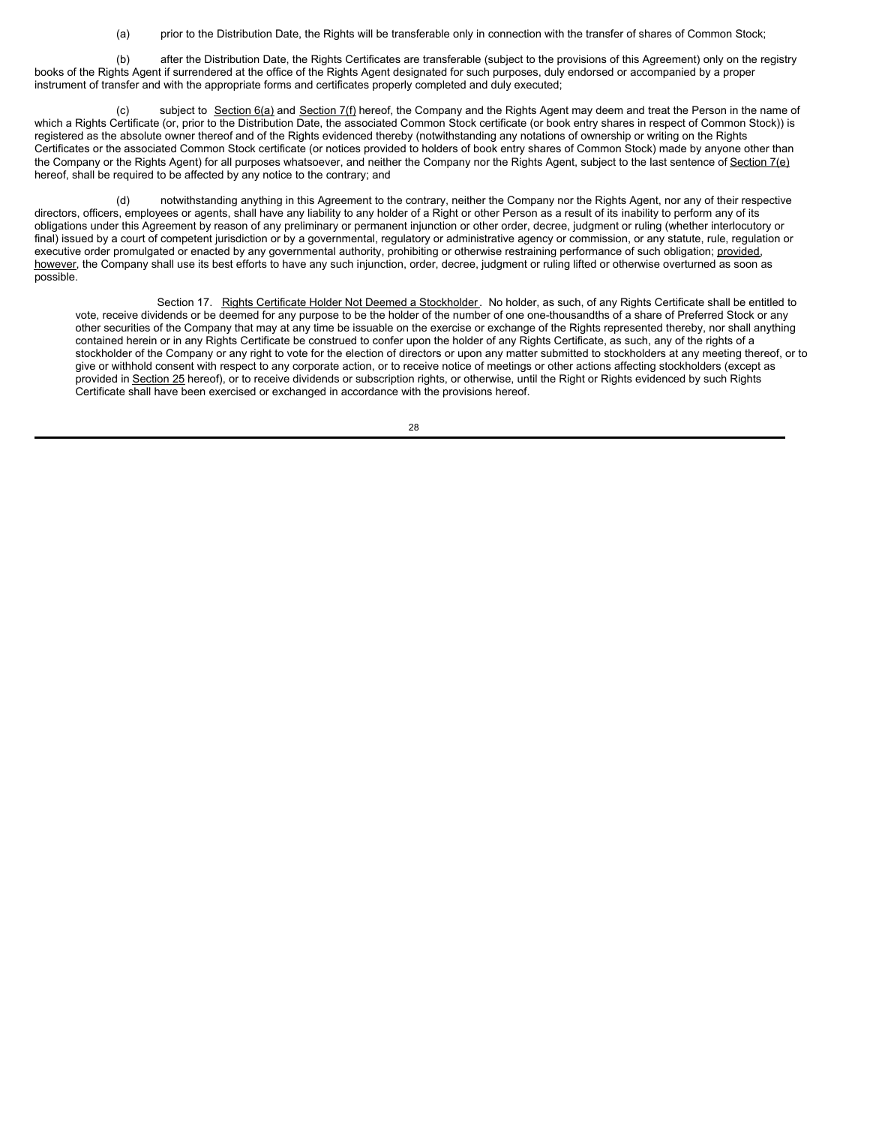(a) prior to the Distribution Date, the Rights will be transferable only in connection with the transfer of shares of Common Stock;

(b) after the Distribution Date, the Rights Certificates are transferable (subject to the provisions of this Agreement) only on the registry books of the Rights Agent if surrendered at the office of the Rights Agent designated for such purposes, duly endorsed or accompanied by a proper instrument of transfer and with the appropriate forms and certificates properly completed and duly executed;

subject to Section 6(a) and Section 7(f) hereof, the Company and the Rights Agent may deem and treat the Person in the name of which a Rights Certificate (or, prior to the Distribution Date, the associated Common Stock certificate (or book entry shares in respect of Common Stock)) is registered as the absolute owner thereof and of the Rights evidenced thereby (notwithstanding any notations of ownership or writing on the Rights Certificates or the associated Common Stock certificate (or notices provided to holders of book entry shares of Common Stock) made by anyone other than the Company or the Rights Agent) for all purposes whatsoever, and neither the Company nor the Rights Agent, subject to the last sentence of Section 7(e) hereof, shall be required to be affected by any notice to the contrary; and

(d) notwithstanding anything in this Agreement to the contrary, neither the Company nor the Rights Agent, nor any of their respective directors, officers, employees or agents, shall have any liability to any holder of a Right or other Person as a result of its inability to perform any of its obligations under this Agreement by reason of any preliminary or permanent injunction or other order, decree, judgment or ruling (whether interlocutory or final) issued by a court of competent jurisdiction or by a governmental, regulatory or administrative agency or commission, or any statute, rule, regulation or executive order promulgated or enacted by any governmental authority, prohibiting or otherwise restraining performance of such obligation; provided, however, the Company shall use its best efforts to have any such injunction, order, decree, judgment or ruling lifted or otherwise overturned as soon as possible.

Section 17. Rights Certificate Holder Not Deemed a Stockholder. No holder, as such, of any Rights Certificate shall be entitled to vote, receive dividends or be deemed for any purpose to be the holder of the number of one one-thousandths of a share of Preferred Stock or any other securities of the Company that may at any time be issuable on the exercise or exchange of the Rights represented thereby, nor shall anything contained herein or in any Rights Certificate be construed to confer upon the holder of any Rights Certificate, as such, any of the rights of a stockholder of the Company or any right to vote for the election of directors or upon any matter submitted to stockholders at any meeting thereof, or to give or withhold consent with respect to any corporate action, or to receive notice of meetings or other actions affecting stockholders (except as provided in Section 25 hereof), or to receive dividends or subscription rights, or otherwise, until the Right or Rights evidenced by such Rights Certificate shall have been exercised or exchanged in accordance with the provisions hereof.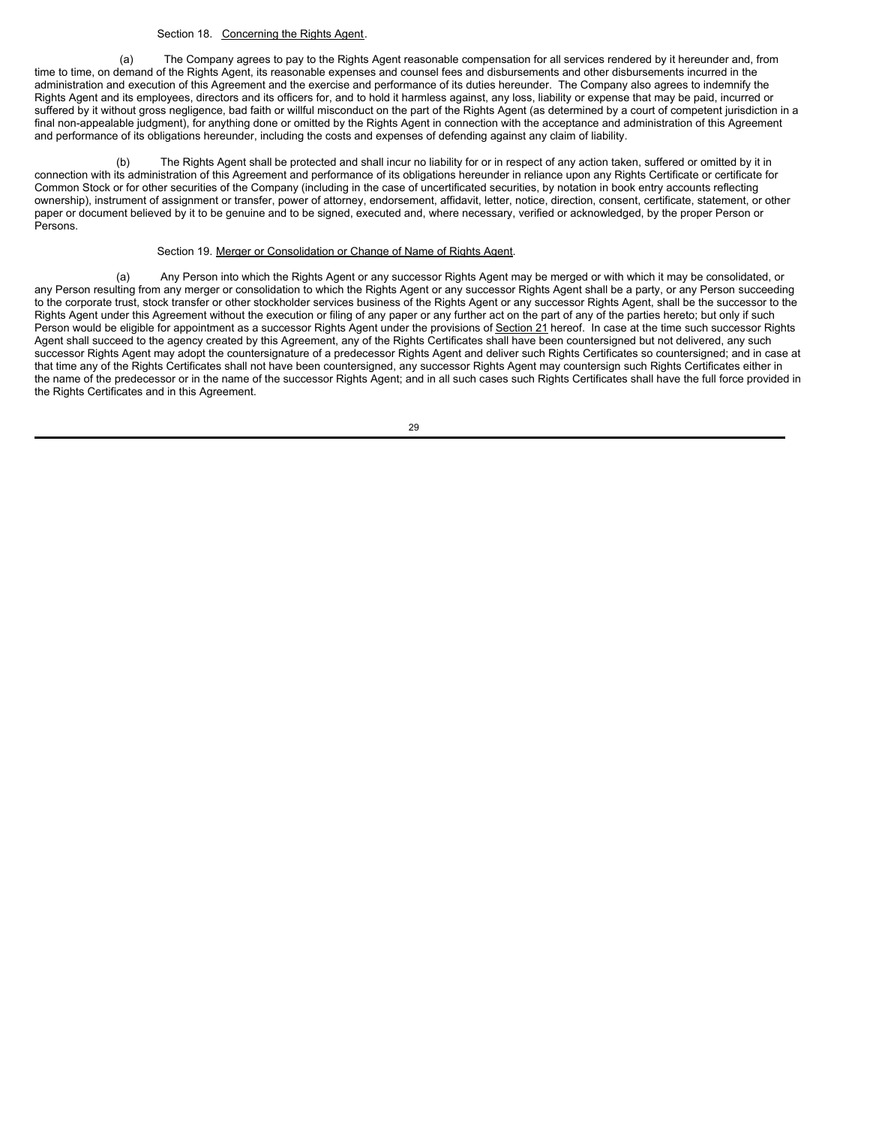### Section 18. Concerning the Rights Agent.

(a) The Company agrees to pay to the Rights Agent reasonable compensation for all services rendered by it hereunder and, from time to time, on demand of the Rights Agent, its reasonable expenses and counsel fees and disbursements and other disbursements incurred in the administration and execution of this Agreement and the exercise and performance of its duties hereunder. The Company also agrees to indemnify the Rights Agent and its employees, directors and its officers for, and to hold it harmless against, any loss, liability or expense that may be paid, incurred or suffered by it without gross negligence, bad faith or willful misconduct on the part of the Rights Agent (as determined by a court of competent jurisdiction in a final non-appealable judgment), for anything done or omitted by the Rights Agent in connection with the acceptance and administration of this Agreement and performance of its obligations hereunder, including the costs and expenses of defending against any claim of liability.

(b) The Rights Agent shall be protected and shall incur no liability for or in respect of any action taken, suffered or omitted by it in connection with its administration of this Agreement and performance of its obligations hereunder in reliance upon any Rights Certificate or certificate for Common Stock or for other securities of the Company (including in the case of uncertificated securities, by notation in book entry accounts reflecting ownership), instrument of assignment or transfer, power of attorney, endorsement, affidavit, letter, notice, direction, consent, certificate, statement, or other paper or document believed by it to be genuine and to be signed, executed and, where necessary, verified or acknowledged, by the proper Person or Persons.

# Section 19. Merger or Consolidation or Change of Name of Rights Agent.

(a) Any Person into which the Rights Agent or any successor Rights Agent may be merged or with which it may be consolidated, or any Person resulting from any merger or consolidation to which the Rights Agent or any successor Rights Agent shall be a party, or any Person succeeding to the corporate trust, stock transfer or other stockholder services business of the Rights Agent or any successor Rights Agent, shall be the successor to the Rights Agent under this Agreement without the execution or filing of any paper or any further act on the part of any of the parties hereto; but only if such Person would be eligible for appointment as a successor Rights Agent under the provisions of Section 21 hereof. In case at the time such successor Rights Agent shall succeed to the agency created by this Agreement, any of the Rights Certificates shall have been countersigned but not delivered, any such successor Rights Agent may adopt the countersignature of a predecessor Rights Agent and deliver such Rights Certificates so countersigned; and in case at that time any of the Rights Certificates shall not have been countersigned, any successor Rights Agent may countersign such Rights Certificates either in the name of the predecessor or in the name of the successor Rights Agent; and in all such cases such Rights Certificates shall have the full force provided in the Rights Certificates and in this Agreement.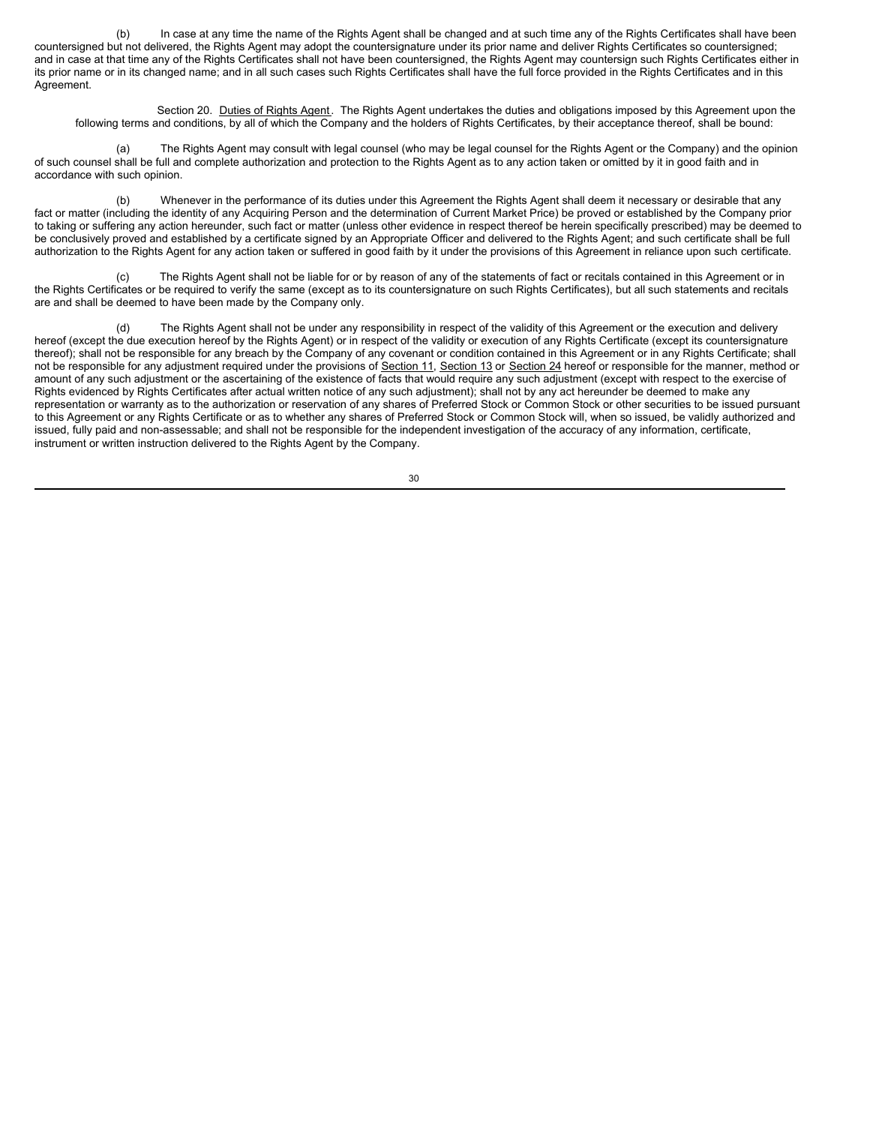(b) In case at any time the name of the Rights Agent shall be changed and at such time any of the Rights Certificates shall have been countersigned but not delivered, the Rights Agent may adopt the countersignature under its prior name and deliver Rights Certificates so countersigned; and in case at that time any of the Rights Certificates shall not have been countersigned, the Rights Agent may countersign such Rights Certificates either in its prior name or in its changed name; and in all such cases such Rights Certificates shall have the full force provided in the Rights Certificates and in this Agreement.

Section 20. Duties of Rights Agent. The Rights Agent undertakes the duties and obligations imposed by this Agreement upon the following terms and conditions, by all of which the Company and the holders of Rights Certificates, by their acceptance thereof, shall be bound:

(a) The Rights Agent may consult with legal counsel (who may be legal counsel for the Rights Agent or the Company) and the opinion of such counsel shall be full and complete authorization and protection to the Rights Agent as to any action taken or omitted by it in good faith and in accordance with such opinion.

(b) Whenever in the performance of its duties under this Agreement the Rights Agent shall deem it necessary or desirable that any fact or matter (including the identity of any Acquiring Person and the determination of Current Market Price) be proved or established by the Company prior to taking or suffering any action hereunder, such fact or matter (unless other evidence in respect thereof be herein specifically prescribed) may be deemed to be conclusively proved and established by a certificate signed by an Appropriate Officer and delivered to the Rights Agent; and such certificate shall be full authorization to the Rights Agent for any action taken or suffered in good faith by it under the provisions of this Agreement in reliance upon such certificate.

(c) The Rights Agent shall not be liable for or by reason of any of the statements of fact or recitals contained in this Agreement or in the Rights Certificates or be required to verify the same (except as to its countersignature on such Rights Certificates), but all such statements and recitals are and shall be deemed to have been made by the Company only.

The Rights Agent shall not be under any responsibility in respect of the validity of this Agreement or the execution and delivery hereof (except the due execution hereof by the Rights Agent) or in respect of the validity or execution of any Rights Certificate (except its countersignature thereof); shall not be responsible for any breach by the Company of any covenant or condition contained in this Agreement or in any Rights Certificate; shall not be responsible for any adjustment required under the provisions of Section 11, Section 13 or Section 24 hereof or responsible for the manner, method or amount of any such adjustment or the ascertaining of the existence of facts that would require any such adjustment (except with respect to the exercise of Rights evidenced by Rights Certificates after actual written notice of any such adjustment); shall not by any act hereunder be deemed to make any representation or warranty as to the authorization or reservation of any shares of Preferred Stock or Common Stock or other securities to be issued pursuant to this Agreement or any Rights Certificate or as to whether any shares of Preferred Stock or Common Stock will, when so issued, be validly authorized and issued, fully paid and non-assessable; and shall not be responsible for the independent investigation of the accuracy of any information, certificate, instrument or written instruction delivered to the Rights Agent by the Company.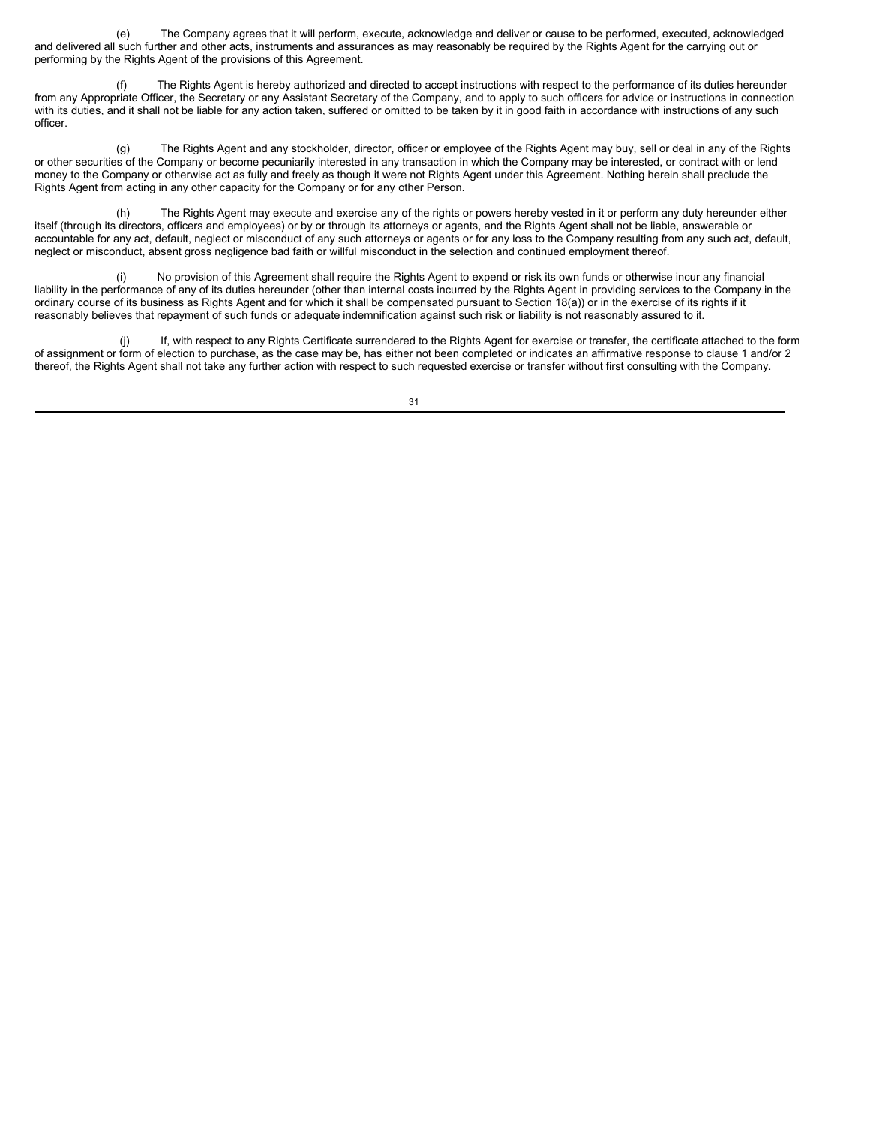(e) The Company agrees that it will perform, execute, acknowledge and deliver or cause to be performed, executed, acknowledged and delivered all such further and other acts, instruments and assurances as may reasonably be required by the Rights Agent for the carrying out or performing by the Rights Agent of the provisions of this Agreement.

The Rights Agent is hereby authorized and directed to accept instructions with respect to the performance of its duties hereunder from any Appropriate Officer, the Secretary or any Assistant Secretary of the Company, and to apply to such officers for advice or instructions in connection with its duties, and it shall not be liable for any action taken, suffered or omitted to be taken by it in good faith in accordance with instructions of any such officer.

(g) The Rights Agent and any stockholder, director, officer or employee of the Rights Agent may buy, sell or deal in any of the Rights or other securities of the Company or become pecuniarily interested in any transaction in which the Company may be interested, or contract with or lend money to the Company or otherwise act as fully and freely as though it were not Rights Agent under this Agreement. Nothing herein shall preclude the Rights Agent from acting in any other capacity for the Company or for any other Person.

(h) The Rights Agent may execute and exercise any of the rights or powers hereby vested in it or perform any duty hereunder either itself (through its directors, officers and employees) or by or through its attorneys or agents, and the Rights Agent shall not be liable, answerable or accountable for any act, default, neglect or misconduct of any such attorneys or agents or for any loss to the Company resulting from any such act, default, neglect or misconduct, absent gross negligence bad faith or willful misconduct in the selection and continued employment thereof.

(i) No provision of this Agreement shall require the Rights Agent to expend or risk its own funds or otherwise incur any financial liability in the performance of any of its duties hereunder (other than internal costs incurred by the Rights Agent in providing services to the Company in the ordinary course of its business as Rights Agent and for which it shall be compensated pursuant to Section 18(a)) or in the exercise of its rights if it reasonably believes that repayment of such funds or adequate indemnification against such risk or liability is not reasonably assured to it.

(j) If, with respect to any Rights Certificate surrendered to the Rights Agent for exercise or transfer, the certificate attached to the form of assignment or form of election to purchase, as the case may be, has either not been completed or indicates an affirmative response to clause 1 and/or 2 thereof, the Rights Agent shall not take any further action with respect to such requested exercise or transfer without first consulting with the Company.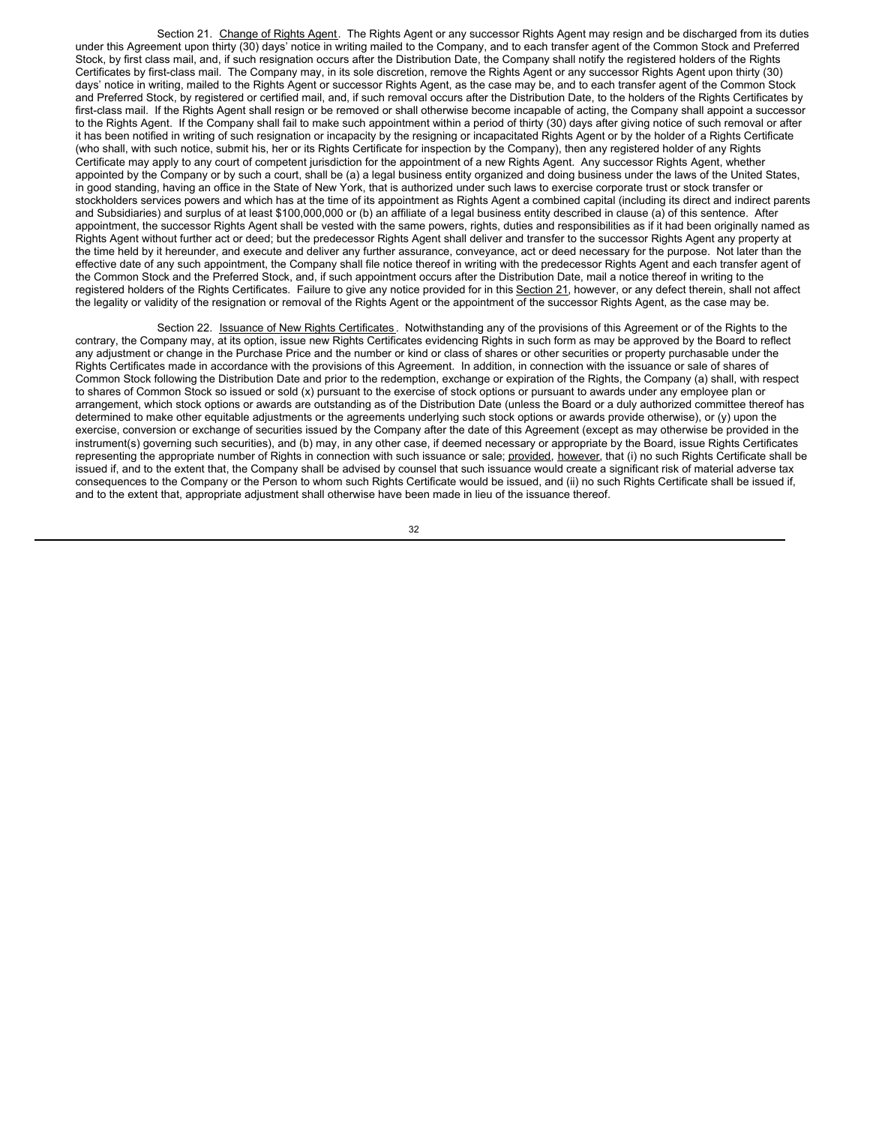Section 21. Change of Rights Agent. The Rights Agent or any successor Rights Agent may resign and be discharged from its duties under this Agreement upon thirty (30) days' notice in writing mailed to the Company, and to each transfer agent of the Common Stock and Preferred Stock, by first class mail, and, if such resignation occurs after the Distribution Date, the Company shall notify the registered holders of the Rights Certificates by first-class mail. The Company may, in its sole discretion, remove the Rights Agent or any successor Rights Agent upon thirty (30) days' notice in writing, mailed to the Rights Agent or successor Rights Agent, as the case may be, and to each transfer agent of the Common Stock and Preferred Stock, by registered or certified mail, and, if such removal occurs after the Distribution Date, to the holders of the Rights Certificates by first-class mail. If the Rights Agent shall resign or be removed or shall otherwise become incapable of acting, the Company shall appoint a successor to the Rights Agent. If the Company shall fail to make such appointment within a period of thirty (30) days after giving notice of such removal or after it has been notified in writing of such resignation or incapacity by the resigning or incapacitated Rights Agent or by the holder of a Rights Certificate (who shall, with such notice, submit his, her or its Rights Certificate for inspection by the Company), then any registered holder of any Rights Certificate may apply to any court of competent jurisdiction for the appointment of a new Rights Agent. Any successor Rights Agent, whether appointed by the Company or by such a court, shall be (a) a legal business entity organized and doing business under the laws of the United States, in good standing, having an office in the State of New York, that is authorized under such laws to exercise corporate trust or stock transfer or stockholders services powers and which has at the time of its appointment as Rights Agent a combined capital (including its direct and indirect parents and Subsidiaries) and surplus of at least \$100,000,000 or (b) an affiliate of a legal business entity described in clause (a) of this sentence. After appointment, the successor Rights Agent shall be vested with the same powers, rights, duties and responsibilities as if it had been originally named as Rights Agent without further act or deed; but the predecessor Rights Agent shall deliver and transfer to the successor Rights Agent any property at the time held by it hereunder, and execute and deliver any further assurance, conveyance, act or deed necessary for the purpose. Not later than the effective date of any such appointment, the Company shall file notice thereof in writing with the predecessor Rights Agent and each transfer agent of the Common Stock and the Preferred Stock, and, if such appointment occurs after the Distribution Date, mail a notice thereof in writing to the registered holders of the Rights Certificates. Failure to give any notice provided for in this Section 21, however, or any defect therein, shall not affect the legality or validity of the resignation or removal of the Rights Agent or the appointment of the successor Rights Agent, as the case may be.

Section 22. **Issuance of New Rights Certificates**. Notwithstanding any of the provisions of this Agreement or of the Rights to the contrary, the Company may, at its option, issue new Rights Certificates evidencing Rights in such form as may be approved by the Board to reflect any adjustment or change in the Purchase Price and the number or kind or class of shares or other securities or property purchasable under the Rights Certificates made in accordance with the provisions of this Agreement. In addition, in connection with the issuance or sale of shares of Common Stock following the Distribution Date and prior to the redemption, exchange or expiration of the Rights, the Company (a) shall, with respect to shares of Common Stock so issued or sold (x) pursuant to the exercise of stock options or pursuant to awards under any employee plan or arrangement, which stock options or awards are outstanding as of the Distribution Date (unless the Board or a duly authorized committee thereof has determined to make other equitable adjustments or the agreements underlying such stock options or awards provide otherwise), or (y) upon the exercise, conversion or exchange of securities issued by the Company after the date of this Agreement (except as may otherwise be provided in the instrument(s) governing such securities), and (b) may, in any other case, if deemed necessary or appropriate by the Board, issue Rights Certificates representing the appropriate number of Rights in connection with such issuance or sale; provided, however, that (i) no such Rights Certificate shall be issued if, and to the extent that, the Company shall be advised by counsel that such issuance would create a significant risk of material adverse tax consequences to the Company or the Person to whom such Rights Certificate would be issued, and (ii) no such Rights Certificate shall be issued if, and to the extent that, appropriate adjustment shall otherwise have been made in lieu of the issuance thereof.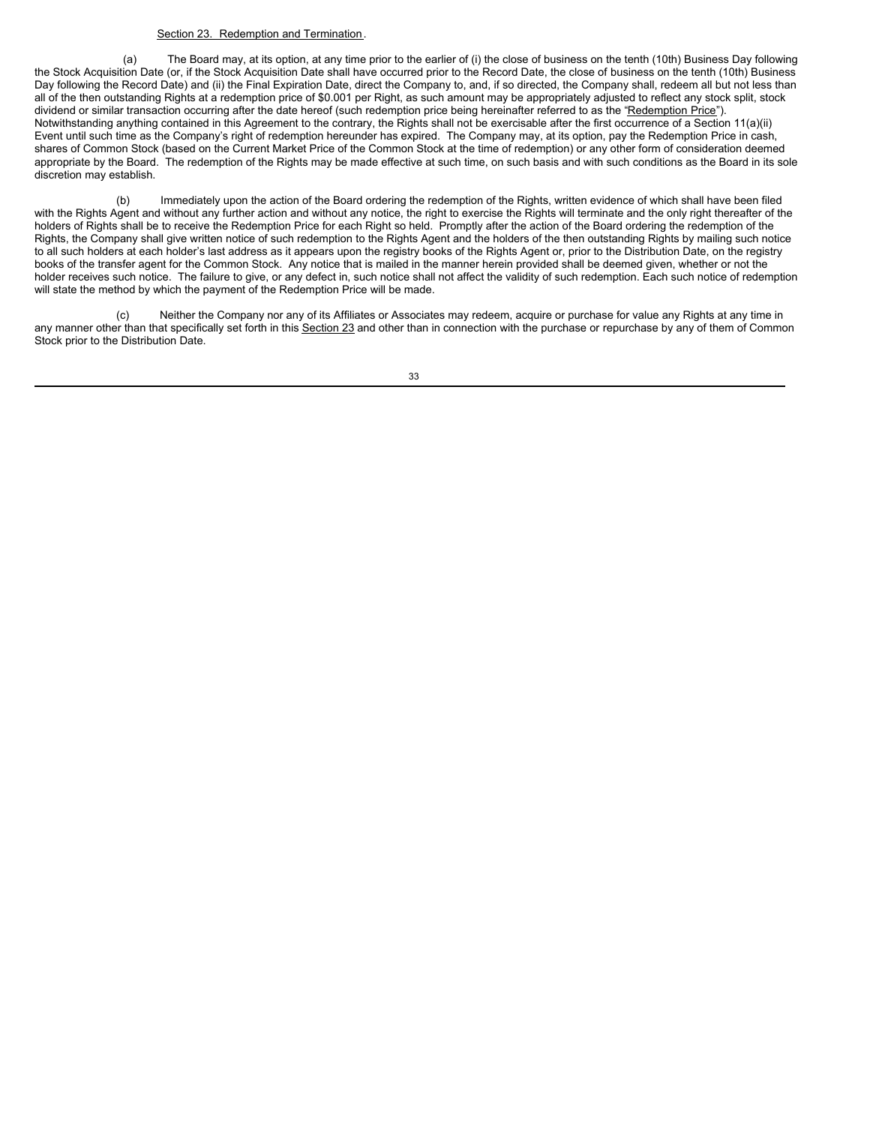### Section 23. Redemption and Termination.

(a) The Board may, at its option, at any time prior to the earlier of (i) the close of business on the tenth (10th) Business Day following the Stock Acquisition Date (or, if the Stock Acquisition Date shall have occurred prior to the Record Date, the close of business on the tenth (10th) Business Day following the Record Date) and (ii) the Final Expiration Date, direct the Company to, and, if so directed, the Company shall, redeem all but not less than all of the then outstanding Rights at a redemption price of \$0.001 per Right, as such amount may be appropriately adjusted to reflect any stock split, stock dividend or similar transaction occurring after the date hereof (such redemption price being hereinafter referred to as the "Redemption Price"). Notwithstanding anything contained in this Agreement to the contrary, the Rights shall not be exercisable after the first occurrence of a Section 11(a)(ii) Event until such time as the Company's right of redemption hereunder has expired. The Company may, at its option, pay the Redemption Price in cash, shares of Common Stock (based on the Current Market Price of the Common Stock at the time of redemption) or any other form of consideration deemed appropriate by the Board. The redemption of the Rights may be made effective at such time, on such basis and with such conditions as the Board in its sole discretion may establish.

(b) Immediately upon the action of the Board ordering the redemption of the Rights, written evidence of which shall have been filed with the Rights Agent and without any further action and without any notice, the right to exercise the Rights will terminate and the only right thereafter of the holders of Rights shall be to receive the Redemption Price for each Right so held. Promptly after the action of the Board ordering the redemption of the Rights, the Company shall give written notice of such redemption to the Rights Agent and the holders of the then outstanding Rights by mailing such notice to all such holders at each holder's last address as it appears upon the registry books of the Rights Agent or, prior to the Distribution Date, on the registry books of the transfer agent for the Common Stock. Any notice that is mailed in the manner herein provided shall be deemed given, whether or not the holder receives such notice. The failure to give, or any defect in, such notice shall not affect the validity of such redemption. Each such notice of redemption will state the method by which the payment of the Redemption Price will be made.

(c) Neither the Company nor any of its Affiliates or Associates may redeem, acquire or purchase for value any Rights at any time in any manner other than that specifically set forth in this Section 23 and other than in connection with the purchase or repurchase by any of them of Common Stock prior to the Distribution Date.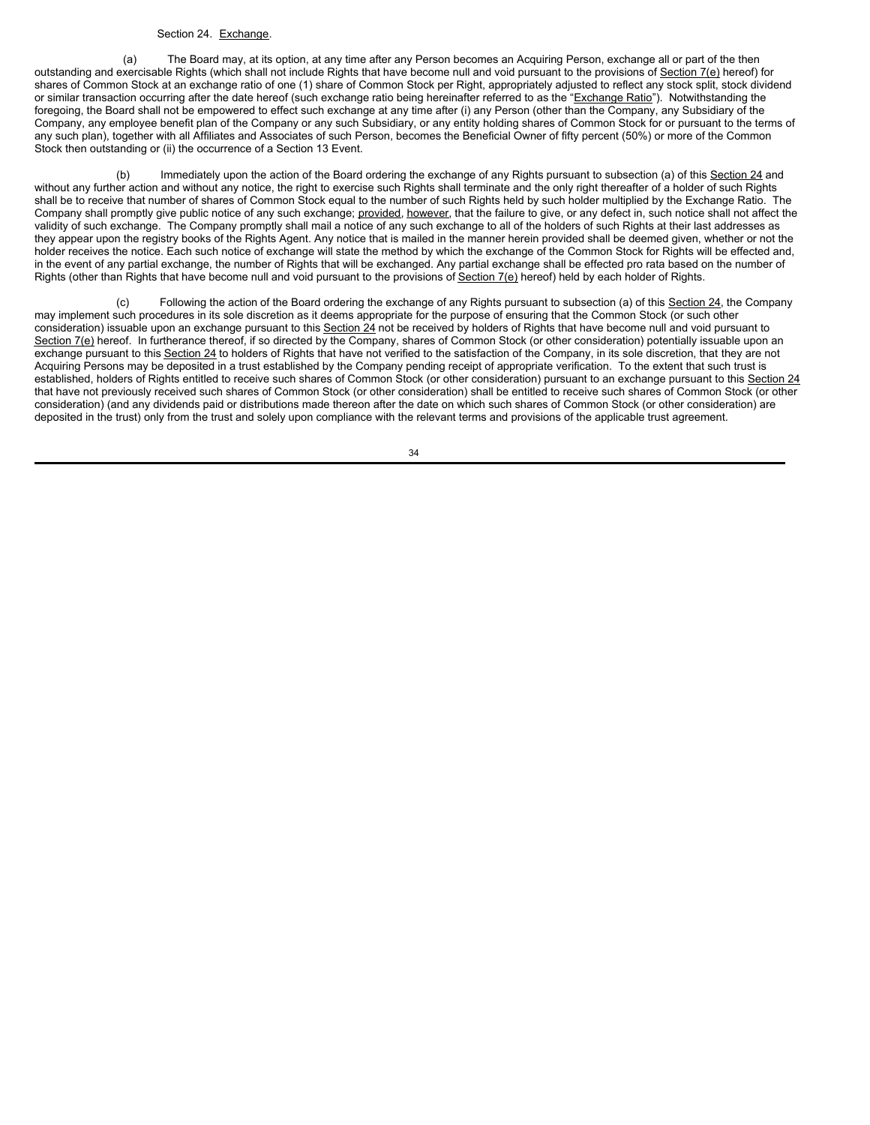### Section 24. Exchange.

(a) The Board may, at its option, at any time after any Person becomes an Acquiring Person, exchange all or part of the then outstanding and exercisable Rights (which shall not include Rights that have become null and void pursuant to the provisions of Section 7(e) hereof) for shares of Common Stock at an exchange ratio of one (1) share of Common Stock per Right, appropriately adjusted to reflect any stock split, stock dividend or similar transaction occurring after the date hereof (such exchange ratio being hereinafter referred to as the "Exchange Ratio"). Notwithstanding the foregoing, the Board shall not be empowered to effect such exchange at any time after (i) any Person (other than the Company, any Subsidiary of the Company, any employee benefit plan of the Company or any such Subsidiary, or any entity holding shares of Common Stock for or pursuant to the terms of any such plan), together with all Affiliates and Associates of such Person, becomes the Beneficial Owner of fifty percent (50%) or more of the Common Stock then outstanding or (ii) the occurrence of a Section 13 Event.

(b) Immediately upon the action of the Board ordering the exchange of any Rights pursuant to subsection (a) of this Section 24 and without any further action and without any notice, the right to exercise such Rights shall terminate and the only right thereafter of a holder of such Rights shall be to receive that number of shares of Common Stock equal to the number of such Rights held by such holder multiplied by the Exchange Ratio. The Company shall promptly give public notice of any such exchange; provided, however, that the failure to give, or any defect in, such notice shall not affect the validity of such exchange. The Company promptly shall mail a notice of any such exchange to all of the holders of such Rights at their last addresses as they appear upon the registry books of the Rights Agent. Any notice that is mailed in the manner herein provided shall be deemed given, whether or not the holder receives the notice. Each such notice of exchange will state the method by which the exchange of the Common Stock for Rights will be effected and, in the event of any partial exchange, the number of Rights that will be exchanged. Any partial exchange shall be effected pro rata based on the number of Rights (other than Rights that have become null and void pursuant to the provisions of Section 7(e) hereof) held by each holder of Rights.

(c) Following the action of the Board ordering the exchange of any Rights pursuant to subsection (a) of this Section 24, the Company may implement such procedures in its sole discretion as it deems appropriate for the purpose of ensuring that the Common Stock (or such other consideration) issuable upon an exchange pursuant to this Section 24 not be received by holders of Rights that have become null and void pursuant to Section 7(e) hereof. In furtherance thereof, if so directed by the Company, shares of Common Stock (or other consideration) potentially issuable upon an exchange pursuant to this Section 24 to holders of Rights that have not verified to the satisfaction of the Company, in its sole discretion, that they are not Acquiring Persons may be deposited in a trust established by the Company pending receipt of appropriate verification. To the extent that such trust is established, holders of Rights entitled to receive such shares of Common Stock (or other consideration) pursuant to an exchange pursuant to this Section 24 that have not previously received such shares of Common Stock (or other consideration) shall be entitled to receive such shares of Common Stock (or other consideration) (and any dividends paid or distributions made thereon after the date on which such shares of Common Stock (or other consideration) are deposited in the trust) only from the trust and solely upon compliance with the relevant terms and provisions of the applicable trust agreement.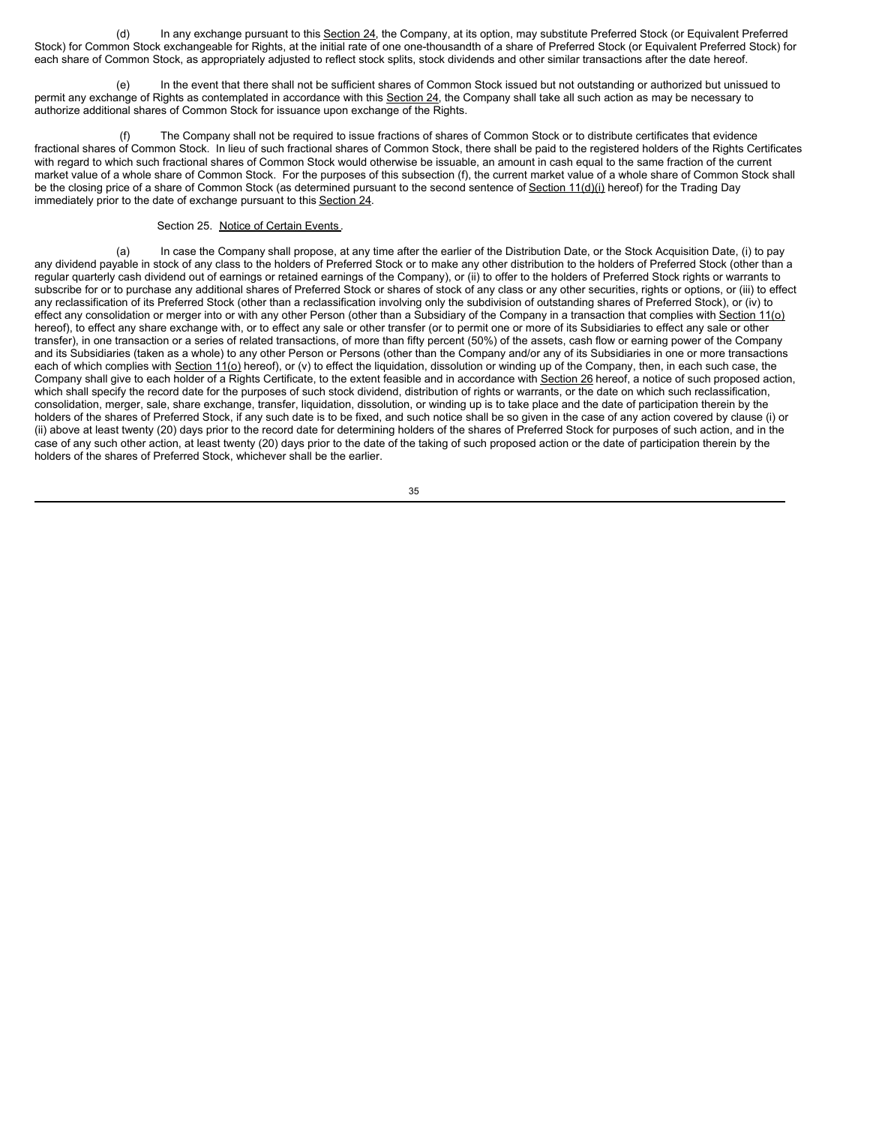(d) In any exchange pursuant to this Section 24, the Company, at its option, may substitute Preferred Stock (or Equivalent Preferred Stock) for Common Stock exchangeable for Rights, at the initial rate of one one-thousandth of a share of Preferred Stock (or Equivalent Preferred Stock) for each share of Common Stock, as appropriately adjusted to reflect stock splits, stock dividends and other similar transactions after the date hereof.

In the event that there shall not be sufficient shares of Common Stock issued but not outstanding or authorized but unissued to permit any exchange of Rights as contemplated in accordance with this Section 24, the Company shall take all such action as may be necessary to authorize additional shares of Common Stock for issuance upon exchange of the Rights.

The Company shall not be required to issue fractions of shares of Common Stock or to distribute certificates that evidence fractional shares of Common Stock. In lieu of such fractional shares of Common Stock, there shall be paid to the registered holders of the Rights Certificates with regard to which such fractional shares of Common Stock would otherwise be issuable, an amount in cash equal to the same fraction of the current market value of a whole share of Common Stock. For the purposes of this subsection (f), the current market value of a whole share of Common Stock shall be the closing price of a share of Common Stock (as determined pursuant to the second sentence of Section 11(d)(i) hereof) for the Trading Day immediately prior to the date of exchange pursuant to this Section 24.

Section 25. Notice of Certain Events.

(a) In case the Company shall propose, at any time after the earlier of the Distribution Date, or the Stock Acquisition Date, (i) to pay any dividend payable in stock of any class to the holders of Preferred Stock or to make any other distribution to the holders of Preferred Stock (other than a regular quarterly cash dividend out of earnings or retained earnings of the Company), or (ii) to offer to the holders of Preferred Stock rights or warrants to subscribe for or to purchase any additional shares of Preferred Stock or shares of stock of any class or any other securities, rights or options, or (iii) to effect any reclassification of its Preferred Stock (other than a reclassification involving only the subdivision of outstanding shares of Preferred Stock), or (iv) to effect any consolidation or merger into or with any other Person (other than a Subsidiary of the Company in a transaction that complies with Section 11(o) hereof), to effect any share exchange with, or to effect any sale or other transfer (or to permit one or more of its Subsidiaries to effect any sale or other transfer), in one transaction or a series of related transactions, of more than fifty percent (50%) of the assets, cash flow or earning power of the Company and its Subsidiaries (taken as a whole) to any other Person or Persons (other than the Company and/or any of its Subsidiaries in one or more transactions each of which complies with Section 11(o) hereof), or (v) to effect the liquidation, dissolution or winding up of the Company, then, in each such case, the Company shall give to each holder of a Rights Certificate, to the extent feasible and in accordance with Section 26 hereof, a notice of such proposed action, which shall specify the record date for the purposes of such stock dividend, distribution of rights or warrants, or the date on which such reclassification, consolidation, merger, sale, share exchange, transfer, liquidation, dissolution, or winding up is to take place and the date of participation therein by the holders of the shares of Preferred Stock, if any such date is to be fixed, and such notice shall be so given in the case of any action covered by clause (i) or (ii) above at least twenty (20) days prior to the record date for determining holders of the shares of Preferred Stock for purposes of such action, and in the case of any such other action, at least twenty (20) days prior to the date of the taking of such proposed action or the date of participation therein by the holders of the shares of Preferred Stock, whichever shall be the earlier.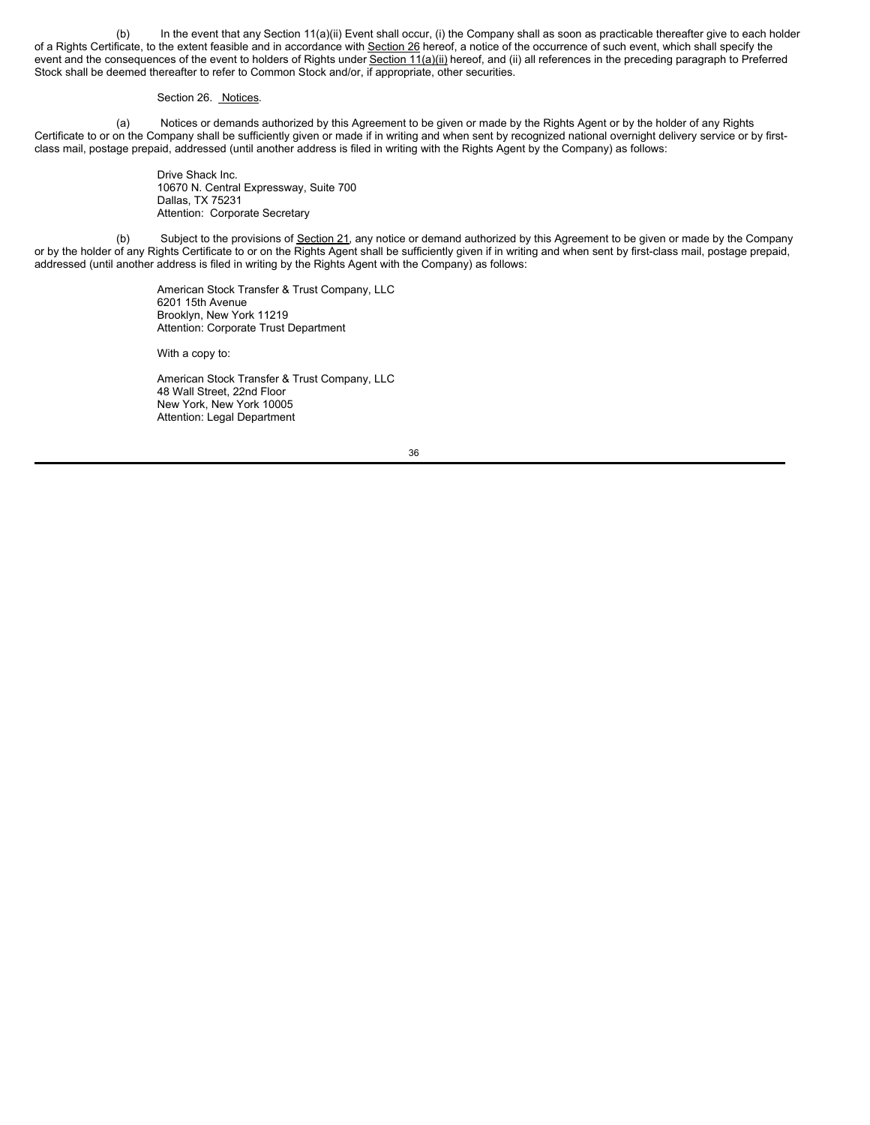(b) In the event that any Section 11(a)(ii) Event shall occur, (i) the Company shall as soon as practicable thereafter give to each holder of a Rights Certificate, to the extent feasible and in accordance with Section 26 hereof, a notice of the occurrence of such event, which shall specify the event and the consequences of the event to holders of Rights under Section 11(a)(ii) hereof, and (ii) all references in the preceding paragraph to Preferred Stock shall be deemed thereafter to refer to Common Stock and/or, if appropriate, other securities.

### Section 26. Notices.

(a) Notices or demands authorized by this Agreement to be given or made by the Rights Agent or by the holder of any Rights Certificate to or on the Company shall be sufficiently given or made if in writing and when sent by recognized national overnight delivery service or by firstclass mail, postage prepaid, addressed (until another address is filed in writing with the Rights Agent by the Company) as follows:

> Drive Shack Inc. 10670 N. Central Expressway, Suite 700 Dallas, TX 75231 Attention: Corporate Secretary

(b) Subject to the provisions of Section 21, any notice or demand authorized by this Agreement to be given or made by the Company or by the holder of any Rights Certificate to or on the Rights Agent shall be sufficiently given if in writing and when sent by first-class mail, postage prepaid, addressed (until another address is filed in writing by the Rights Agent with the Company) as follows:

> American Stock Transfer & Trust Company, LLC 6201 15th Avenue Brooklyn, New York 11219 Attention: Corporate Trust Department

With a copy to:

American Stock Transfer & Trust Company, LLC 48 Wall Street, 22nd Floor New York, New York 10005 Attention: Legal Department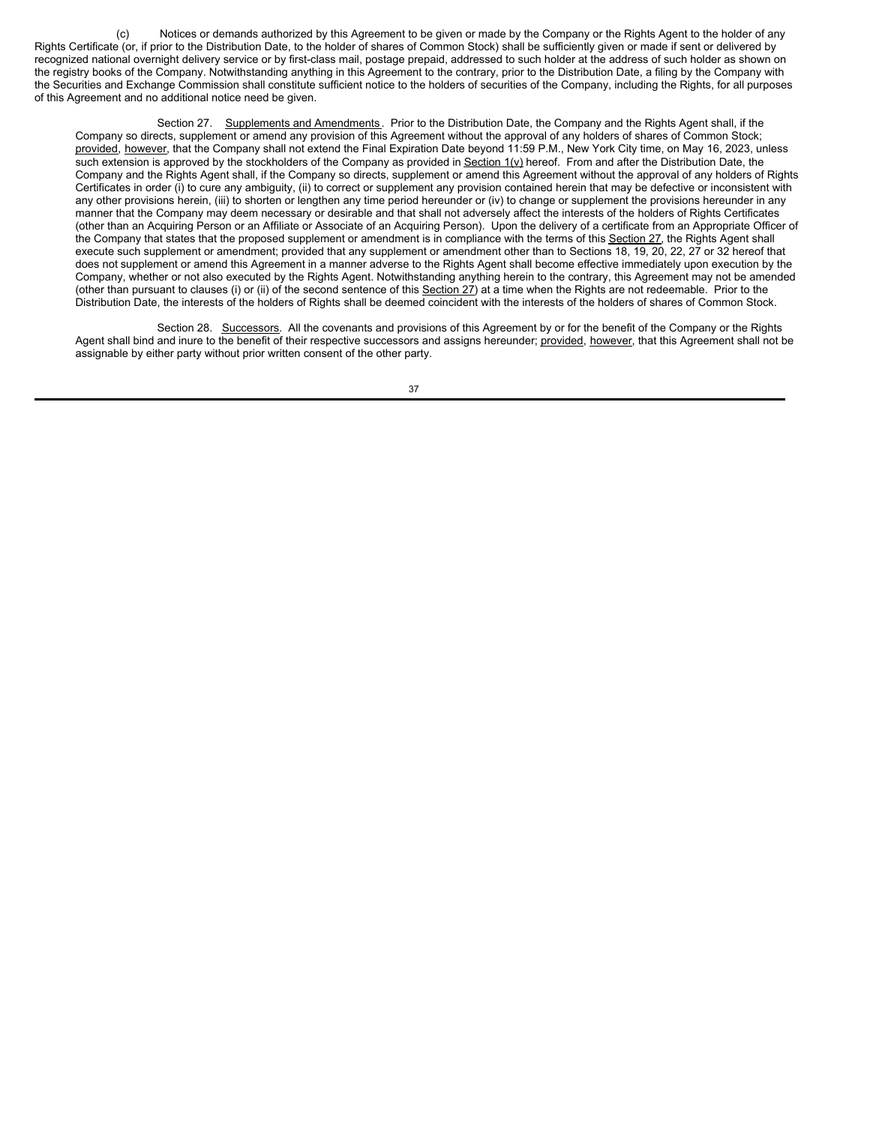(c) Notices or demands authorized by this Agreement to be given or made by the Company or the Rights Agent to the holder of any Rights Certificate (or, if prior to the Distribution Date, to the holder of shares of Common Stock) shall be sufficiently given or made if sent or delivered by recognized national overnight delivery service or by first-class mail, postage prepaid, addressed to such holder at the address of such holder as shown on the registry books of the Company. Notwithstanding anything in this Agreement to the contrary, prior to the Distribution Date, a filing by the Company with the Securities and Exchange Commission shall constitute sufficient notice to the holders of securities of the Company, including the Rights, for all purposes of this Agreement and no additional notice need be given.

Section 27. Supplements and Amendments. Prior to the Distribution Date, the Company and the Rights Agent shall, if the Company so directs, supplement or amend any provision of this Agreement without the approval of any holders of shares of Common Stock; provided, however, that the Company shall not extend the Final Expiration Date beyond 11:59 P.M., New York City time, on May 16, 2023, unless such extension is approved by the stockholders of the Company as provided in Section 1(v) hereof. From and after the Distribution Date, the Company and the Rights Agent shall, if the Company so directs, supplement or amend this Agreement without the approval of any holders of Rights Certificates in order (i) to cure any ambiguity, (ii) to correct or supplement any provision contained herein that may be defective or inconsistent with any other provisions herein, (iii) to shorten or lengthen any time period hereunder or (iv) to change or supplement the provisions hereunder in any manner that the Company may deem necessary or desirable and that shall not adversely affect the interests of the holders of Rights Certificates (other than an Acquiring Person or an Affiliate or Associate of an Acquiring Person). Upon the delivery of a certificate from an Appropriate Officer of the Company that states that the proposed supplement or amendment is in compliance with the terms of this Section 27, the Rights Agent shall execute such supplement or amendment; provided that any supplement or amendment other than to Sections 18, 19, 20, 22, 27 or 32 hereof that does not supplement or amend this Agreement in a manner adverse to the Rights Agent shall become effective immediately upon execution by the Company, whether or not also executed by the Rights Agent. Notwithstanding anything herein to the contrary, this Agreement may not be amended (other than pursuant to clauses (i) or (ii) of the second sentence of this Section 27) at a time when the Rights are not redeemable. Prior to the Distribution Date, the interests of the holders of Rights shall be deemed coincident with the interests of the holders of shares of Common Stock.

Section 28. Successors. All the covenants and provisions of this Agreement by or for the benefit of the Company or the Rights Agent shall bind and inure to the benefit of their respective successors and assigns hereunder; provided, however, that this Agreement shall not be assignable by either party without prior written consent of the other party.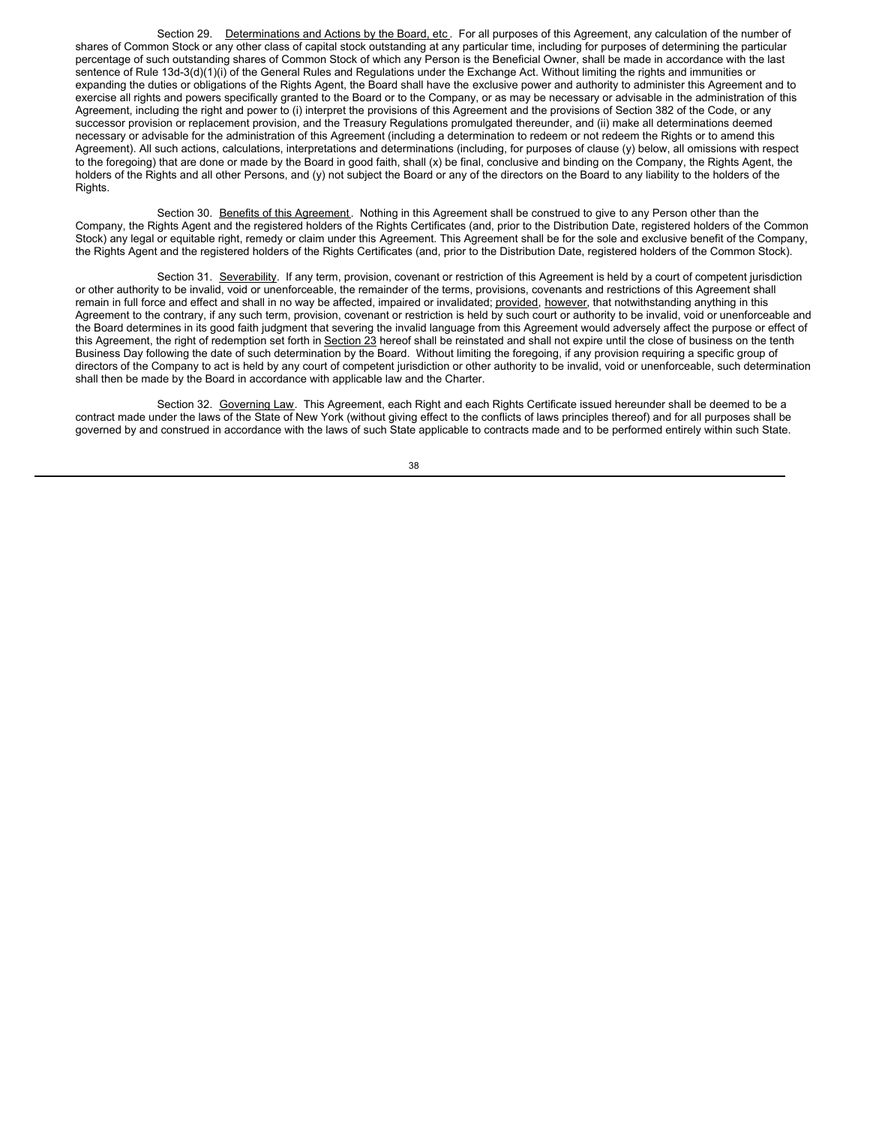Section 29. Determinations and Actions by the Board, etc. For all purposes of this Agreement, any calculation of the number of shares of Common Stock or any other class of capital stock outstanding at any particular time, including for purposes of determining the particular percentage of such outstanding shares of Common Stock of which any Person is the Beneficial Owner, shall be made in accordance with the last sentence of Rule 13d-3(d)(1)(i) of the General Rules and Regulations under the Exchange Act. Without limiting the rights and immunities or expanding the duties or obligations of the Rights Agent, the Board shall have the exclusive power and authority to administer this Agreement and to exercise all rights and powers specifically granted to the Board or to the Company, or as may be necessary or advisable in the administration of this Agreement, including the right and power to (i) interpret the provisions of this Agreement and the provisions of Section 382 of the Code, or any successor provision or replacement provision, and the Treasury Regulations promulgated thereunder, and (ii) make all determinations deemed necessary or advisable for the administration of this Agreement (including a determination to redeem or not redeem the Rights or to amend this Agreement). All such actions, calculations, interpretations and determinations (including, for purposes of clause (y) below, all omissions with respect to the foregoing) that are done or made by the Board in good faith, shall (x) be final, conclusive and binding on the Company, the Rights Agent, the holders of the Rights and all other Persons, and (y) not subject the Board or any of the directors on the Board to any liability to the holders of the Rights.

Section 30. Benefits of this Agreement. Nothing in this Agreement shall be construed to give to any Person other than the Company, the Rights Agent and the registered holders of the Rights Certificates (and, prior to the Distribution Date, registered holders of the Common Stock) any legal or equitable right, remedy or claim under this Agreement. This Agreement shall be for the sole and exclusive benefit of the Company, the Rights Agent and the registered holders of the Rights Certificates (and, prior to the Distribution Date, registered holders of the Common Stock).

Section 31. Severability. If any term, provision, covenant or restriction of this Agreement is held by a court of competent jurisdiction or other authority to be invalid, void or unenforceable, the remainder of the terms, provisions, covenants and restrictions of this Agreement shall remain in full force and effect and shall in no way be affected, impaired or invalidated; provided, however, that notwithstanding anything in this Agreement to the contrary, if any such term, provision, covenant or restriction is held by such court or authority to be invalid, void or unenforceable and the Board determines in its good faith judgment that severing the invalid language from this Agreement would adversely affect the purpose or effect of this Agreement, the right of redemption set forth in Section 23 hereof shall be reinstated and shall not expire until the close of business on the tenth Business Day following the date of such determination by the Board. Without limiting the foregoing, if any provision requiring a specific group of directors of the Company to act is held by any court of competent jurisdiction or other authority to be invalid, void or unenforceable, such determination shall then be made by the Board in accordance with applicable law and the Charter.

Section 32. Governing Law. This Agreement, each Right and each Rights Certificate issued hereunder shall be deemed to be a contract made under the laws of the State of New York (without giving effect to the conflicts of laws principles thereof) and for all purposes shall be governed by and construed in accordance with the laws of such State applicable to contracts made and to be performed entirely within such State.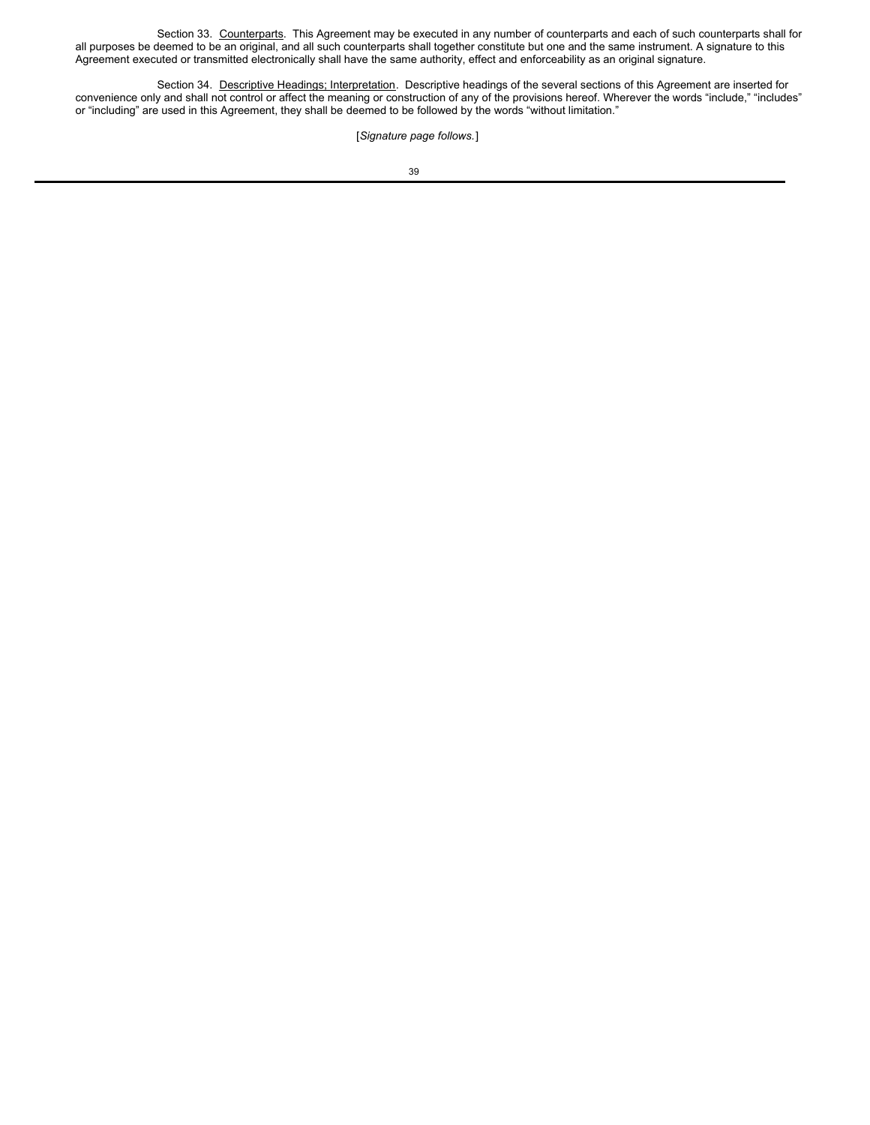Section 33. Counterparts. This Agreement may be executed in any number of counterparts and each of such counterparts shall for all purposes be deemed to be an original, and all such counterparts shall together constitute but one and the same instrument. A signature to this Agreement executed or transmitted electronically shall have the same authority, effect and enforceability as an original signature.

Section 34. Descriptive Headings; Interpretation. Descriptive headings of the several sections of this Agreement are inserted for convenience only and shall not control or affect the meaning or construction of any of the provisions hereof. Wherever the words "include," "includes" or "including" are used in this Agreement, they shall be deemed to be followed by the words "without limitation."

# [*Signature page follows.*]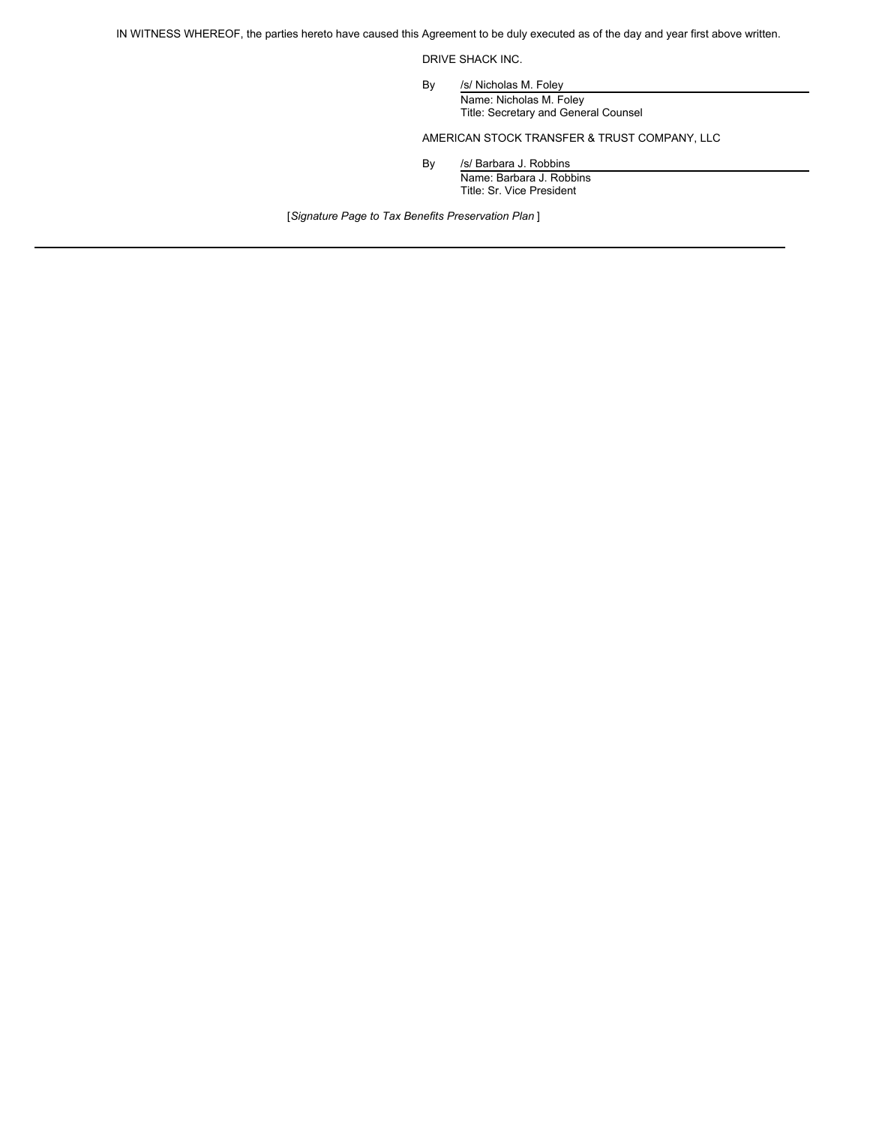IN WITNESS WHEREOF, the parties hereto have caused this Agreement to be duly executed as of the day and year first above written.

DRIVE SHACK INC.

By /s/ Nicholas M. Foley Name: Nicholas M. Foley Title: Secretary and General Counsel

AMERICAN STOCK TRANSFER & TRUST COMPANY, LLC

By /s/ Barbara J. Robbins Name: Barbara J. Robbins Title: Sr. Vice President

[*Signature Page to Tax Benefits Preservation Plan* ]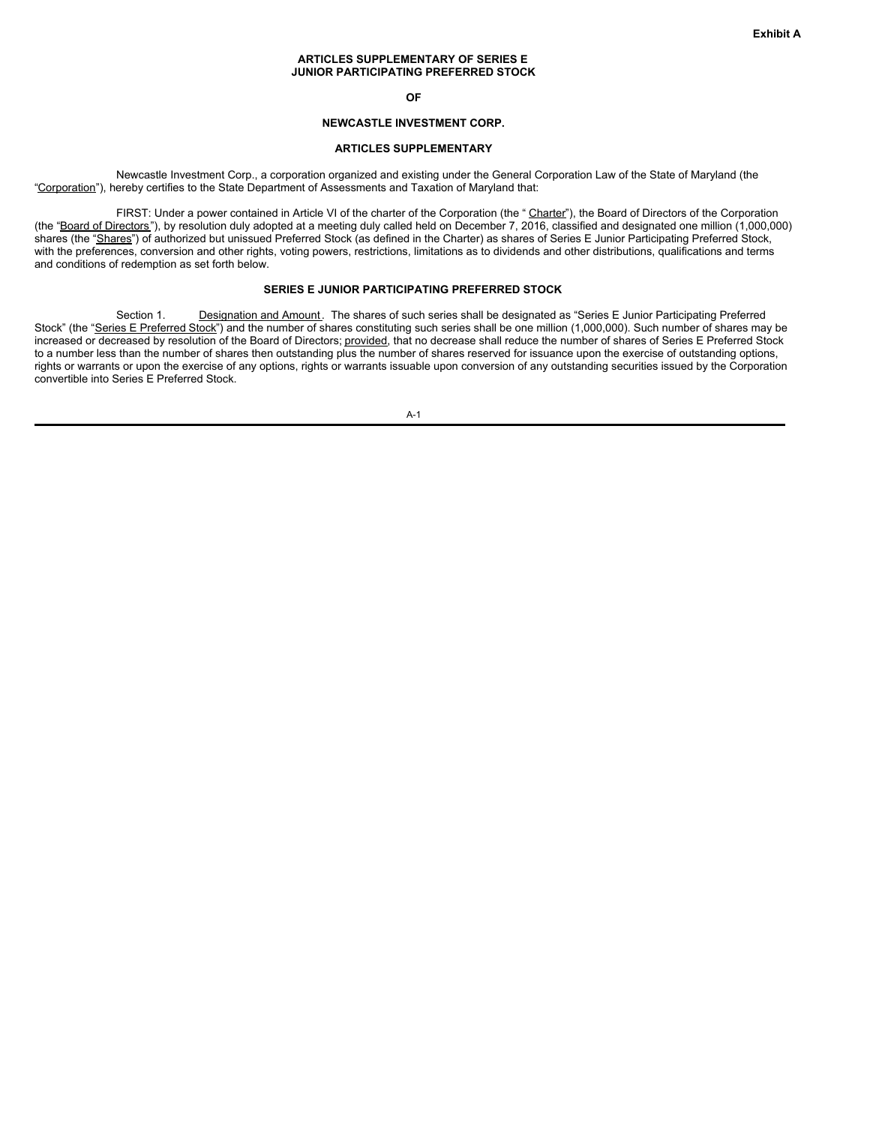#### **ARTICLES SUPPLEMENTARY OF SERIES E JUNIOR PARTICIPATING PREFERRED STOCK**

**OF**

# **NEWCASTLE INVESTMENT CORP.**

### **ARTICLES SUPPLEMENTARY**

Newcastle Investment Corp., a corporation organized and existing under the General Corporation Law of the State of Maryland (the "Corporation"), hereby certifies to the State Department of Assessments and Taxation of Maryland that:

FIRST: Under a power contained in Article VI of the charter of the Corporation (the "Charter"), the Board of Directors of the Corporation (the "Board of Directors"), by resolution duly adopted at a meeting duly called held on December 7, 2016, classified and designated one million (1,000,000) shares (the "Shares") of authorized but unissued Preferred Stock (as defined in the Charter) as shares of Series E Junior Participating Preferred Stock, with the preferences, conversion and other rights, voting powers, restrictions, limitations as to dividends and other distributions, qualifications and terms and conditions of redemption as set forth below.

### **SERIES E JUNIOR PARTICIPATING PREFERRED STOCK**

Section 1. Designation and Amount. The shares of such series shall be designated as "Series E Junior Participating Preferred Stock" (the "Series E Preferred Stock") and the number of shares constituting such series shall be one million (1,000,000). Such number of shares may be increased or decreased by resolution of the Board of Directors; provided, that no decrease shall reduce the number of shares of Series E Preferred Stock to a number less than the number of shares then outstanding plus the number of shares reserved for issuance upon the exercise of outstanding options, rights or warrants or upon the exercise of any options, rights or warrants issuable upon conversion of any outstanding securities issued by the Corporation convertible into Series E Preferred Stock.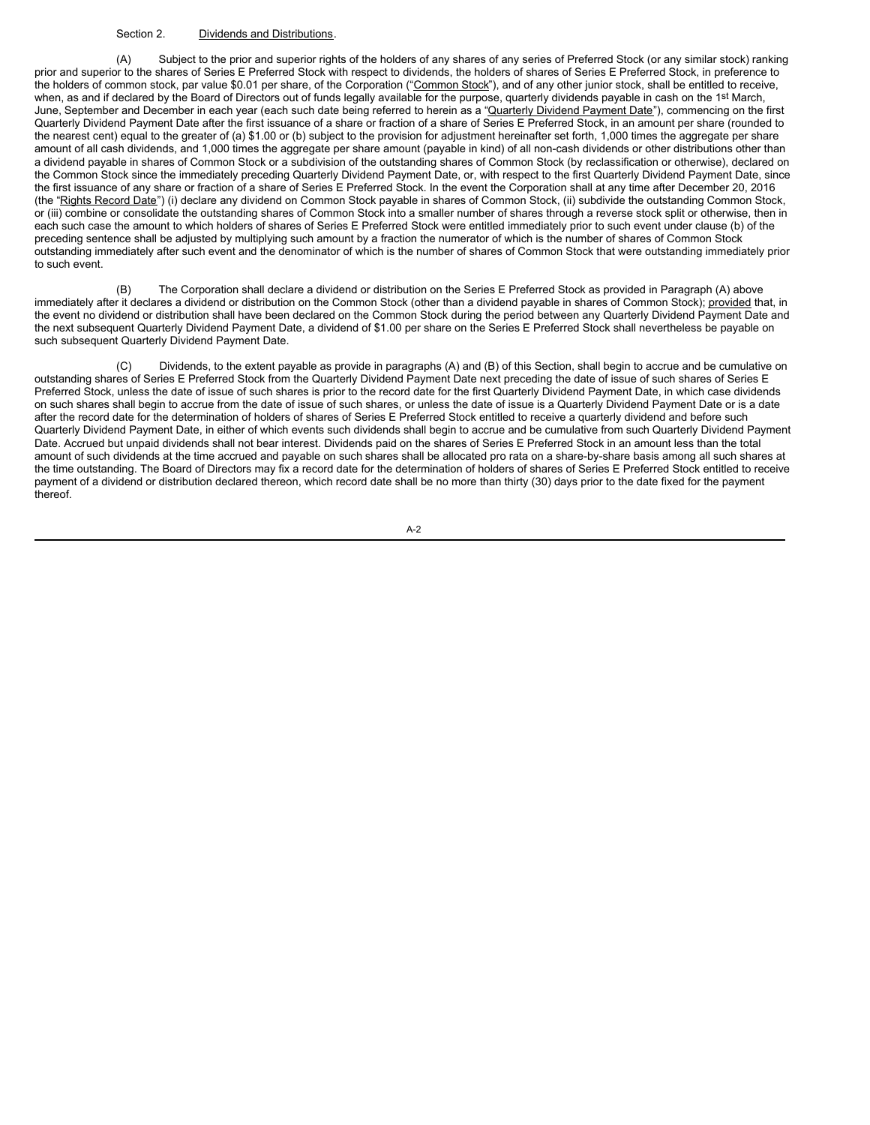### Section 2. Dividends and Distributions.

(A) Subject to the prior and superior rights of the holders of any shares of any series of Preferred Stock (or any similar stock) ranking prior and superior to the shares of Series E Preferred Stock with respect to dividends, the holders of shares of Series E Preferred Stock, in preference to the holders of common stock, par value \$0.01 per share, of the Corporation ("Common Stock"), and of any other junior stock, shall be entitled to receive, when, as and if declared by the Board of Directors out of funds legally available for the purpose, quarterly dividends payable in cash on the 1<sup>st</sup> March, June, September and December in each year (each such date being referred to herein as a "Quarterly Dividend Payment Date"), commencing on the first Quarterly Dividend Payment Date after the first issuance of a share or fraction of a share of Series E Preferred Stock, in an amount per share (rounded to the nearest cent) equal to the greater of (a) \$1.00 or (b) subject to the provision for adjustment hereinafter set forth, 1,000 times the aggregate per share amount of all cash dividends, and 1,000 times the aggregate per share amount (payable in kind) of all non-cash dividends or other distributions other than a dividend payable in shares of Common Stock or a subdivision of the outstanding shares of Common Stock (by reclassification or otherwise), declared on the Common Stock since the immediately preceding Quarterly Dividend Payment Date, or, with respect to the first Quarterly Dividend Payment Date, since the first issuance of any share or fraction of a share of Series E Preferred Stock. In the event the Corporation shall at any time after December 20, 2016 (the "Rights Record Date") (i) declare any dividend on Common Stock payable in shares of Common Stock, (ii) subdivide the outstanding Common Stock, or (iii) combine or consolidate the outstanding shares of Common Stock into a smaller number of shares through a reverse stock split or otherwise, then in each such case the amount to which holders of shares of Series E Preferred Stock were entitled immediately prior to such event under clause (b) of the preceding sentence shall be adjusted by multiplying such amount by a fraction the numerator of which is the number of shares of Common Stock outstanding immediately after such event and the denominator of which is the number of shares of Common Stock that were outstanding immediately prior to such event.

(B) The Corporation shall declare a dividend or distribution on the Series E Preferred Stock as provided in Paragraph (A) above immediately after it declares a dividend or distribution on the Common Stock (other than a dividend payable in shares of Common Stock); provided that, in the event no dividend or distribution shall have been declared on the Common Stock during the period between any Quarterly Dividend Payment Date and the next subsequent Quarterly Dividend Payment Date, a dividend of \$1.00 per share on the Series E Preferred Stock shall nevertheless be payable on such subsequent Quarterly Dividend Payment Date.

Dividends, to the extent payable as provide in paragraphs (A) and (B) of this Section, shall begin to accrue and be cumulative on outstanding shares of Series E Preferred Stock from the Quarterly Dividend Payment Date next preceding the date of issue of such shares of Series E Preferred Stock, unless the date of issue of such shares is prior to the record date for the first Quarterly Dividend Payment Date, in which case dividends on such shares shall begin to accrue from the date of issue of such shares, or unless the date of issue is a Quarterly Dividend Payment Date or is a date after the record date for the determination of holders of shares of Series E Preferred Stock entitled to receive a quarterly dividend and before such Quarterly Dividend Payment Date, in either of which events such dividends shall begin to accrue and be cumulative from such Quarterly Dividend Payment Date. Accrued but unpaid dividends shall not bear interest. Dividends paid on the shares of Series E Preferred Stock in an amount less than the total amount of such dividends at the time accrued and payable on such shares shall be allocated pro rata on a share-by-share basis among all such shares at the time outstanding. The Board of Directors may fix a record date for the determination of holders of shares of Series E Preferred Stock entitled to receive payment of a dividend or distribution declared thereon, which record date shall be no more than thirty (30) days prior to the date fixed for the payment thereof.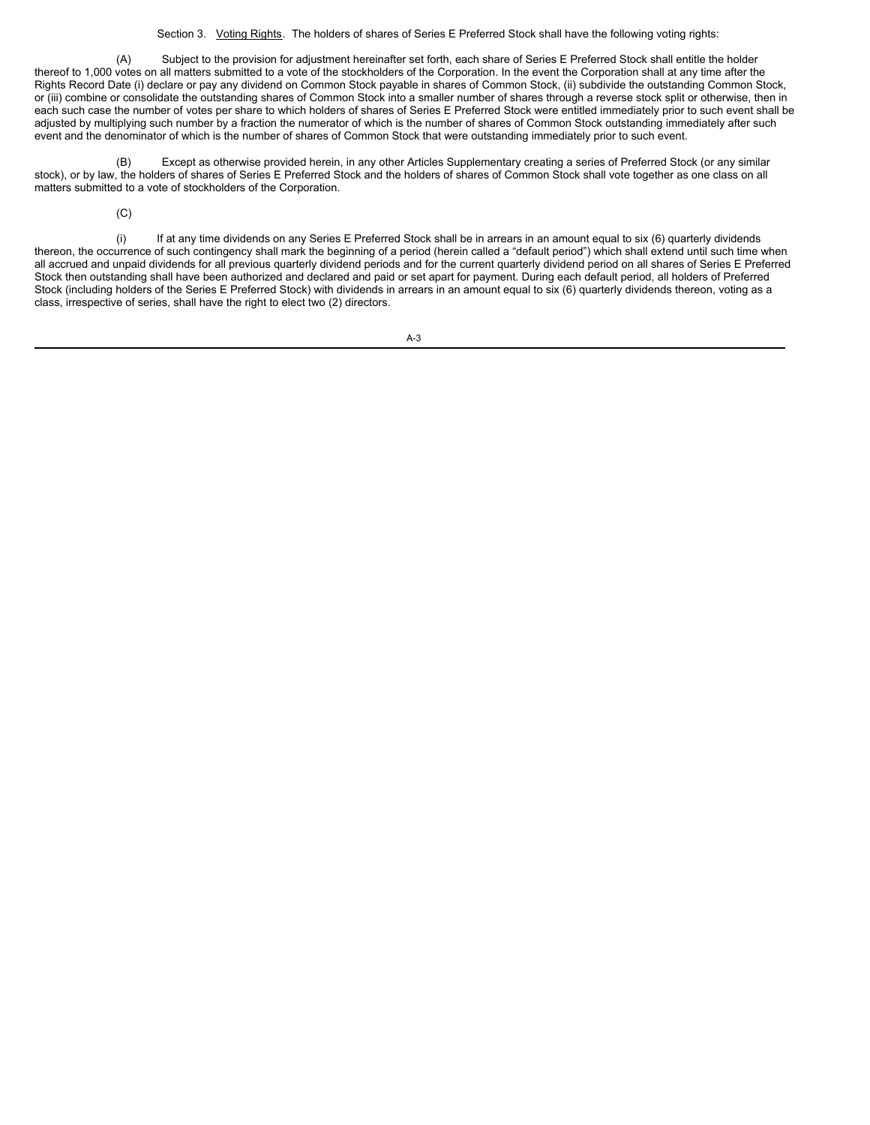Section 3. Voting Rights. The holders of shares of Series E Preferred Stock shall have the following voting rights:

(A) Subject to the provision for adjustment hereinafter set forth, each share of Series E Preferred Stock shall entitle the holder thereof to 1,000 votes on all matters submitted to a vote of the stockholders of the Corporation. In the event the Corporation shall at any time after the Rights Record Date (i) declare or pay any dividend on Common Stock payable in shares of Common Stock, (ii) subdivide the outstanding Common Stock, or (iii) combine or consolidate the outstanding shares of Common Stock into a smaller number of shares through a reverse stock split or otherwise, then in each such case the number of votes per share to which holders of shares of Series E Preferred Stock were entitled immediately prior to such event shall be adjusted by multiplying such number by a fraction the numerator of which is the number of shares of Common Stock outstanding immediately after such event and the denominator of which is the number of shares of Common Stock that were outstanding immediately prior to such event.

(B) Except as otherwise provided herein, in any other Articles Supplementary creating a series of Preferred Stock (or any similar stock), or by law, the holders of shares of Series E Preferred Stock and the holders of shares of Common Stock shall vote together as one class on all matters submitted to a vote of stockholders of the Corporation.

(C)

(i) If at any time dividends on any Series E Preferred Stock shall be in arrears in an amount equal to six (6) quarterly dividends thereon, the occurrence of such contingency shall mark the beginning of a period (herein called a "default period") which shall extend until such time when all accrued and unpaid dividends for all previous quarterly dividend periods and for the current quarterly dividend period on all shares of Series E Preferred Stock then outstanding shall have been authorized and declared and paid or set apart for payment. During each default period, all holders of Preferred Stock (including holders of the Series E Preferred Stock) with dividends in arrears in an amount equal to six (6) quarterly dividends thereon, voting as a class, irrespective of series, shall have the right to elect two (2) directors.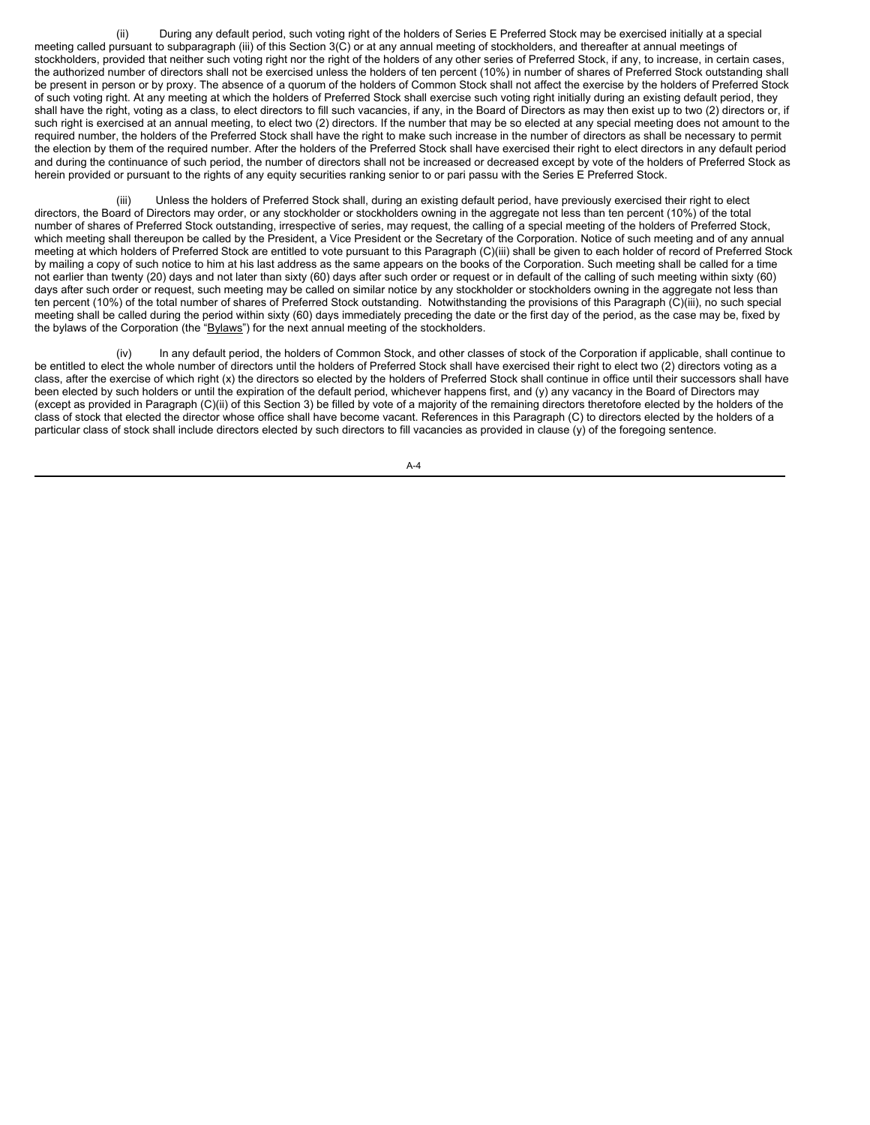(ii) During any default period, such voting right of the holders of Series E Preferred Stock may be exercised initially at a special meeting called pursuant to subparagraph (iii) of this Section 3(C) or at any annual meeting of stockholders, and thereafter at annual meetings of stockholders, provided that neither such voting right nor the right of the holders of any other series of Preferred Stock, if any, to increase, in certain cases, the authorized number of directors shall not be exercised unless the holders of ten percent (10%) in number of shares of Preferred Stock outstanding shall be present in person or by proxy. The absence of a quorum of the holders of Common Stock shall not affect the exercise by the holders of Preferred Stock of such voting right. At any meeting at which the holders of Preferred Stock shall exercise such voting right initially during an existing default period, they shall have the right, voting as a class, to elect directors to fill such vacancies, if any, in the Board of Directors as may then exist up to two (2) directors or, if such right is exercised at an annual meeting, to elect two (2) directors. If the number that may be so elected at any special meeting does not amount to the required number, the holders of the Preferred Stock shall have the right to make such increase in the number of directors as shall be necessary to permit the election by them of the required number. After the holders of the Preferred Stock shall have exercised their right to elect directors in any default period and during the continuance of such period, the number of directors shall not be increased or decreased except by vote of the holders of Preferred Stock as herein provided or pursuant to the rights of any equity securities ranking senior to or pari passu with the Series E Preferred Stock.

Unless the holders of Preferred Stock shall, during an existing default period, have previously exercised their right to elect directors, the Board of Directors may order, or any stockholder or stockholders owning in the aggregate not less than ten percent (10%) of the total number of shares of Preferred Stock outstanding, irrespective of series, may request, the calling of a special meeting of the holders of Preferred Stock, which meeting shall thereupon be called by the President, a Vice President or the Secretary of the Corporation. Notice of such meeting and of any annual meeting at which holders of Preferred Stock are entitled to vote pursuant to this Paragraph (C)(iii) shall be given to each holder of record of Preferred Stock by mailing a copy of such notice to him at his last address as the same appears on the books of the Corporation. Such meeting shall be called for a time not earlier than twenty (20) days and not later than sixty (60) days after such order or request or in default of the calling of such meeting within sixty (60) days after such order or request, such meeting may be called on similar notice by any stockholder or stockholders owning in the aggregate not less than ten percent (10%) of the total number of shares of Preferred Stock outstanding. Notwithstanding the provisions of this Paragraph (C)(iii), no such special meeting shall be called during the period within sixty (60) days immediately preceding the date or the first day of the period, as the case may be, fixed by the bylaws of the Corporation (the "Bylaws") for the next annual meeting of the stockholders.

(iv) In any default period, the holders of Common Stock, and other classes of stock of the Corporation if applicable, shall continue to be entitled to elect the whole number of directors until the holders of Preferred Stock shall have exercised their right to elect two (2) directors voting as a class, after the exercise of which right (x) the directors so elected by the holders of Preferred Stock shall continue in office until their successors shall have been elected by such holders or until the expiration of the default period, whichever happens first, and (y) any vacancy in the Board of Directors may (except as provided in Paragraph (C)(ii) of this Section 3) be filled by vote of a majority of the remaining directors theretofore elected by the holders of the class of stock that elected the director whose office shall have become vacant. References in this Paragraph (C) to directors elected by the holders of a particular class of stock shall include directors elected by such directors to fill vacancies as provided in clause (y) of the foregoing sentence.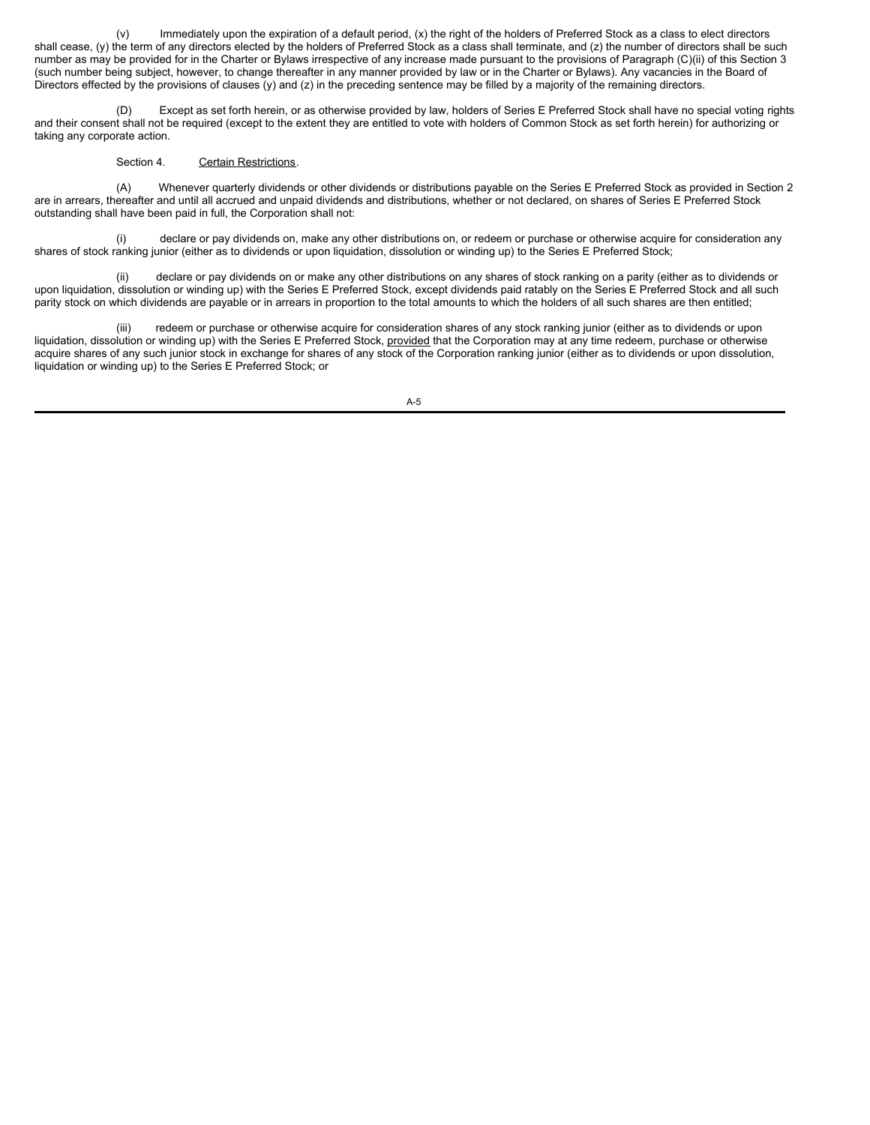(v) Immediately upon the expiration of a default period, (x) the right of the holders of Preferred Stock as a class to elect directors shall cease, (y) the term of any directors elected by the holders of Preferred Stock as a class shall terminate, and (z) the number of directors shall be such number as may be provided for in the Charter or Bylaws irrespective of any increase made pursuant to the provisions of Paragraph (C)(ii) of this Section 3 (such number being subject, however, to change thereafter in any manner provided by law or in the Charter or Bylaws). Any vacancies in the Board of Directors effected by the provisions of clauses (y) and (z) in the preceding sentence may be filled by a majority of the remaining directors.

(D) Except as set forth herein, or as otherwise provided by law, holders of Series E Preferred Stock shall have no special voting rights and their consent shall not be required (except to the extent they are entitled to vote with holders of Common Stock as set forth herein) for authorizing or taking any corporate action.

# Section 4. Certain Restrictions.

(A) Whenever quarterly dividends or other dividends or distributions payable on the Series E Preferred Stock as provided in Section 2 are in arrears, thereafter and until all accrued and unpaid dividends and distributions, whether or not declared, on shares of Series E Preferred Stock outstanding shall have been paid in full, the Corporation shall not:

declare or pay dividends on, make any other distributions on, or redeem or purchase or otherwise acquire for consideration any shares of stock ranking junior (either as to dividends or upon liquidation, dissolution or winding up) to the Series E Preferred Stock;

(ii) declare or pay dividends on or make any other distributions on any shares of stock ranking on a parity (either as to dividends or upon liquidation, dissolution or winding up) with the Series E Preferred Stock, except dividends paid ratably on the Series E Preferred Stock and all such parity stock on which dividends are payable or in arrears in proportion to the total amounts to which the holders of all such shares are then entitled;

redeem or purchase or otherwise acquire for consideration shares of any stock ranking junior (either as to dividends or upon liquidation, dissolution or winding up) with the Series E Preferred Stock, provided that the Corporation may at any time redeem, purchase or otherwise acquire shares of any such junior stock in exchange for shares of any stock of the Corporation ranking junior (either as to dividends or upon dissolution, liquidation or winding up) to the Series E Preferred Stock; or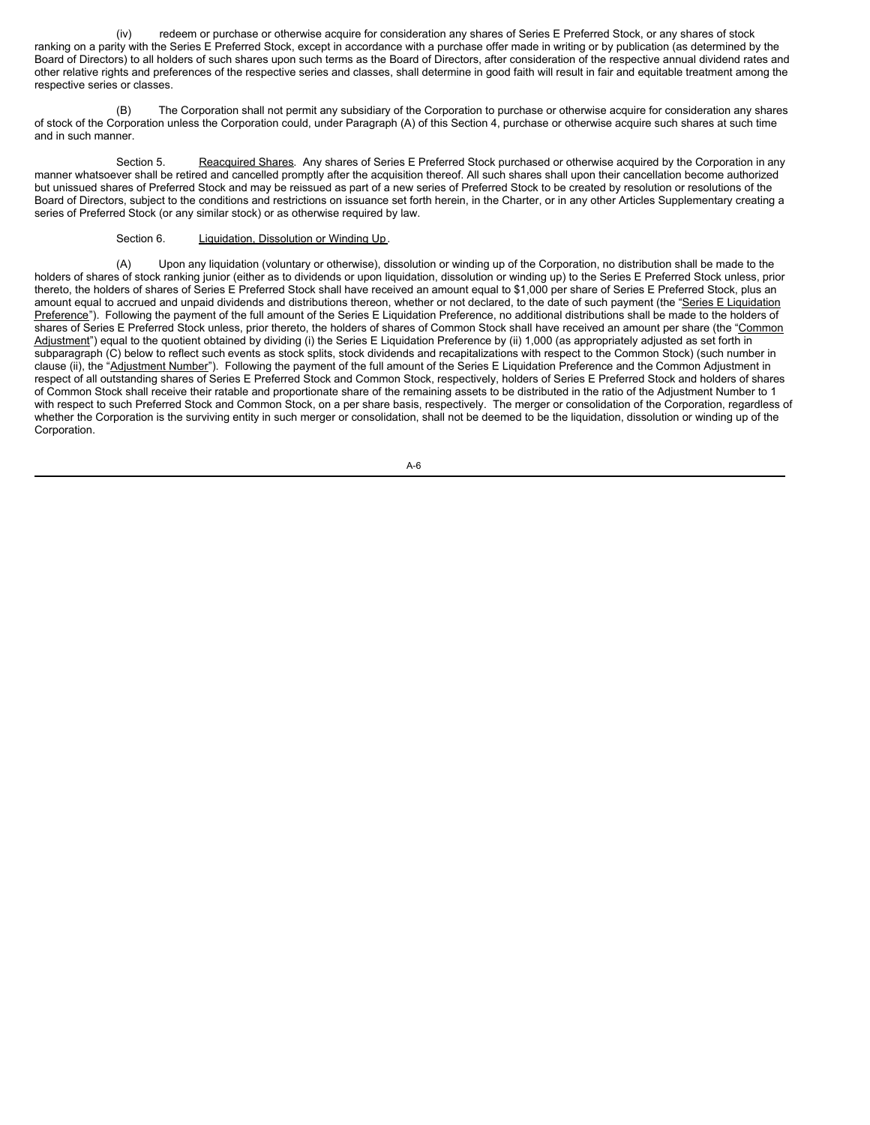(iv) redeem or purchase or otherwise acquire for consideration any shares of Series E Preferred Stock, or any shares of stock ranking on a parity with the Series E Preferred Stock, except in accordance with a purchase offer made in writing or by publication (as determined by the Board of Directors) to all holders of such shares upon such terms as the Board of Directors, after consideration of the respective annual dividend rates and other relative rights and preferences of the respective series and classes, shall determine in good faith will result in fair and equitable treatment among the respective series or classes.

(B) The Corporation shall not permit any subsidiary of the Corporation to purchase or otherwise acquire for consideration any shares of stock of the Corporation unless the Corporation could, under Paragraph (A) of this Section 4, purchase or otherwise acquire such shares at such time and in such manner.

Section 5. Reacquired Shares. Any shares of Series E Preferred Stock purchased or otherwise acquired by the Corporation in any manner whatsoever shall be retired and cancelled promptly after the acquisition thereof. All such shares shall upon their cancellation become authorized but unissued shares of Preferred Stock and may be reissued as part of a new series of Preferred Stock to be created by resolution or resolutions of the Board of Directors, subject to the conditions and restrictions on issuance set forth herein, in the Charter, or in any other Articles Supplementary creating a series of Preferred Stock (or any similar stock) or as otherwise required by law.

Section 6. Liquidation, Dissolution or Winding Up.

(A) Upon any liquidation (voluntary or otherwise), dissolution or winding up of the Corporation, no distribution shall be made to the holders of shares of stock ranking junior (either as to dividends or upon liquidation, dissolution or winding up) to the Series E Preferred Stock unless, prior thereto, the holders of shares of Series E Preferred Stock shall have received an amount equal to \$1,000 per share of Series E Preferred Stock, plus an amount equal to accrued and unpaid dividends and distributions thereon, whether or not declared, to the date of such payment (the "Series E Liquidation Preference"). Following the payment of the full amount of the Series E Liquidation Preference, no additional distributions shall be made to the holders of shares of Series E Preferred Stock unless, prior thereto, the holders of shares of Common Stock shall have received an amount per share (the "Common Adjustment") equal to the quotient obtained by dividing (i) the Series E Liquidation Preference by (ii) 1,000 (as appropriately adjusted as set forth in subparagraph (C) below to reflect such events as stock splits, stock dividends and recapitalizations with respect to the Common Stock) (such number in clause (ii), the "Adjustment Number"). Following the payment of the full amount of the Series E Liquidation Preference and the Common Adjustment in respect of all outstanding shares of Series E Preferred Stock and Common Stock, respectively, holders of Series E Preferred Stock and holders of shares of Common Stock shall receive their ratable and proportionate share of the remaining assets to be distributed in the ratio of the Adjustment Number to 1 with respect to such Preferred Stock and Common Stock, on a per share basis, respectively. The merger or consolidation of the Corporation, regardless of whether the Corporation is the surviving entity in such merger or consolidation, shall not be deemed to be the liquidation, dissolution or winding up of the Corporation.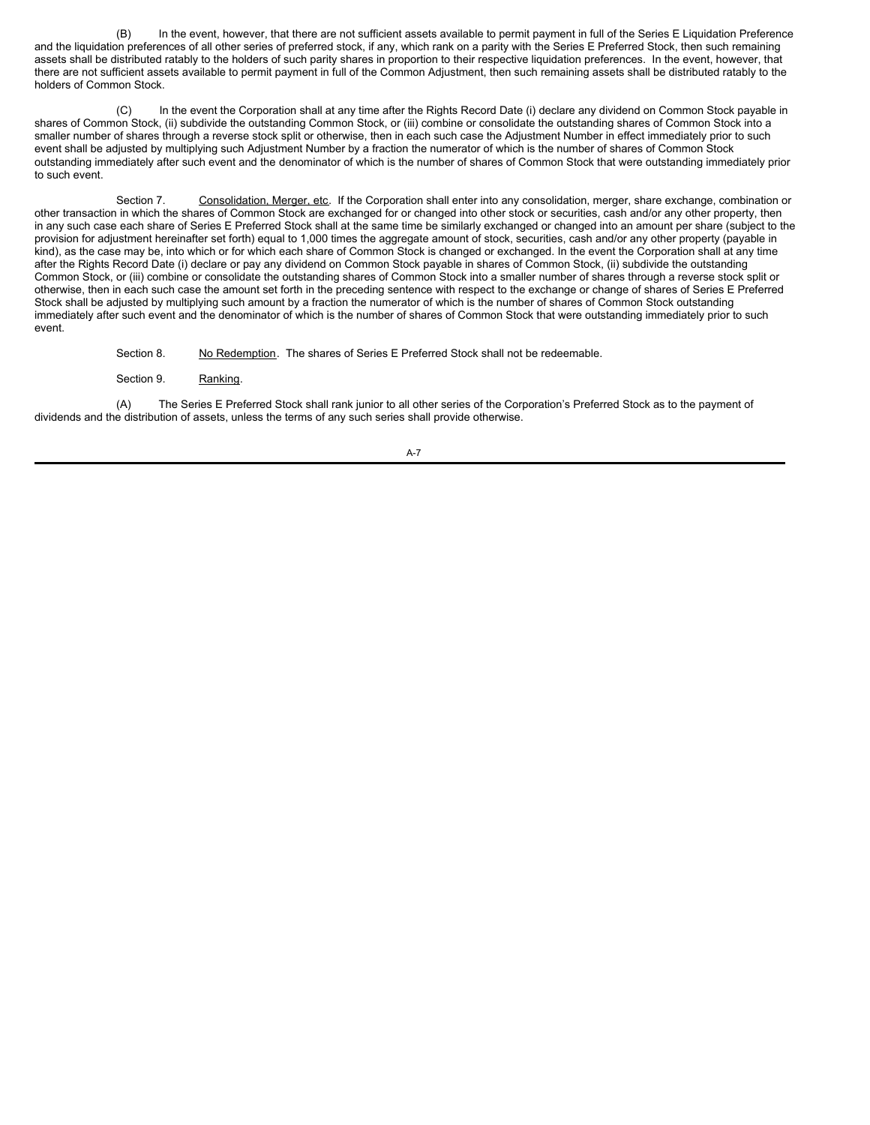(B) In the event, however, that there are not sufficient assets available to permit payment in full of the Series E Liquidation Preference and the liquidation preferences of all other series of preferred stock, if any, which rank on a parity with the Series E Preferred Stock, then such remaining assets shall be distributed ratably to the holders of such parity shares in proportion to their respective liquidation preferences. In the event, however, that there are not sufficient assets available to permit payment in full of the Common Adjustment, then such remaining assets shall be distributed ratably to the holders of Common Stock.

(C) In the event the Corporation shall at any time after the Rights Record Date (i) declare any dividend on Common Stock payable in shares of Common Stock, (ii) subdivide the outstanding Common Stock, or (iii) combine or consolidate the outstanding shares of Common Stock into a smaller number of shares through a reverse stock split or otherwise, then in each such case the Adjustment Number in effect immediately prior to such event shall be adjusted by multiplying such Adjustment Number by a fraction the numerator of which is the number of shares of Common Stock outstanding immediately after such event and the denominator of which is the number of shares of Common Stock that were outstanding immediately prior to such event.

Section 7. Consolidation, Merger, etc. If the Corporation shall enter into any consolidation, merger, share exchange, combination or other transaction in which the shares of Common Stock are exchanged for or changed into other stock or securities, cash and/or any other property, then in any such case each share of Series E Preferred Stock shall at the same time be similarly exchanged or changed into an amount per share (subject to the provision for adjustment hereinafter set forth) equal to 1,000 times the aggregate amount of stock, securities, cash and/or any other property (payable in kind), as the case may be, into which or for which each share of Common Stock is changed or exchanged. In the event the Corporation shall at any time after the Rights Record Date (i) declare or pay any dividend on Common Stock payable in shares of Common Stock, (ii) subdivide the outstanding Common Stock, or (iii) combine or consolidate the outstanding shares of Common Stock into a smaller number of shares through a reverse stock split or otherwise, then in each such case the amount set forth in the preceding sentence with respect to the exchange or change of shares of Series E Preferred Stock shall be adjusted by multiplying such amount by a fraction the numerator of which is the number of shares of Common Stock outstanding immediately after such event and the denominator of which is the number of shares of Common Stock that were outstanding immediately prior to such event.

Section 8. No Redemption. The shares of Series E Preferred Stock shall not be redeemable.

Section 9. Ranking.

(A) The Series E Preferred Stock shall rank junior to all other series of the Corporation's Preferred Stock as to the payment of dividends and the distribution of assets, unless the terms of any such series shall provide otherwise.

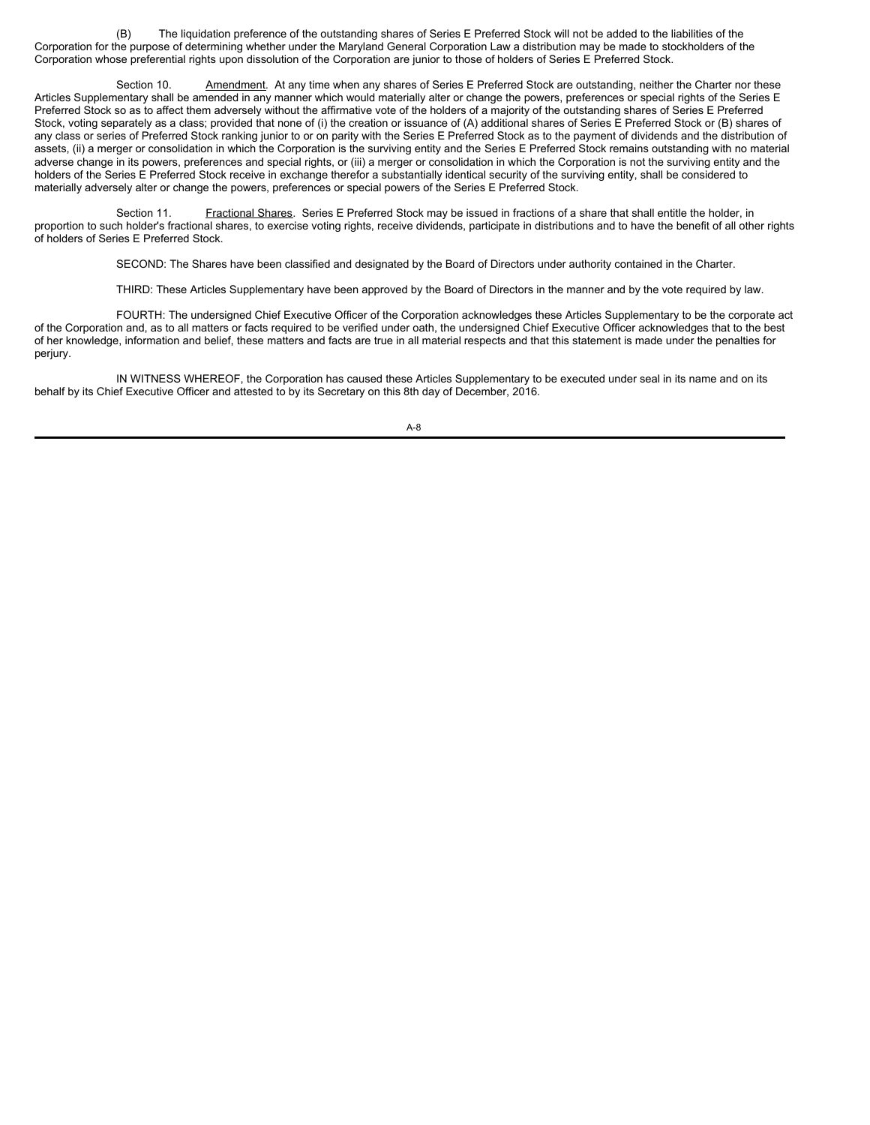(B) The liquidation preference of the outstanding shares of Series E Preferred Stock will not be added to the liabilities of the Corporation for the purpose of determining whether under the Maryland General Corporation Law a distribution may be made to stockholders of the Corporation whose preferential rights upon dissolution of the Corporation are junior to those of holders of Series E Preferred Stock.

Section 10. Amendment. At any time when any shares of Series E Preferred Stock are outstanding, neither the Charter nor these Articles Supplementary shall be amended in any manner which would materially alter or change the powers, preferences or special rights of the Series E Preferred Stock so as to affect them adversely without the affirmative vote of the holders of a majority of the outstanding shares of Series E Preferred Stock, voting separately as a class; provided that none of (i) the creation or issuance of (A) additional shares of Series E Preferred Stock or (B) shares of any class or series of Preferred Stock ranking junior to or on parity with the Series E Preferred Stock as to the payment of dividends and the distribution of assets, (ii) a merger or consolidation in which the Corporation is the surviving entity and the Series E Preferred Stock remains outstanding with no material adverse change in its powers, preferences and special rights, or (iii) a merger or consolidation in which the Corporation is not the surviving entity and the holders of the Series E Preferred Stock receive in exchange therefor a substantially identical security of the surviving entity, shall be considered to materially adversely alter or change the powers, preferences or special powers of the Series E Preferred Stock.

Section 11. Fractional Shares. Series E Preferred Stock may be issued in fractions of a share that shall entitle the holder, in proportion to such holder's fractional shares, to exercise voting rights, receive dividends, participate in distributions and to have the benefit of all other rights of holders of Series E Preferred Stock.

SECOND: The Shares have been classified and designated by the Board of Directors under authority contained in the Charter.

THIRD: These Articles Supplementary have been approved by the Board of Directors in the manner and by the vote required by law.

FOURTH: The undersigned Chief Executive Officer of the Corporation acknowledges these Articles Supplementary to be the corporate act of the Corporation and, as to all matters or facts required to be verified under oath, the undersigned Chief Executive Officer acknowledges that to the best of her knowledge, information and belief, these matters and facts are true in all material respects and that this statement is made under the penalties for perjury.

IN WITNESS WHEREOF, the Corporation has caused these Articles Supplementary to be executed under seal in its name and on its behalf by its Chief Executive Officer and attested to by its Secretary on this 8th day of December, 2016.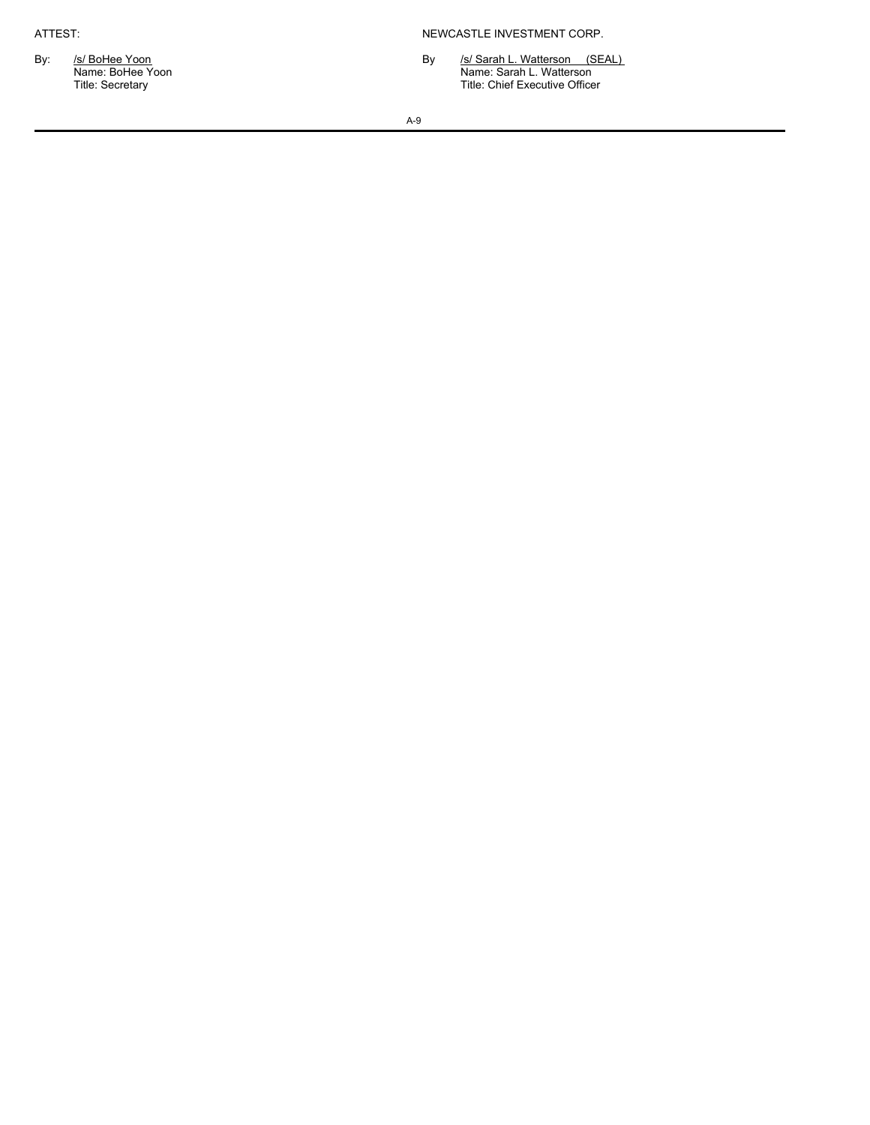ATTEST: NEWCASTLE INVESTMENT CORP.

By: /s/ BoHee Yoon Absolution By /s/ Sarah L. Watterson (SEAL) Name: BoHee Yoon Name: Sarah L. Watterson Title: Secretary Title: Chief Executive Officer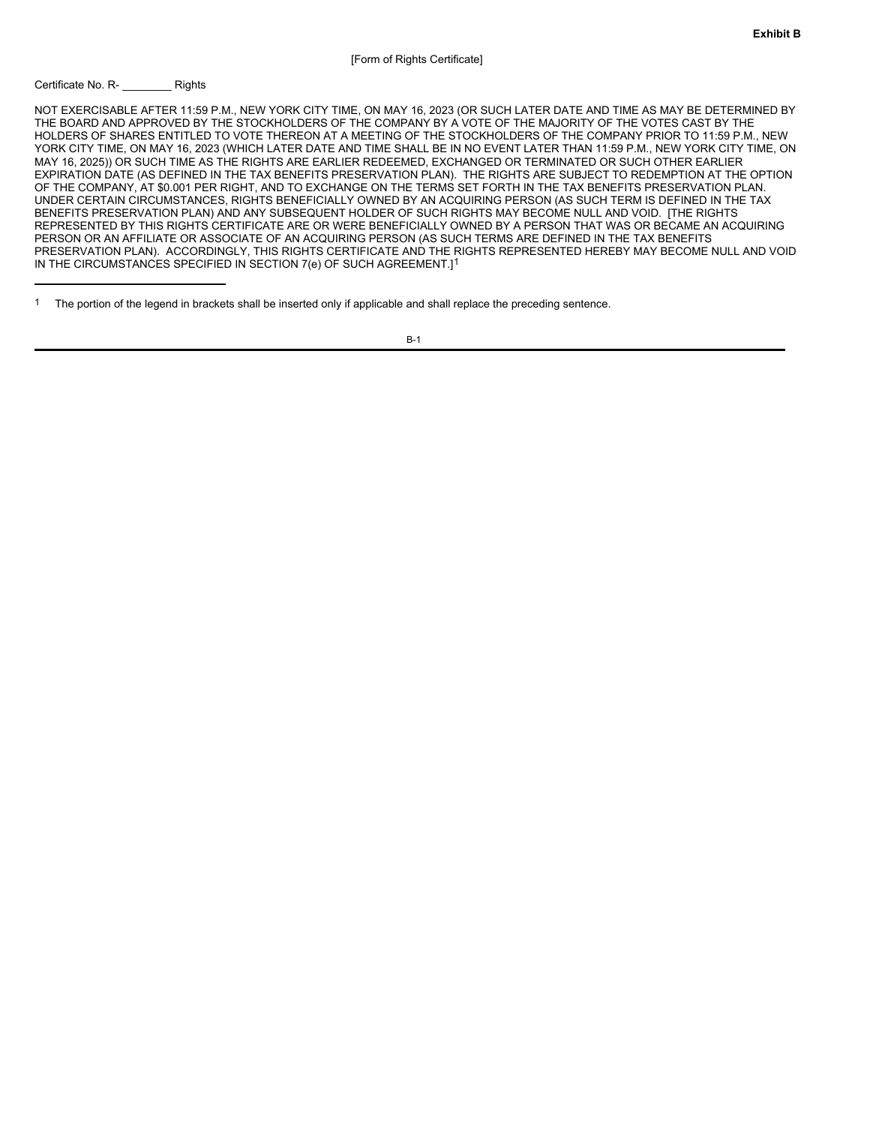### Certificate No. R- \_\_\_\_\_\_\_\_ Rights

NOT EXERCISABLE AFTER 11:59 P.M., NEW YORK CITY TIME, ON MAY 16, 2023 (OR SUCH LATER DATE AND TIME AS MAY BE DETERMINED BY THE BOARD AND APPROVED BY THE STOCKHOLDERS OF THE COMPANY BY A VOTE OF THE MAJORITY OF THE VOTES CAST BY THE HOLDERS OF SHARES ENTITLED TO VOTE THEREON AT A MEETING OF THE STOCKHOLDERS OF THE COMPANY PRIOR TO 11:59 P.M., NEW YORK CITY TIME, ON MAY 16, 2023 (WHICH LATER DATE AND TIME SHALL BE IN NO EVENT LATER THAN 11:59 P.M., NEW YORK CITY TIME, ON MAY 16, 2025)) OR SUCH TIME AS THE RIGHTS ARE EARLIER REDEEMED, EXCHANGED OR TERMINATED OR SUCH OTHER EARLIER EXPIRATION DATE (AS DEFINED IN THE TAX BENEFITS PRESERVATION PLAN). THE RIGHTS ARE SUBJECT TO REDEMPTION AT THE OPTION OF THE COMPANY, AT \$0.001 PER RIGHT, AND TO EXCHANGE ON THE TERMS SET FORTH IN THE TAX BENEFITS PRESERVATION PLAN. UNDER CERTAIN CIRCUMSTANCES, RIGHTS BENEFICIALLY OWNED BY AN ACQUIRING PERSON (AS SUCH TERM IS DEFINED IN THE TAX BENEFITS PRESERVATION PLAN) AND ANY SUBSEQUENT HOLDER OF SUCH RIGHTS MAY BECOME NULL AND VOID. [THE RIGHTS REPRESENTED BY THIS RIGHTS CERTIFICATE ARE OR WERE BENEFICIALLY OWNED BY A PERSON THAT WAS OR BECAME AN ACQUIRING PERSON OR AN AFFILIATE OR ASSOCIATE OF AN ACQUIRING PERSON (AS SUCH TERMS ARE DEFINED IN THE TAX BENEFITS PRESERVATION PLAN). ACCORDINGLY, THIS RIGHTS CERTIFICATE AND THE RIGHTS REPRESENTED HEREBY MAY BECOME NULL AND VOID IN THE CIRCUMSTANCES SPECIFIED IN SECTION 7(e) OF SUCH AGREEMENT.]1

<sup>&</sup>lt;sup>1</sup> The portion of the legend in brackets shall be inserted only if applicable and shall replace the preceding sentence.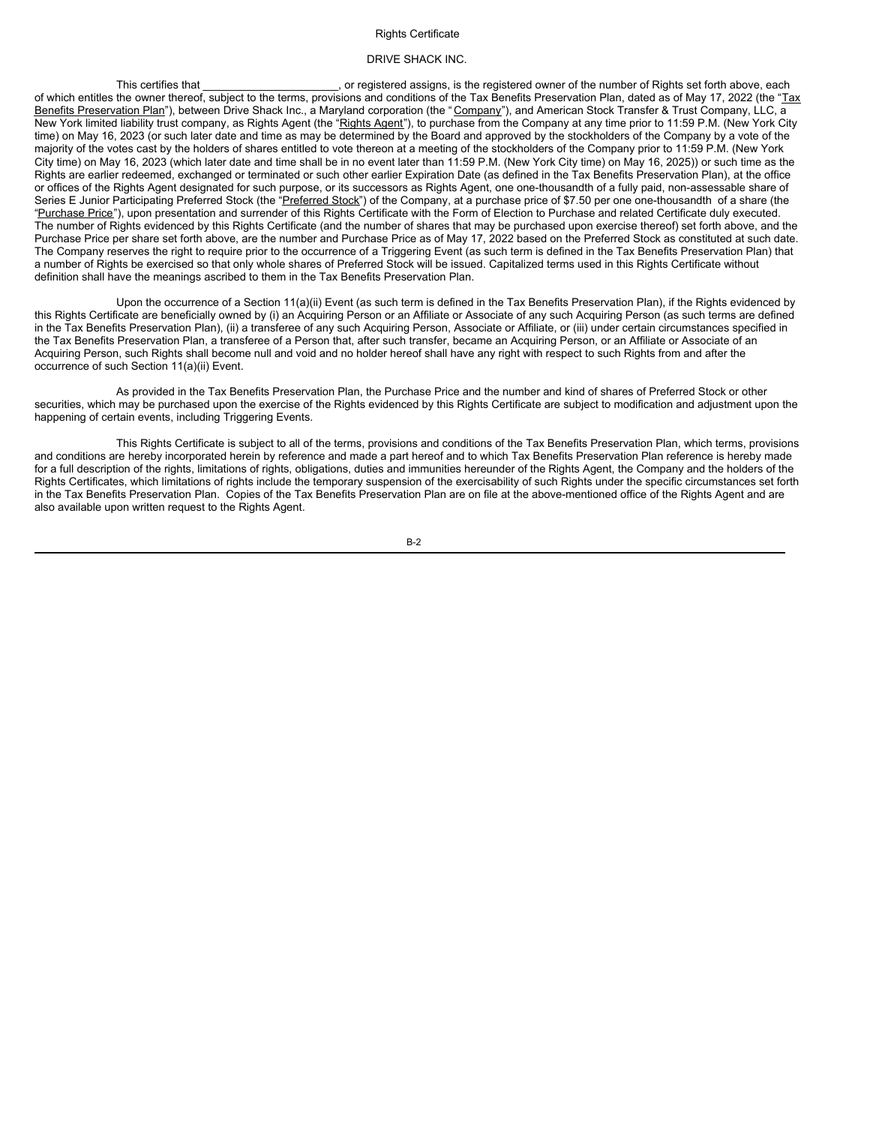### Rights Certificate

#### DRIVE SHACK INC.

This certifies that \_\_\_\_\_\_\_\_\_\_\_\_\_\_\_\_\_\_\_\_\_\_, or registered assigns, is the registered owner of the number of Rights set forth above, each of which entitles the owner thereof, subject to the terms, provisions and conditions of the Tax Benefits Preservation Plan, dated as of May 17, 2022 (the "Tax Benefits Preservation Plan"), between Drive Shack Inc., a Maryland corporation (the "Company"), and American Stock Transfer & Trust Company, LLC, a New York limited liability trust company, as Rights Agent (the "Rights Agent"), to purchase from the Company at any time prior to 11:59 P.M. (New York City time) on May 16, 2023 (or such later date and time as may be determined by the Board and approved by the stockholders of the Company by a vote of the majority of the votes cast by the holders of shares entitled to vote thereon at a meeting of the stockholders of the Company prior to 11:59 P.M. (New York City time) on May 16, 2023 (which later date and time shall be in no event later than 11:59 P.M. (New York City time) on May 16, 2025)) or such time as the Rights are earlier redeemed, exchanged or terminated or such other earlier Expiration Date (as defined in the Tax Benefits Preservation Plan), at the office or offices of the Rights Agent designated for such purpose, or its successors as Rights Agent, one one-thousandth of a fully paid, non-assessable share of Series E Junior Participating Preferred Stock (the "Preferred Stock") of the Company, at a purchase price of \$7.50 per one one-thousandth of a share (the "Purchase Price"), upon presentation and surrender of this Rights Certificate with the Form of Election to Purchase and related Certificate duly executed. The number of Rights evidenced by this Rights Certificate (and the number of shares that may be purchased upon exercise thereof) set forth above, and the Purchase Price per share set forth above, are the number and Purchase Price as of May 17, 2022 based on the Preferred Stock as constituted at such date. The Company reserves the right to require prior to the occurrence of a Triggering Event (as such term is defined in the Tax Benefits Preservation Plan) that a number of Rights be exercised so that only whole shares of Preferred Stock will be issued. Capitalized terms used in this Rights Certificate without definition shall have the meanings ascribed to them in the Tax Benefits Preservation Plan.

Upon the occurrence of a Section 11(a)(ii) Event (as such term is defined in the Tax Benefits Preservation Plan), if the Rights evidenced by this Rights Certificate are beneficially owned by (i) an Acquiring Person or an Affiliate or Associate of any such Acquiring Person (as such terms are defined in the Tax Benefits Preservation Plan), (ii) a transferee of any such Acquiring Person, Associate or Affiliate, or (iii) under certain circumstances specified in the Tax Benefits Preservation Plan, a transferee of a Person that, after such transfer, became an Acquiring Person, or an Affiliate or Associate of an Acquiring Person, such Rights shall become null and void and no holder hereof shall have any right with respect to such Rights from and after the occurrence of such Section 11(a)(ii) Event.

As provided in the Tax Benefits Preservation Plan, the Purchase Price and the number and kind of shares of Preferred Stock or other securities, which may be purchased upon the exercise of the Rights evidenced by this Rights Certificate are subject to modification and adjustment upon the happening of certain events, including Triggering Events.

This Rights Certificate is subject to all of the terms, provisions and conditions of the Tax Benefits Preservation Plan, which terms, provisions and conditions are hereby incorporated herein by reference and made a part hereof and to which Tax Benefits Preservation Plan reference is hereby made for a full description of the rights, limitations of rights, obligations, duties and immunities hereunder of the Rights Agent, the Company and the holders of the Rights Certificates, which limitations of rights include the temporary suspension of the exercisability of such Rights under the specific circumstances set forth in the Tax Benefits Preservation Plan. Copies of the Tax Benefits Preservation Plan are on file at the above-mentioned office of the Rights Agent and are also available upon written request to the Rights Agent.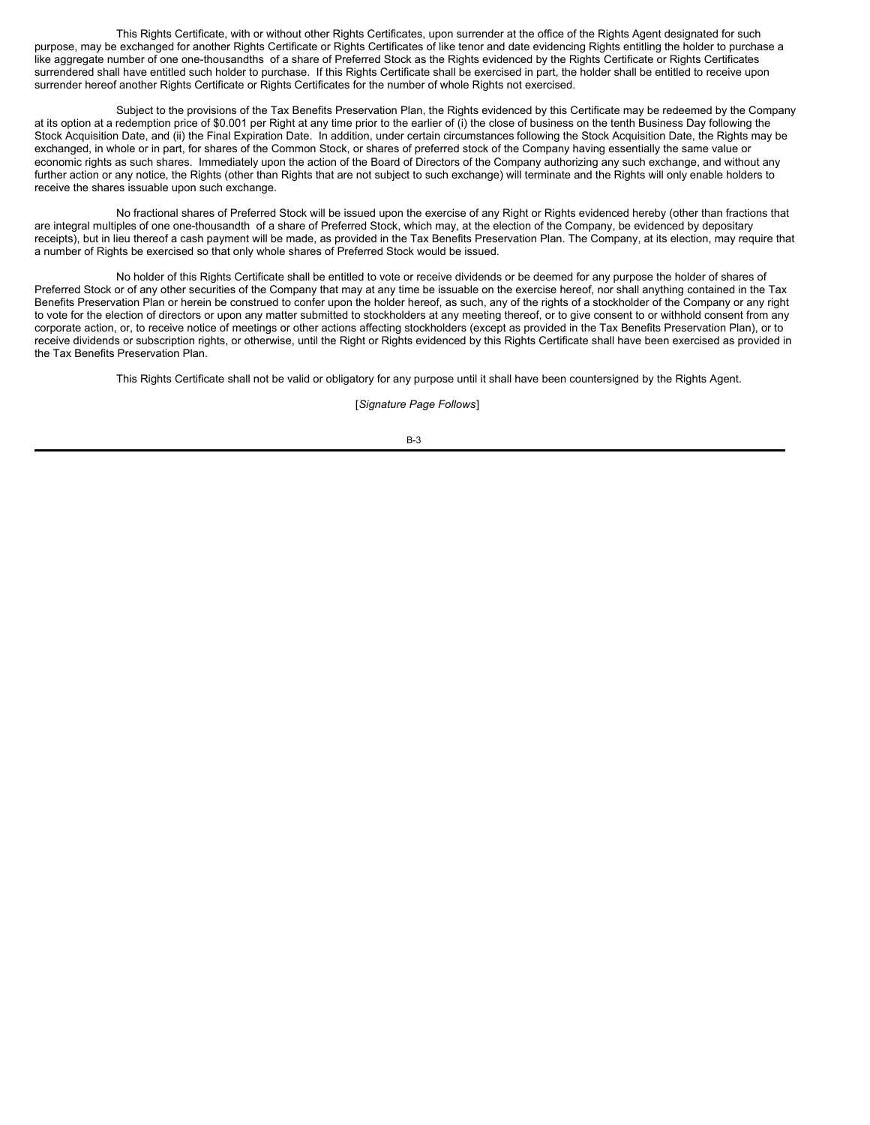This Rights Certificate, with or without other Rights Certificates, upon surrender at the office of the Rights Agent designated for such purpose, may be exchanged for another Rights Certificate or Rights Certificates of like tenor and date evidencing Rights entitling the holder to purchase a like aggregate number of one one-thousandths of a share of Preferred Stock as the Rights evidenced by the Rights Certificate or Rights Certificates surrendered shall have entitled such holder to purchase. If this Rights Certificate shall be exercised in part, the holder shall be entitled to receive upon surrender hereof another Rights Certificate or Rights Certificates for the number of whole Rights not exercised.

Subject to the provisions of the Tax Benefits Preservation Plan, the Rights evidenced by this Certificate may be redeemed by the Company at its option at a redemption price of \$0.001 per Right at any time prior to the earlier of (i) the close of business on the tenth Business Day following the Stock Acquisition Date, and (ii) the Final Expiration Date. In addition, under certain circumstances following the Stock Acquisition Date, the Rights may be exchanged, in whole or in part, for shares of the Common Stock, or shares of preferred stock of the Company having essentially the same value or economic rights as such shares. Immediately upon the action of the Board of Directors of the Company authorizing any such exchange, and without any further action or any notice, the Rights (other than Rights that are not subject to such exchange) will terminate and the Rights will only enable holders to receive the shares issuable upon such exchange.

No fractional shares of Preferred Stock will be issued upon the exercise of any Right or Rights evidenced hereby (other than fractions that are integral multiples of one one-thousandth of a share of Preferred Stock, which may, at the election of the Company, be evidenced by depositary receipts), but in lieu thereof a cash payment will be made, as provided in the Tax Benefits Preservation Plan. The Company, at its election, may require that a number of Rights be exercised so that only whole shares of Preferred Stock would be issued.

No holder of this Rights Certificate shall be entitled to vote or receive dividends or be deemed for any purpose the holder of shares of Preferred Stock or of any other securities of the Company that may at any time be issuable on the exercise hereof, nor shall anything contained in the Tax Benefits Preservation Plan or herein be construed to confer upon the holder hereof, as such, any of the rights of a stockholder of the Company or any right to vote for the election of directors or upon any matter submitted to stockholders at any meeting thereof, or to give consent to or withhold consent from any corporate action, or, to receive notice of meetings or other actions affecting stockholders (except as provided in the Tax Benefits Preservation Plan), or to receive dividends or subscription rights, or otherwise, until the Right or Rights evidenced by this Rights Certificate shall have been exercised as provided in the Tax Benefits Preservation Plan.

This Rights Certificate shall not be valid or obligatory for any purpose until it shall have been countersigned by the Rights Agent.

[*Signature Page Follows*]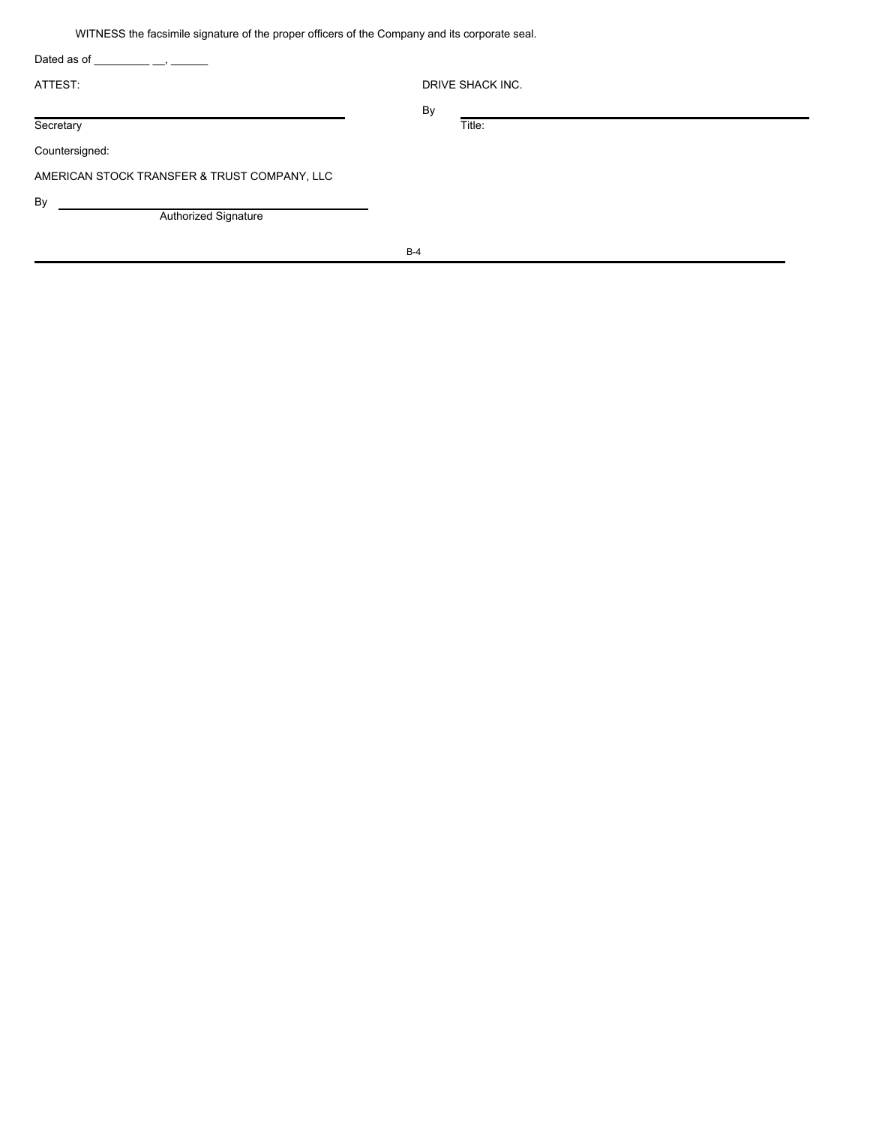WITNESS the facsimile signature of the proper officers of the Company and its corporate seal.

| Dated as of                                  |                  |
|----------------------------------------------|------------------|
| ATTEST:                                      | DRIVE SHACK INC. |
|                                              | By               |
| Secretary                                    | Title:           |
| Countersigned:                               |                  |
| AMERICAN STOCK TRANSFER & TRUST COMPANY, LLC |                  |
| By                                           |                  |
| Authorized Signature                         |                  |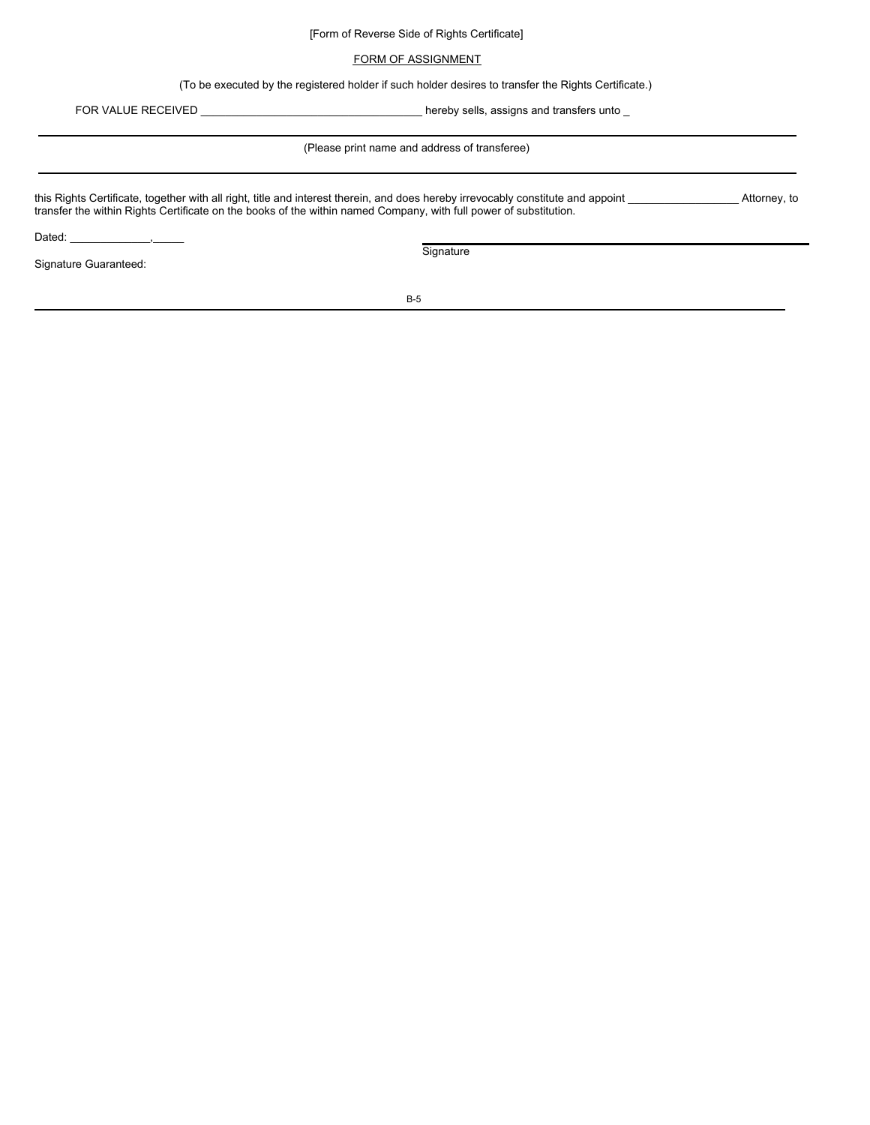## [Form of Reverse Side of Rights Certificate]

## FORM OF ASSIGNMENT

(To be executed by the registered holder if such holder desires to transfer the Rights Certificate.)

FOR VALUE RECEIVED \_\_\_\_\_\_\_\_\_\_\_\_\_\_\_\_\_\_\_\_\_\_\_\_\_\_\_\_\_\_\_\_\_\_\_\_ hereby sells, assigns and transfers unto \_

(Please print name and address of transferee)

this Rights Certificate, together with all right, title and interest therein, and does hereby irrevocably constitute and appoint \_\_\_\_\_\_\_\_\_\_\_\_\_\_\_\_\_\_ Attorney, to transfer the within Rights Certificate on the books of the within named Company, with full power of substitution.

Dated:

Signature Guaranteed:

**Signature**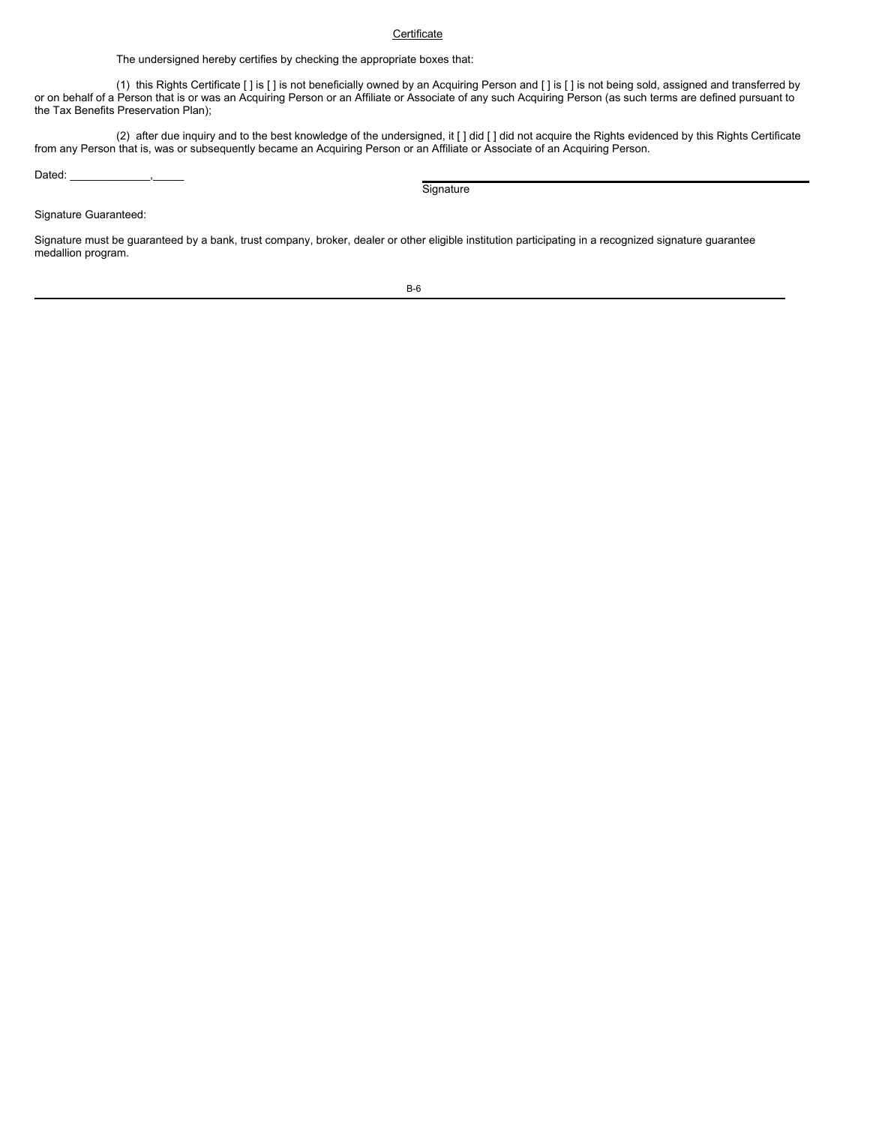# **Certificate**

The undersigned hereby certifies by checking the appropriate boxes that:

(1) this Rights Certificate [ ] is [ ] is not beneficially owned by an Acquiring Person and [ ] is [ ] is not being sold, assigned and transferred by or on behalf of a Person that is or was an Acquiring Person or an Affiliate or Associate of any such Acquiring Person (as such terms are defined pursuant to the Tax Benefits Preservation Plan);

(2) after due inquiry and to the best knowledge of the undersigned, it [] did [] did not acquire the Rights evidenced by this Rights Certificate from any Person that is, was or subsequently became an Acquiring Person or an Affiliate or Associate of an Acquiring Person.

Dated:

**Signature** 

Signature Guaranteed:

Signature must be guaranteed by a bank, trust company, broker, dealer or other eligible institution participating in a recognized signature guarantee medallion program.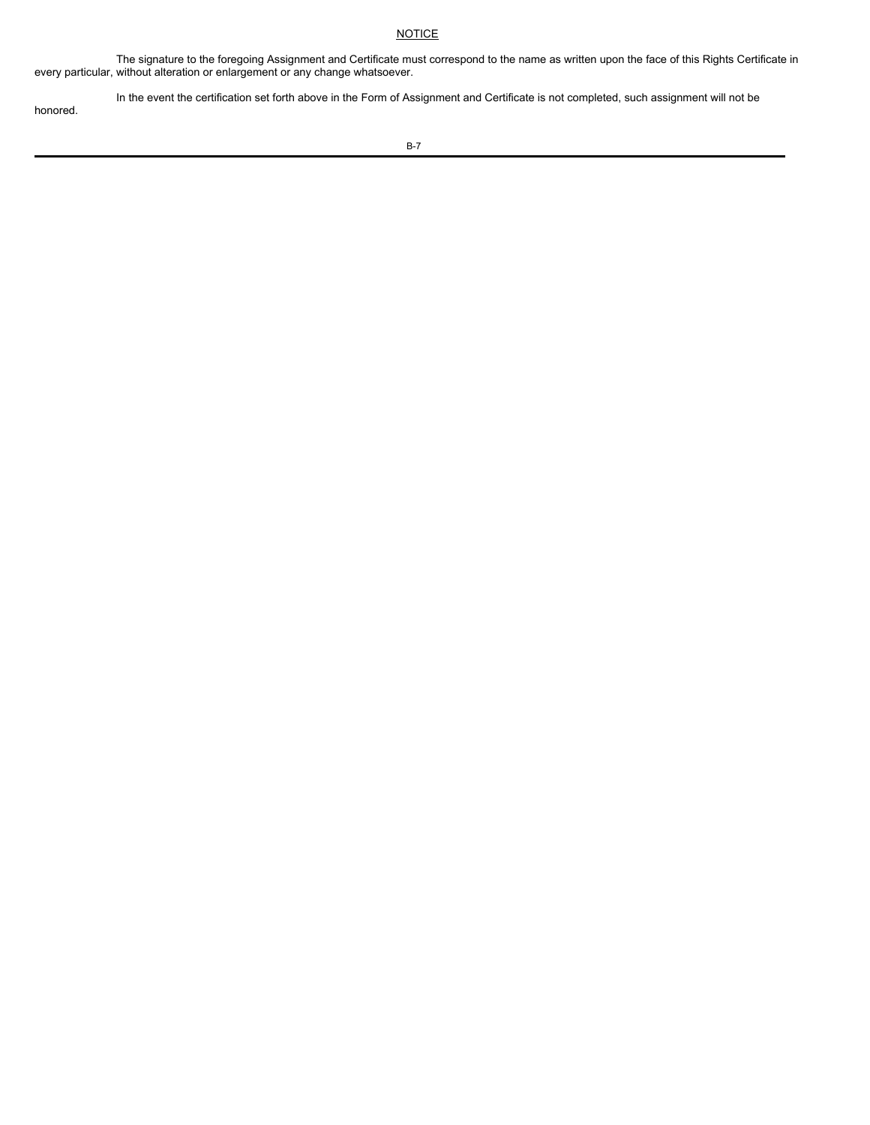# **NOTICE**

The signature to the foregoing Assignment and Certificate must correspond to the name as written upon the face of this Rights Certificate in every particular, without alteration or enlargement or any change whatsoever.

In the event the certification set forth above in the Form of Assignment and Certificate is not completed, such assignment will not be honored.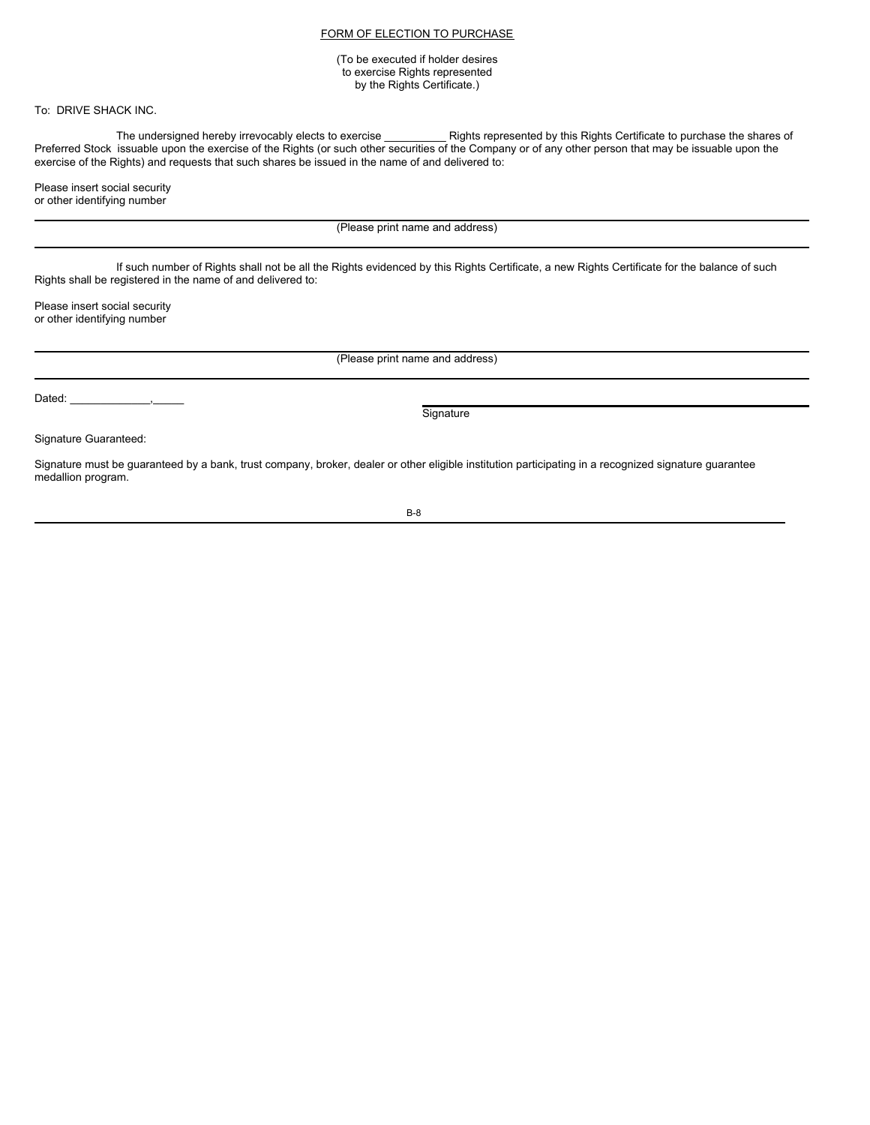# FORM OF ELECTION TO PURCHASE

(To be executed if holder desires to exercise Rights represented by the Rights Certificate.)

To: DRIVE SHACK INC.

The undersigned hereby irrevocably elects to exercise \_\_\_\_\_\_\_\_\_\_ Rights represented by this Rights Certificate to purchase the shares of Preferred Stock issuable upon the exercise of the Rights (or such other securities of the Company or of any other person that may be issuable upon the exercise of the Rights) and requests that such shares be issued in the name of and delivered to:

Please insert social security or other identifying number

(Please print name and address)

If such number of Rights shall not be all the Rights evidenced by this Rights Certificate, a new Rights Certificate for the balance of such Rights shall be registered in the name of and delivered to:

Please insert social security or other identifying number

(Please print name and address)

Dated:

**Signature** 

Signature Guaranteed:

Signature must be guaranteed by a bank, trust company, broker, dealer or other eligible institution participating in a recognized signature guarantee medallion program.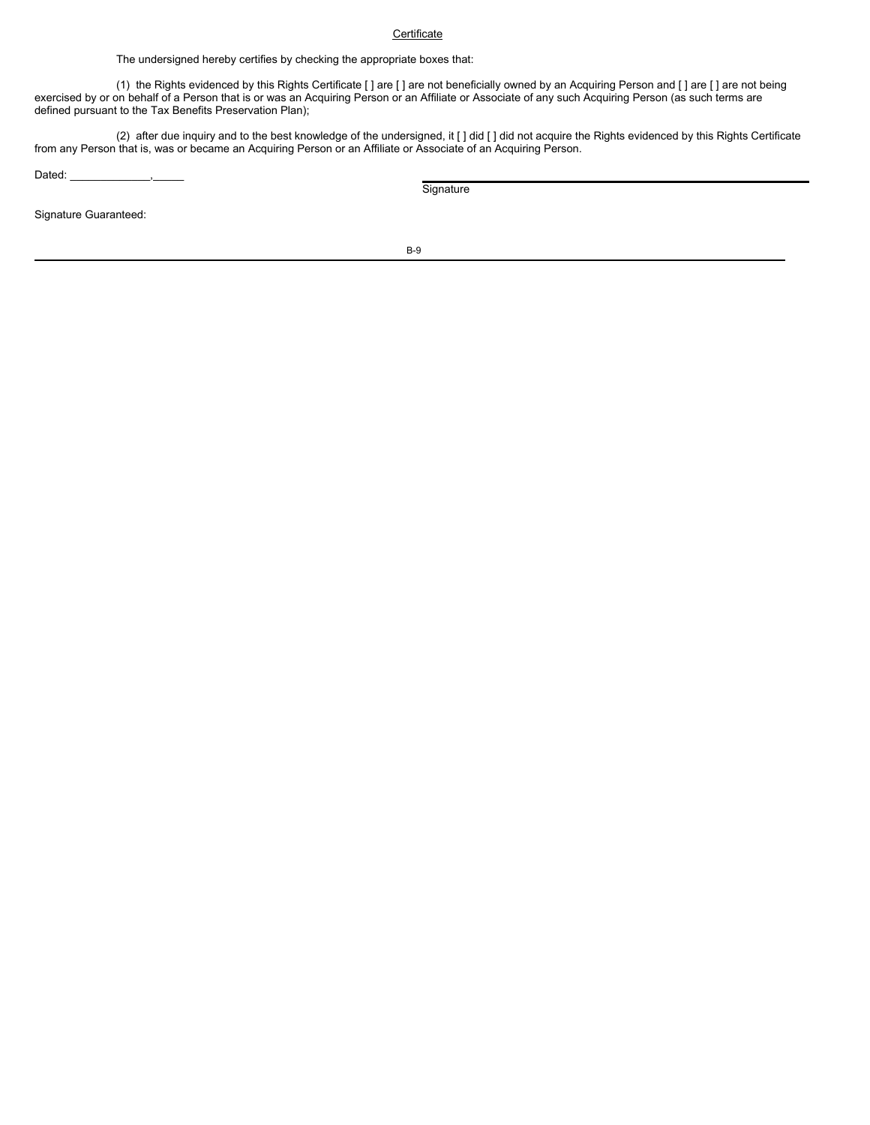# **Certificate**

The undersigned hereby certifies by checking the appropriate boxes that:

(1) the Rights evidenced by this Rights Certificate [ ] are [ ] are not beneficially owned by an Acquiring Person and [ ] are [ ] are not being exercised by or on behalf of a Person that is or was an Acquiring Person or an Affiliate or Associate of any such Acquiring Person (as such terms are defined pursuant to the Tax Benefits Preservation Plan);

(2) after due inquiry and to the best knowledge of the undersigned, it [] did [] did not acquire the Rights evidenced by this Rights Certificate from any Person that is, was or became an Acquiring Person or an Affiliate or Associate of an Acquiring Person.

Dated:

**Signature** 

Signature Guaranteed: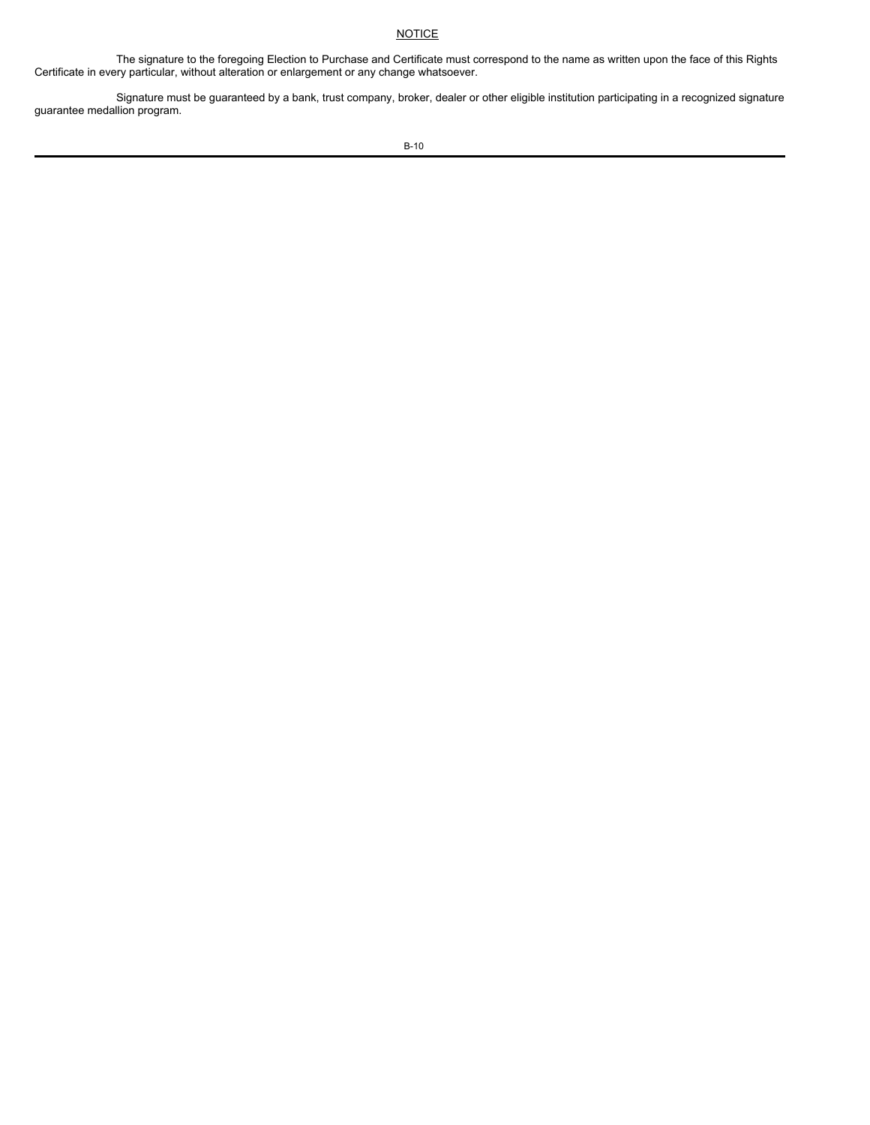# **NOTICE**

The signature to the foregoing Election to Purchase and Certificate must correspond to the name as written upon the face of this Rights Certificate in every particular, without alteration or enlargement or any change whatsoever.

Signature must be guaranteed by a bank, trust company, broker, dealer or other eligible institution participating in a recognized signature guarantee medallion program.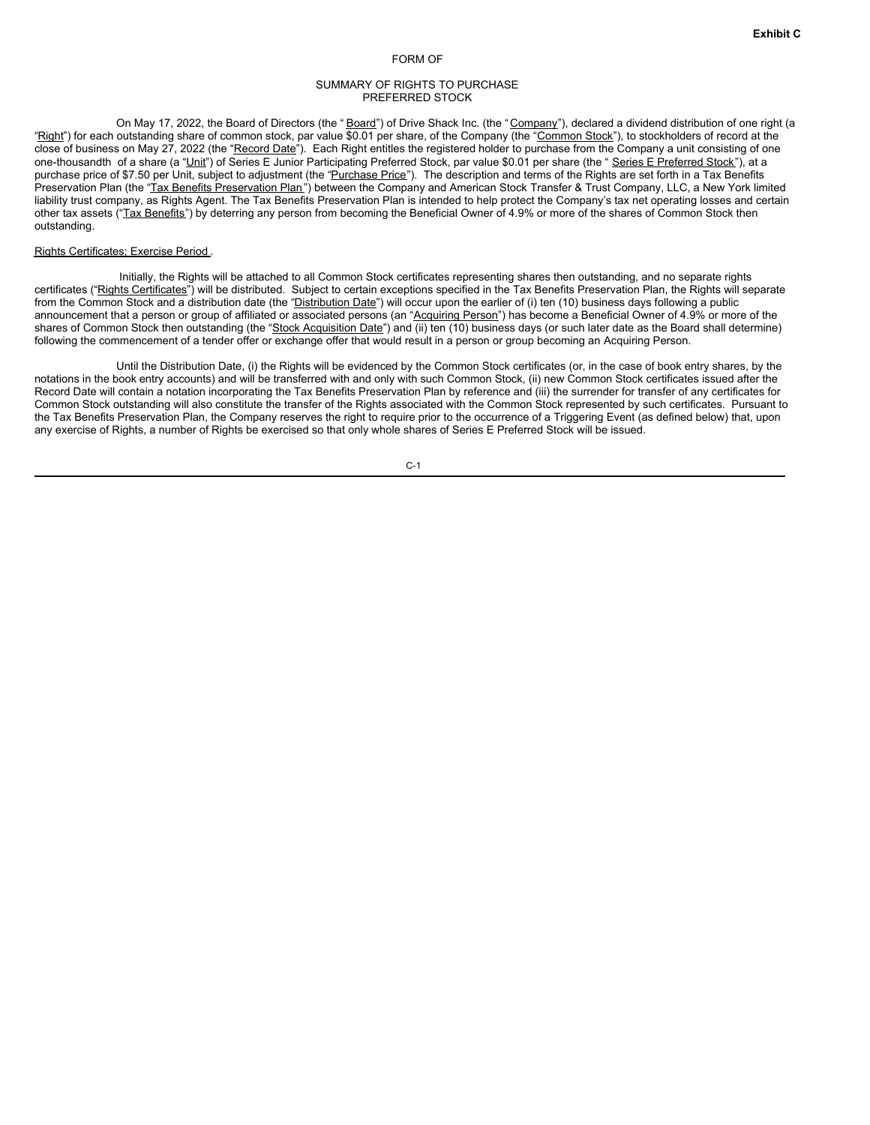#### FORM OF

### SUMMARY OF RIGHTS TO PURCHASE PREFERRED STOCK

On May 17, 2022, the Board of Directors (the "Board") of Drive Shack Inc. (the "Company"), declared a dividend distribution of one right (a "Right") for each outstanding share of common stock, par value \$0.01 per share, of the Company (the "Common Stock"), to stockholders of record at the close of business on May 27, 2022 (the "Record Date"). Each Right entitles the registered holder to purchase from the Company a unit consisting of one one-thousandth of a share (a "Unit") of Series E Junior Participating Preferred Stock, par value \$0.01 per share (the " Series E Preferred Stock"), at a purchase price of \$7.50 per Unit, subject to adjustment (the "Purchase Price"). The description and terms of the Rights are set forth in a Tax Benefits Preservation Plan (the "Tax Benefits Preservation Plan") between the Company and American Stock Transfer & Trust Company, LLC, a New York limited liability trust company, as Rights Agent. The Tax Benefits Preservation Plan is intended to help protect the Company's tax net operating losses and certain other tax assets ("Tax Benefits") by deterring any person from becoming the Beneficial Owner of 4.9% or more of the shares of Common Stock then outstanding.

### Rights Certificates; Exercise Period .

Initially, the Rights will be attached to all Common Stock certificates representing shares then outstanding, and no separate rights certificates ("Rights Certificates") will be distributed. Subject to certain exceptions specified in the Tax Benefits Preservation Plan, the Rights will separate from the Common Stock and a distribution date (the "Distribution Date") will occur upon the earlier of (i) ten (10) business days following a public announcement that a person or group of affiliated or associated persons (an "Acquiring Person") has become a Beneficial Owner of 4.9% or more of the shares of Common Stock then outstanding (the "Stock Acquisition Date") and (ii) ten (10) business days (or such later date as the Board shall determine) following the commencement of a tender offer or exchange offer that would result in a person or group becoming an Acquiring Person.

Until the Distribution Date, (i) the Rights will be evidenced by the Common Stock certificates (or, in the case of book entry shares, by the notations in the book entry accounts) and will be transferred with and only with such Common Stock, (ii) new Common Stock certificates issued after the Record Date will contain a notation incorporating the Tax Benefits Preservation Plan by reference and (iii) the surrender for transfer of any certificates for Common Stock outstanding will also constitute the transfer of the Rights associated with the Common Stock represented by such certificates. Pursuant to the Tax Benefits Preservation Plan, the Company reserves the right to require prior to the occurrence of a Triggering Event (as defined below) that, upon any exercise of Rights, a number of Rights be exercised so that only whole shares of Series E Preferred Stock will be issued.

C-1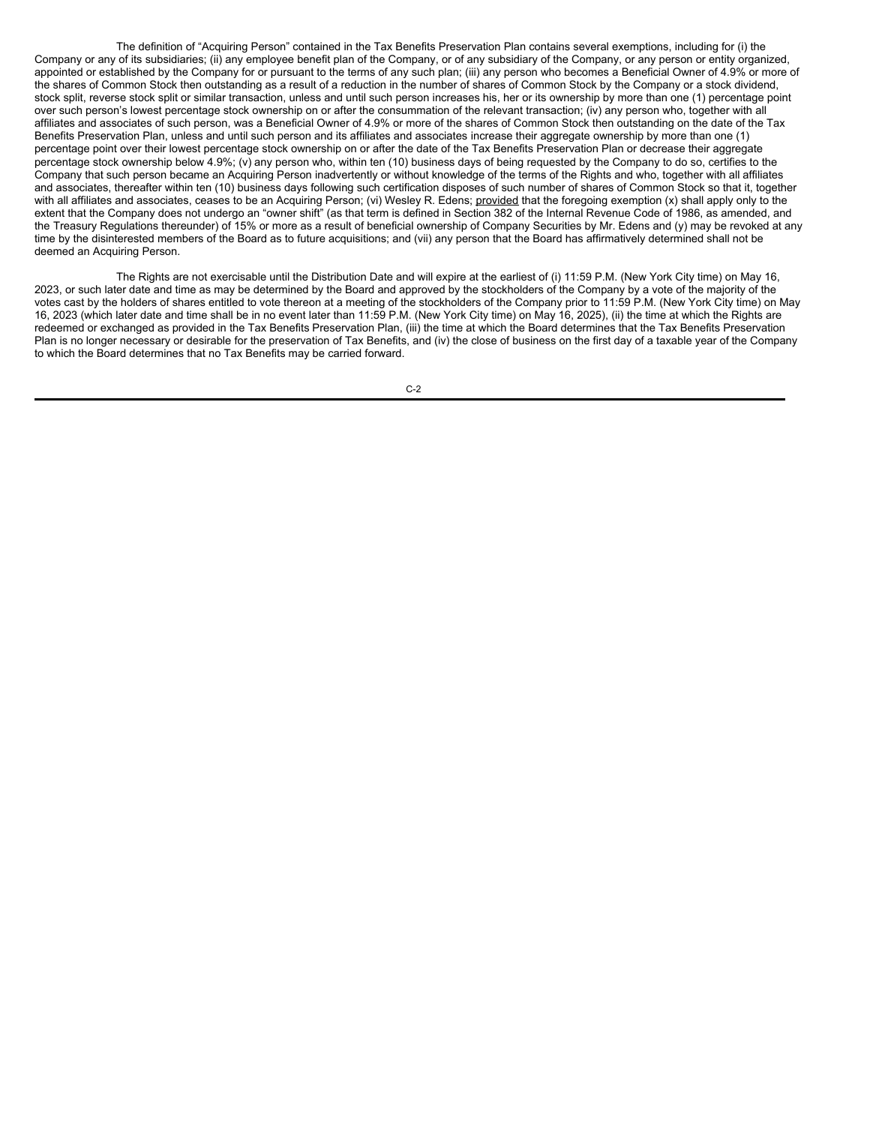The definition of "Acquiring Person" contained in the Tax Benefits Preservation Plan contains several exemptions, including for (i) the Company or any of its subsidiaries; (ii) any employee benefit plan of the Company, or of any subsidiary of the Company, or any person or entity organized, appointed or established by the Company for or pursuant to the terms of any such plan; (iii) any person who becomes a Beneficial Owner of 4.9% or more of the shares of Common Stock then outstanding as a result of a reduction in the number of shares of Common Stock by the Company or a stock dividend, stock split, reverse stock split or similar transaction, unless and until such person increases his, her or its ownership by more than one (1) percentage point over such person's lowest percentage stock ownership on or after the consummation of the relevant transaction; (iv) any person who, together with all affiliates and associates of such person, was a Beneficial Owner of 4.9% or more of the shares of Common Stock then outstanding on the date of the Tax Benefits Preservation Plan, unless and until such person and its affiliates and associates increase their aggregate ownership by more than one (1) percentage point over their lowest percentage stock ownership on or after the date of the Tax Benefits Preservation Plan or decrease their aggregate percentage stock ownership below 4.9%; (v) any person who, within ten (10) business days of being requested by the Company to do so, certifies to the Company that such person became an Acquiring Person inadvertently or without knowledge of the terms of the Rights and who, together with all affiliates and associates, thereafter within ten (10) business days following such certification disposes of such number of shares of Common Stock so that it, together with all affiliates and associates, ceases to be an Acquiring Person; (vi) Wesley R. Edens; provided that the foregoing exemption (x) shall apply only to the extent that the Company does not undergo an "owner shift" (as that term is defined in Section 382 of the Internal Revenue Code of 1986, as amended, and the Treasury Regulations thereunder) of 15% or more as a result of beneficial ownership of Company Securities by Mr. Edens and (y) may be revoked at any time by the disinterested members of the Board as to future acquisitions; and (vii) any person that the Board has affirmatively determined shall not be deemed an Acquiring Person.

The Rights are not exercisable until the Distribution Date and will expire at the earliest of (i) 11:59 P.M. (New York City time) on May 16, 2023, or such later date and time as may be determined by the Board and approved by the stockholders of the Company by a vote of the majority of the votes cast by the holders of shares entitled to vote thereon at a meeting of the stockholders of the Company prior to 11:59 P.M. (New York City time) on May 16, 2023 (which later date and time shall be in no event later than 11:59 P.M. (New York City time) on May 16, 2025), (ii) the time at which the Rights are redeemed or exchanged as provided in the Tax Benefits Preservation Plan, (iii) the time at which the Board determines that the Tax Benefits Preservation Plan is no longer necessary or desirable for the preservation of Tax Benefits, and (iv) the close of business on the first day of a taxable year of the Company to which the Board determines that no Tax Benefits may be carried forward.

C-2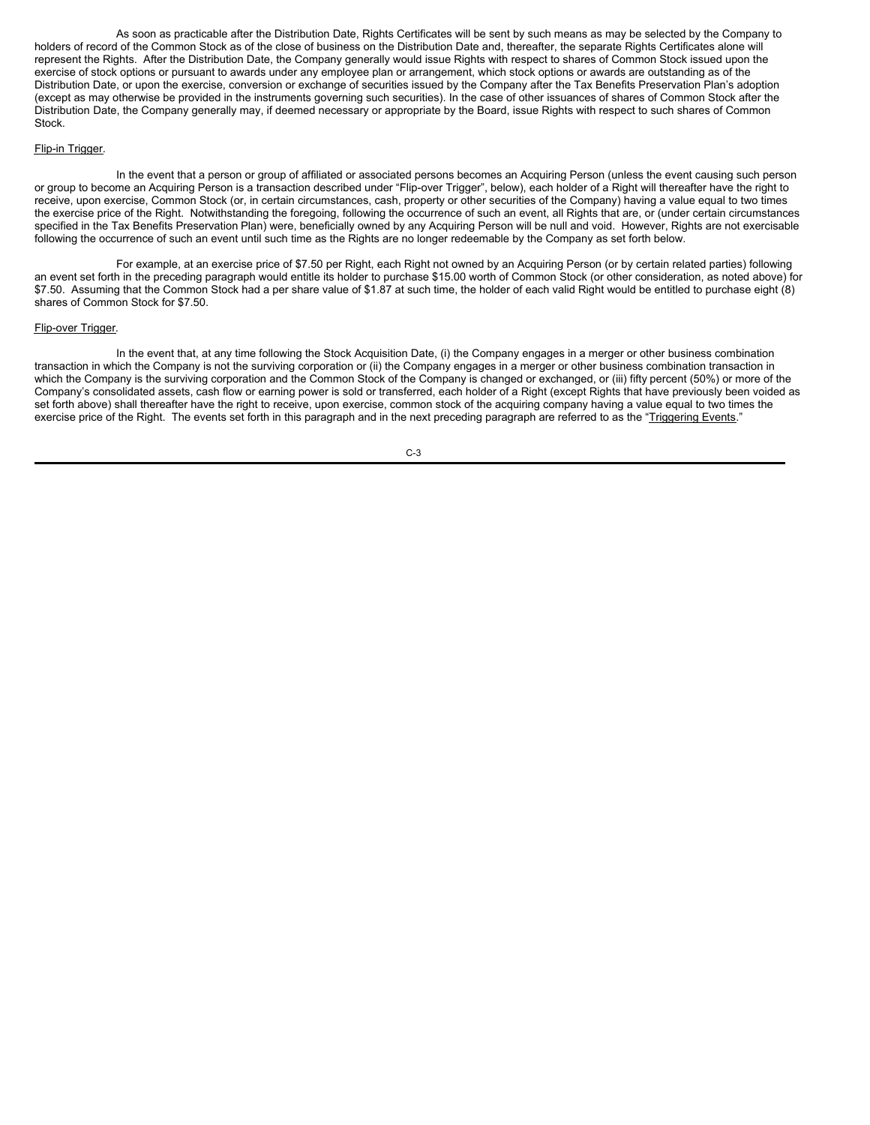As soon as practicable after the Distribution Date, Rights Certificates will be sent by such means as may be selected by the Company to holders of record of the Common Stock as of the close of business on the Distribution Date and, thereafter, the separate Rights Certificates alone will represent the Rights. After the Distribution Date, the Company generally would issue Rights with respect to shares of Common Stock issued upon the exercise of stock options or pursuant to awards under any employee plan or arrangement, which stock options or awards are outstanding as of the Distribution Date, or upon the exercise, conversion or exchange of securities issued by the Company after the Tax Benefits Preservation Plan's adoption (except as may otherwise be provided in the instruments governing such securities). In the case of other issuances of shares of Common Stock after the Distribution Date, the Company generally may, if deemed necessary or appropriate by the Board, issue Rights with respect to such shares of Common Stock.

## Flip-in Trigger.

In the event that a person or group of affiliated or associated persons becomes an Acquiring Person (unless the event causing such person or group to become an Acquiring Person is a transaction described under "Flip-over Trigger", below), each holder of a Right will thereafter have the right to receive, upon exercise, Common Stock (or, in certain circumstances, cash, property or other securities of the Company) having a value equal to two times the exercise price of the Right. Notwithstanding the foregoing, following the occurrence of such an event, all Rights that are, or (under certain circumstances specified in the Tax Benefits Preservation Plan) were, beneficially owned by any Acquiring Person will be null and void. However, Rights are not exercisable following the occurrence of such an event until such time as the Rights are no longer redeemable by the Company as set forth below.

For example, at an exercise price of \$7.50 per Right, each Right not owned by an Acquiring Person (or by certain related parties) following an event set forth in the preceding paragraph would entitle its holder to purchase \$15.00 worth of Common Stock (or other consideration, as noted above) for \$7.50. Assuming that the Common Stock had a per share value of \$1.87 at such time, the holder of each valid Right would be entitled to purchase eight (8) shares of Common Stock for \$7.50.

### Flip-over Trigger.

In the event that, at any time following the Stock Acquisition Date, (i) the Company engages in a merger or other business combination transaction in which the Company is not the surviving corporation or (ii) the Company engages in a merger or other business combination transaction in which the Company is the surviving corporation and the Common Stock of the Company is changed or exchanged, or (iii) fifty percent (50%) or more of the Company's consolidated assets, cash flow or earning power is sold or transferred, each holder of a Right (except Rights that have previously been voided as set forth above) shall thereafter have the right to receive, upon exercise, common stock of the acquiring company having a value equal to two times the exercise price of the Right. The events set forth in this paragraph and in the next preceding paragraph are referred to as the "Triggering Events."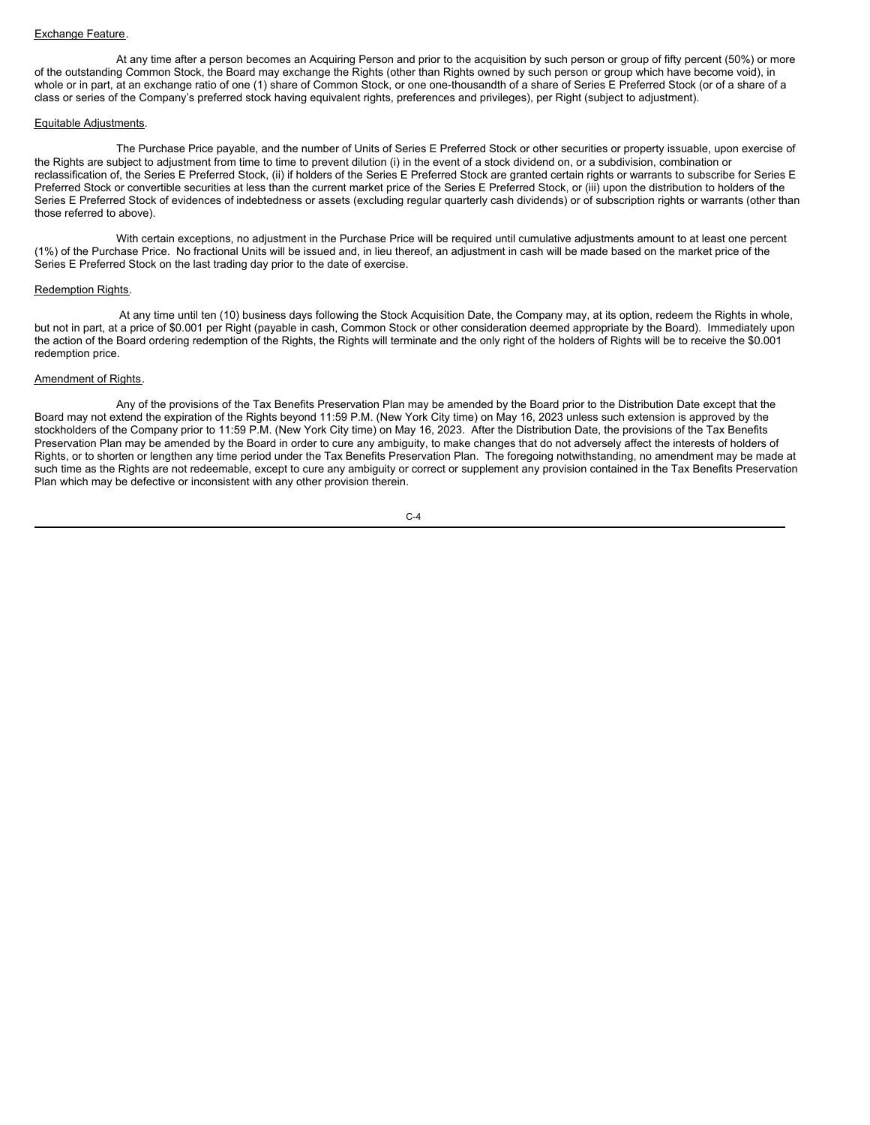#### Exchange Feature.

At any time after a person becomes an Acquiring Person and prior to the acquisition by such person or group of fifty percent (50%) or more of the outstanding Common Stock, the Board may exchange the Rights (other than Rights owned by such person or group which have become void), in whole or in part, at an exchange ratio of one (1) share of Common Stock, or one one-thousandth of a share of Series E Preferred Stock (or of a share of a class or series of the Company's preferred stock having equivalent rights, preferences and privileges), per Right (subject to adjustment).

### Equitable Adjustments.

The Purchase Price payable, and the number of Units of Series E Preferred Stock or other securities or property issuable, upon exercise of the Rights are subject to adjustment from time to time to prevent dilution (i) in the event of a stock dividend on, or a subdivision, combination or reclassification of, the Series E Preferred Stock, (ii) if holders of the Series E Preferred Stock are granted certain rights or warrants to subscribe for Series E Preferred Stock or convertible securities at less than the current market price of the Series E Preferred Stock, or (iii) upon the distribution to holders of the Series E Preferred Stock of evidences of indebtedness or assets (excluding regular quarterly cash dividends) or of subscription rights or warrants (other than those referred to above).

With certain exceptions, no adjustment in the Purchase Price will be required until cumulative adjustments amount to at least one percent (1%) of the Purchase Price. No fractional Units will be issued and, in lieu thereof, an adjustment in cash will be made based on the market price of the Series E Preferred Stock on the last trading day prior to the date of exercise.

### Redemption Rights.

At any time until ten (10) business days following the Stock Acquisition Date, the Company may, at its option, redeem the Rights in whole, but not in part, at a price of \$0.001 per Right (payable in cash, Common Stock or other consideration deemed appropriate by the Board). Immediately upon the action of the Board ordering redemption of the Rights, the Rights will terminate and the only right of the holders of Rights will be to receive the \$0.001 redemption price.

#### Amendment of Rights.

Any of the provisions of the Tax Benefits Preservation Plan may be amended by the Board prior to the Distribution Date except that the Board may not extend the expiration of the Rights beyond 11:59 P.M. (New York City time) on May 16, 2023 unless such extension is approved by the stockholders of the Company prior to 11:59 P.M. (New York City time) on May 16, 2023. After the Distribution Date, the provisions of the Tax Benefits Preservation Plan may be amended by the Board in order to cure any ambiguity, to make changes that do not adversely affect the interests of holders of Rights, or to shorten or lengthen any time period under the Tax Benefits Preservation Plan. The foregoing notwithstanding, no amendment may be made at such time as the Rights are not redeemable, except to cure any ambiguity or correct or supplement any provision contained in the Tax Benefits Preservation Plan which may be defective or inconsistent with any other provision therein.

 $C - 4$